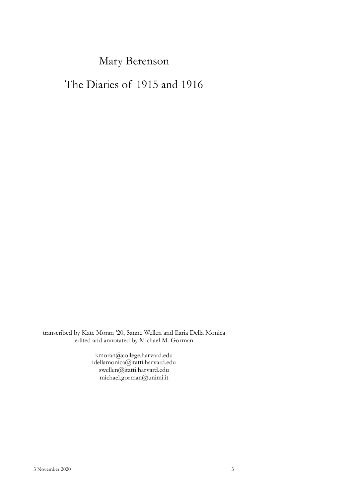# Mary Berenson

# The Diaries of 1915 and 1916

transcribed by Kate Moran '20, Sanne Wellen and Ilaria Della Monica edited and annotated by Michael M. Gorman

> kmoran@college.harvard.edu idellamonica@itatti.harvard.edu swellen@itatti.harvard.edu michael.gorman@unimi.it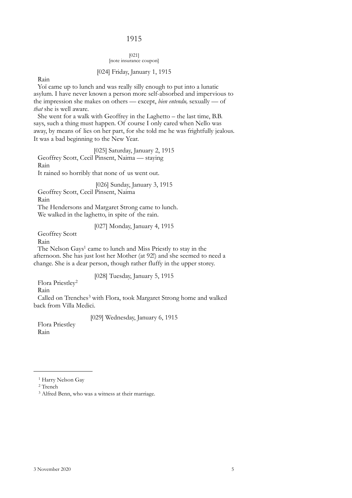# 1915

## [021] [note insurance coupon]

# [024] Friday, January 1, 1915

Rain

Yoï came up to lunch and was really silly enough to put into a lunatic asylum. I have never known a person more self-absorbed and impervious to the impression she makes on others — except, *bien entendu,* sexually — of *that* she is well aware.

She went for a walk with Geoffrey in the Laghetto – the last time, B.B. says, such a thing must happen. Of course I only cared when Nello was away, by means of lies on her part, for she told me he was frightfully jealous. It was a bad beginning to the New Year.

[025] Saturday, January 2, 1915 Geoffrey Scott, Cecil Pinsent, Naima — staying Rain

It rained so horribly that none of us went out.

[026] Sunday, January 3, 1915

Geoffrey Scott, Cecil Pinsent, Naima

Rain

The Hendersons and Margaret Strong came to lunch. We walked in the laghetto, in spite of the rain.

[027] Monday, January 4, 1915

Geoffrey Scott

Rain

The Nelson Gays<sup>1</sup> came to lunch and Miss Priestly to stay in the afternoon. She has just lost her Mother (at 92!) and she seemed to need a change. She is a dear person, though rather fluffy in the upper storey.

[028] Tuesday, January 5, 1915

Flora Priestley[2](#page-2-1)

Rain

Called on Trenches<sup>[3](#page-2-2)</sup> with Flora, took Margaret Strong home and walked back from Villa Medici.

[029] Wednesday, January 6, 1915

Flora Priestley Rain

<span id="page-2-0"></span><sup>&</sup>lt;sup>1</sup> Harry Nelson Gay

<span id="page-2-1"></span><sup>2</sup> Trench

<span id="page-2-2"></span><sup>3</sup> Alfred Benn, who was a witness at their marriage.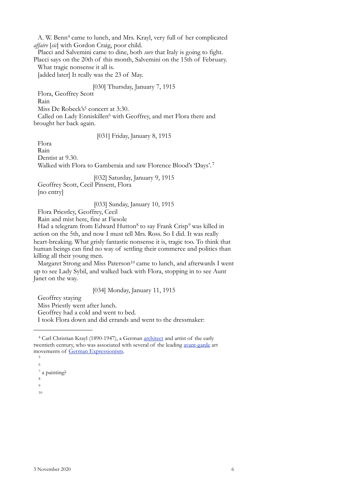A. W. Benn<sup>[4](#page-3-0)</sup> came to lunch, and Mrs. Krayl, very full of her complicated *affaire* [*sic*] with Gordon Craig, poor child.

Placci and Salvemini came to dine, both *sure* that Italy is going to fight. Placci says on the 20th of this month, Salvemini on the 15th of February.

What tragic nonsense it all is.

[added later] It really was the 23 of May.

# [030] Thursday, January 7, 1915

Flora, Geoffrey Scott

Rain

Miss De Robeck's<sup>5</sup> concert at 3:30.

Called on Lady Enniskillen<sup>[6](#page-3-2)</sup> with Geoffrey, and met Flora there and brought her back again.

# [031] Friday, January 8, 1915

Flora

Rain

Dentist at 9.30.

Walked with Flora to Gamberaia and saw Florence Blood's 'Days'.[7](#page-3-3)

[032] Saturday, January 9, 1915

Geoffrey Scott, Cecil Pinsent, Flora

[no entry]

# [033] Sunday, January 10, 1915

Flora Priestley, Geoffrey, Cecil

Rain and mist here, fine at Fiesole

Had a telegram from Edward Hutton<sup>[8](#page-3-4)</sup> to say Frank Crisp<sup>[9](#page-3-5)</sup> was killed in action on the 5th, and now I must tell Mrs. Ross. So I did. It was really heart-breaking. What grisly fantastic nonsense it is, tragic too. To think that human beings can find no way of settling their commerce and politics than killing all their young men.

Margaret Strong and Miss Paterson<sup>10</sup> came to lunch, and afterwards I went up to see Lady Sybil, and walked back with Flora, stopping in to see Aunt Janet on the way.

# [034] Monday, January 11, 1915

Geoffrey staying

Miss Priestly went after lunch.

Geoffrey had a cold and went to bed.

I took Flora down and did errands and went to the dressmaker:

<span id="page-3-1"></span>5 6

<span id="page-3-3"></span><span id="page-3-2"></span>7 a painting?

<span id="page-3-4"></span>8

<span id="page-3-6"></span><span id="page-3-5"></span>9

<span id="page-3-0"></span><sup>4</sup> Carl Christian Krayl (1890-1947), a German [architect](https://en.wikipedia.org/wiki/Architect%22%20%5Co%20%22Architect) and artist of the early twentieth century, who was associated with several of the leading [avant-garde](https://en.wikipedia.org/wiki/Avant-garde%22%20%5Co%20%22Avant-garde) art movements of [German Expressionism](https://en.wikipedia.org/wiki/German_Expressionism%22%20%5Co%20%22German%20Expressionism).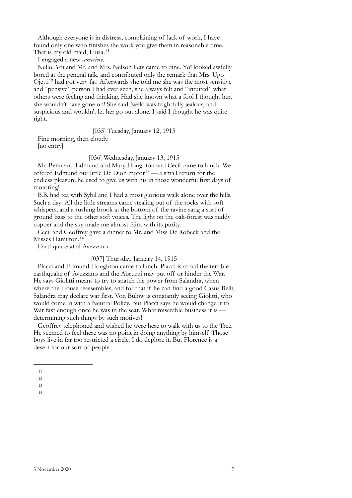Although everyone is in distress, complaining of lack of work, I have found only one who finishes the work you give them in reasonable time. That is my old maid, Luisa.<sup>[11](#page-4-0)</sup>

I engaged a new *cameriere*.

Nello, Yoï and Mr. and Mrs. Nelson Gay came to dine. Yoï looked awfully bored at the general talk, and contributed only the remark that Mrs. Ugo Ojetti[12](#page-4-1) had got very fat. Afterwards she told me she was the most sensitive and "pensive" person I had ever seen, she always felt and "intuited" what others were feeling and thinking. Had she known what a fool I thought her, she wouldn't have gone on! She said Nello was frightfully jealous, and suspicious and wouldn't let her go out alone. I said I thought he was quite right.

[035] Tuesday, January 12, 1915

Fine morning, then cloudy.

[no entry]

[036] Wednesday, January 13, 1915

Mr. Benn and Edmund and Mary Houghton and Cecil came to lunch. We offered Edmund our little De Dion motor<sup>[13](#page-4-2)</sup> — a small return for the endless pleasure he used to give us with his in those wonderful first days of motoring!

B.B. had tea with Sybil and I had a most glorious walk alone over the hills. Such a day! All the little streams came stealing out of the rocks with soft whispers, and a rushing brook at the bottom of the ravine sang a sort of ground bass to the other soft voices. The light on the oak-forest was ruddy copper and the sky made me almost faint with its purity.

Cecil and Geoffrey gave a dinner to Mr. and Miss De Robeck and the Misses Hamilton.[14](#page-4-3)

Earthquake at al Avezzano

#### [037] Thursday, January 14, 1915

Placci and Edmund Houghton came to lunch. Placci is afraid the terrible earthquake of Avezzano and the Abruzzi may put off or hinder the War. He says Giolitti means to try to snatch the power from Salandra, when where the House reassembles, and for that if he can find a good Casus Belli, Salandra may declare war first. Von Bülow is constantly seeing Giolitti, who would come in with a Neutral Policy. But Placci says he would change it to War fast enough once he was in the seat. What miserable business it is determining such things by such motives!

Geoffrey telephoned and wished he were here to walk with us to the Tree. He seemed to feel there was no point in doing anything by himself. Those boys live in far too restricted a circle. I do deplore it. But Florence is a desert for our sort of people.

<span id="page-4-0"></span><sup>11</sup>

<span id="page-4-1"></span><sup>12</sup>

<span id="page-4-2"></span><sup>13</sup>

<span id="page-4-3"></span><sup>14</sup>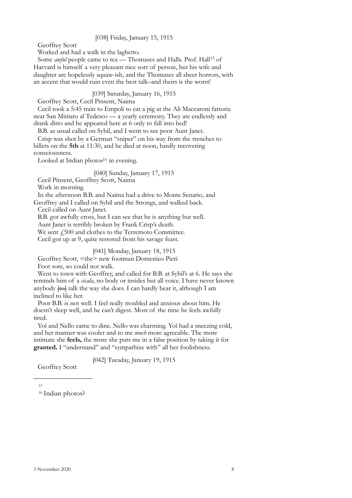## [038] Friday, January 15, 1915

Geoffrey Scott

Worked and had a walk in the laghetto.

Some *awful* people came to tea - Thomases and Halls. Prof. Hall<sup>15</sup> of Harvard is himself a very pleasant nice sort of person, but his wife and daughter are hopelessly squaw-ish, and the Thomases all sheer horrors, with an accent that would ruin even the best talk–and theirs is the worst!

[039] Saturday, January 16, 1915

Geoffrey Scott, Cecil Pinsent, Naima

Cecil took a 5:45 train to Empoli to eat a pig at the Ali Maccaroni fattoria near San Miniato al Tedesco — a yearly ceremony. They ate endlessly and drank ditto and he appeared here at 6 only to fall into bed!

B.B. as usual called on Sybil, and I went to see poor Aunt Janet.

Crisp was shot by a German "sniper" on his way from the trenches to billets on the **5th** at 11:30, and he died at noon, hardly recovering consciousness.

Looked at Indian photos $16$  in evening.

[040] Sunday, January 17, 1915

Cecil Pinsent, Geoffrey Scott, Naima

Work in morning.

In the afternoon B.B. and Naima had a drive to Monte Senario, and

Geoffrey and I called on Sybil and the Strongs, and walked back.

Cecil called on Aunt Janet.

B.B. got awfully cross, but I can see that he is anything but well. Aunt Janet is terribly broken by Frank Crisp's death.

We sent  $\ddot{1}500$  and clothes to the Terremoto Committee.

Cecil got up at 9, quite restored from his savage feast.

# [041] Monday, January 18, 1915

Geoffrey Scott, <the> new footman Domenico Pieri Foot sore, so could not walk.

Went to town with Geoffrey, and called for B.B. at Sybil's at 6. He says she

reminds him of a *cicala*, no body or insides but all voice. I have never known anybody <del>[to]</del> talk the way she does. I can hardly bear it, although I am inclined to like her.

Poor B.B. is not well. I feel really troubled and anxious about him. He doesn't sleep well, and he can't digest. Most of the time he feels awfully tired.

Yoï and Nello came to dine. Nello was charming. Yoï had a sneezing cold, and her manner was cooler and to me *much* more agreeable. The more intimate she **feels,** the more she puts me in a false position by taking it for **granted.** I "understand" and "sympathize with" all her foolishness.

[042] Tuesday, January 19, 1915

Geoffrey Scott

<span id="page-5-0"></span>15

<span id="page-5-1"></span><sup>16</sup> Indian photos?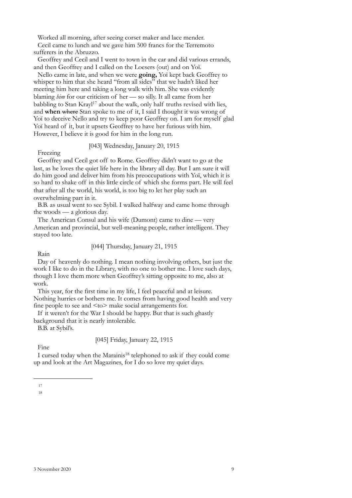Worked all morning, after seeing corset maker and lace mender.

Cecil came to lunch and we gave him 500 francs for the Terremoto sufferers in the Abruzzo.

Geoffrey and Cecil and I went to town in the car and did various errands, and then Geoffrey and I called on the Loesers (out) and on Yoï.

Nello came in late, and when we were **going,** Yoï kept back Geoffrey to whisper to him that she heard "from all sides" that we hadn't liked her meeting him here and taking a long walk with him. She was evidently blaming *him* for our criticism of her — so silly. It all came from her babbling to Stan Krayl<sup>17</sup> about the walk, only half truths revised with lies, and **when** where Stan spoke to me of it, I said I thought it was wrong of Yoï to deceive Nello and try to keep poor Geoffrey on. I am for myself glad Yoï heard of it, but it upsets Geoffrey to have her furious with him. However, I believe it is good for him in the long run.

# [043] Wednesday, January 20, 1915

Freezing

Geoffrey and Cecil got off to Rome. Geoffrey didn't want to go at the last, as he loves the quiet life here in the library all day. But I am sure it will do him good and deliver him from his preoccupations with Yoï, which it is so hard to shake off in this little circle of which she forms part. He will feel that after all the world, his world, is too big to let her play such an overwhelming part in it.

B.B. as usual went to see Sybil. I walked halfway and came home through the woods — a glorious day.

The American Consul and his wife (Dumont) came to dine — very American and provincial, but well-meaning people, rather intelligent. They stayed too late.

[044] Thursday, January 21, 1915

Rain

Day of heavenly do nothing. I mean nothing involving others, but just the work I like to do in the Library, with no one to bother me. I love such days, though I love them more when Geoffrey's sitting opposite to me, also at work.

This year, for the first time in my life, I feel peaceful and at leisure. Nothing hurries or bothers me. It comes from having good health and very fine people to see and <to> make social arrangements for.

If it weren't for the War I should be happy. But that is such ghastly background that it is nearly intolerable.

B.B. at Sybil's.

# [045] Friday, January 22, 1915

Fine

I cursed today when the Marainis<sup>18</sup> telephoned to ask if they could come up and look at the Art Magazines, for I do so love my quiet days.

<span id="page-6-1"></span><span id="page-6-0"></span><sup>17</sup>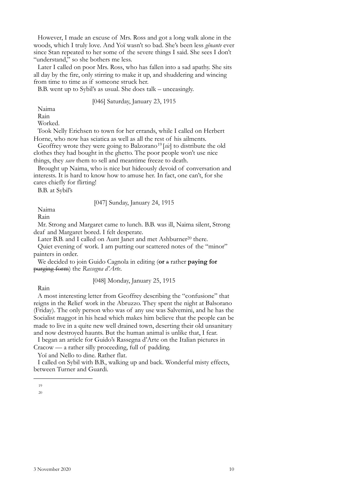However, I made an excuse of Mrs. Ross and got a long walk alone in the woods, which I truly love. And Yoï wasn't so bad. She's been less *gênante* ever since Stan repeated to her some of the severe things I said. She sees I don't "understand," so she bothers me less.

Later I called on poor Mrs. Ross, who has fallen into a sad apathy. She sits all day by the fire, only stirring to make it up, and shuddering and wincing from time to time as if someone struck her.

B.B. went up to Sybil's as usual. She does talk – unceasingly.

[046] Saturday, January 23, 1915

Naima

Rain

Worked.

Took Nelly Erichsen to town for her errands, while I called on Herbert Horne, who now has sciatica as well as all the rest of his ailments.

Geoffrey wrote they were going to Balzorano<sup>[19](#page-7-0)</sup> [sic] to distribute the old clothes they had bought in the ghetto. The poor people won't use nice things, they *save* them to sell and meantime freeze to death.

Brought up Naima, who is nice but hideously devoid of conversation and interests. It is hard to know how to amuse her. In fact, one can't, for she cares chiefly for flirting!

B.B. at Sybil's

[047] Sunday, January 24, 1915

Naima

Rain

Mr. Strong and Margaret came to lunch. B.B. was ill, Naima silent, Strong deaf and Margaret bored. I felt desperate.

Later B.B. and I called on Aunt Janet and met Ashburner<sup>20</sup> there.

Quiet evening of work. I am putting our scattered notes of the "minor" painters in order.

We decided to join Guido Cagnola in editing (**or** a rather **paying for** purging form) the *Rassegna d'Arte*.

[048] Monday, January 25, 1915

Rain

A most interesting letter from Geoffrey describing the "confusione" that reigns in the Relief work in the Abruzzo. They spent the night at Balsorano (Friday). The only person who was of any use was Salvemini, and he has the Socialist maggot in his head which makes him believe that the people can be made to live in a quite new well drained town, deserting their old unsanitary and now destroyed haunts. But the human animal is unlike that, I fear.

I began an article for Guido's Rassegna d'Arte on the Italian pictures in Cracow — a rather silly proceeding, full of padding.

Yoï and Nello to dine. Rather flat.

I called on Sybil with B.B., walking up and back. Wonderful misty effects, between Turner and Guardi.

<span id="page-7-1"></span><span id="page-7-0"></span><sup>19</sup>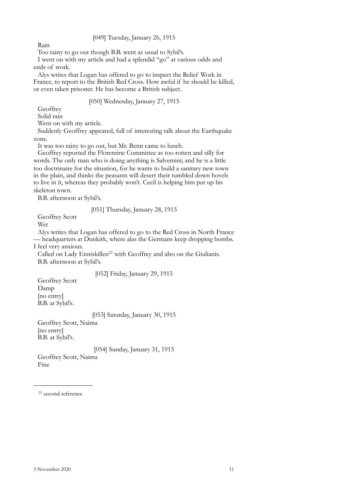[049] Tuesday, January 26, 1915

Rain

Too rainy to go out though B.B. went as usual to Sybil's.

I went on with my article and had a splendid "go" at various odds and ends of work.

Alys writes that Logan has offered to go to inspect the Relief Work in France, to report to the British Red Cross. How awful if he should be killed, or even taken prisoner. He has become a British subject.

# [050] Wednesday, January 27, 1915

**Geoffrey** 

Solid rain

Went on with my article.

Suddenly Geoffrey appeared, full of interesting talk about the Earthquake zone.

It was too rainy to go out, but Mr. Benn came to lunch.

Geoffrey reported the Florentine Committee as too rotten and silly for words. The only man who is doing anything is Salvemini; and he is a little too doctrinaire for the situation, for he wants to build a sanitary new town in the plain, and thinks the peasants will desert their tumbled down hovels to live in it, whereas they probably won't. Cecil is helping him put up his skeleton town.

B.B. afternoon at Sybil's.

# [051] Thursday, January 28, 1915

Geoffrey Scott

Wet

Alys writes that Logan has offered to go to the Red Cross in North France — headquarters at Dunkirk, where alas the Germans keep dropping bombs. I feel very anxious.

Called on Lady Enniskillen<sup>21</sup> with Geoffrey and also on the Giulianis. B.B. afternoon at Sybil's.

# [052] Friday, January 29, 1915

Geoffrey Scott Damp [no entry] B.B. at Sybil's.

[053] Saturday, January 30, 1915

Geoffrey Scott, Naima [no entry] B.B. at Sybil's.

# [054] Sunday, January 31, 1915

Geoffrey Scott, Naima Fine

<span id="page-8-0"></span>21 second reference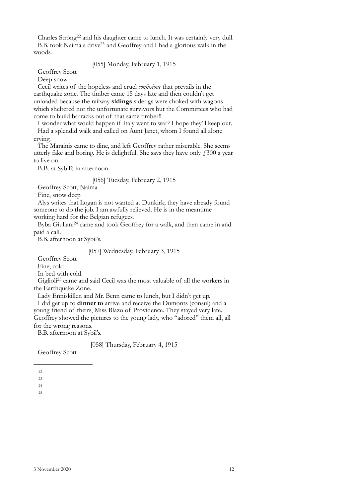Charles Strong[22](#page-9-0) and his daughter came to lunch. It was certainly very dull. B.B. took Naima a driv[e23](#page-9-1) and Geoffrey and I had a glorious walk in the woods.

# [055] Monday, February 1, 1915

Geoffrey Scott

Deep snow

Cecil writes of the hopeless and cruel *confusione* that prevails in the earthquake zone. The timber came 15 days late and then couldn't get unloaded because the railway **sidings** siderigs were choked with wagons which sheltered not the unfortunate survivors but the Committees who had come to build barracks out of that same timber!!

I wonder what would happen if Italy went to war? I hope they'll keep out. Had a splendid walk and called on Aunt Janet, whom I found all alone crying.

The Marainis came to dine, and left Geoffrey rather miserable. She seems utterly fake and boring. He is delightful. She says they have only  $\ell$ 300 a year to live on.

B.B. at Sybil's in afternoon.

[056] Tuesday, February 2, 1915

Geoffrey Scott, Naima

Fine, snow deep

Alys writes that Logan is not wanted at Dunkirk; they have already found someone to do the job. I am awfully relieved. He is in the meantime working hard for the Belgian refugees.

Byba Giuliani[24](#page-9-2) came and took Geoffrey for a walk, and then came in and paid a call.

B.B. afternoon at Sybil's.

## [057] Wednesday, February 3, 1915

Geoffrey Scott

Fine, cold

In bed with cold.

Giglioli<sup>[25](#page-9-3)</sup> came and said Cecil was the most valuable of all the workers in the Earthquake Zone.

Lady Enniskillen and Mr. Benn came to lunch, but I didn't get up. I did get up to **dinner to** arrive and receive the Dumonts (consul) and a young friend of theirs, Miss Blazo of Providence. They stayed very late. Geoffrey showed the pictures to the young lady, who "adored" them all, all for the wrong reasons.

B.B. afternoon at Sybil's.

[058] Thursday, February 4, 1915

Geoffrey Scott

<span id="page-9-3"></span><span id="page-9-2"></span>24

<span id="page-9-0"></span> $22$ 

<span id="page-9-1"></span><sup>23</sup>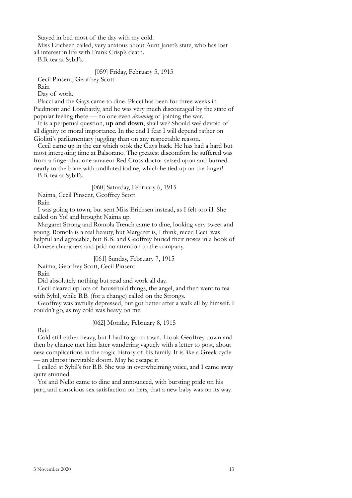Stayed in bed most of the day with my cold.

Miss Erichsen called, very anxious about Aunt Janet's state, who has lost

all interest in life with Frank Crisp's death.

B.B. tea at Sybil's.

# [059] Friday, February 5, 1915

Cecil Pinsent, Geoffrey Scott

Rain

Day of work.

Placci and the Gays came to dine. Placci has been for three weeks in Piedmont and Lombardy, and he was very much discouraged by the state of popular feeling there — no one even *dreaming* of joining the war.

It is a perpetual question, **up and down**, shall we? Should we? devoid of all dignity or moral importance. In the end I fear I will depend rather on Giolitti's parliamentary juggling than on any respectable reason.

Cecil came up in the car which took the Gays back. He has had a hard but most interesting time at Balsorano. The greatest discomfort he suffered was from a finger that one amateur Red Cross doctor seized upon and burned nearly to the bone with undiluted iodine, which he tied up on the finger! B.B. tea at Sybil's.

# [060] Saturday, February 6, 1915

Naima, Cecil Pinsent, Geoffrey Scott

Rain

I was going to town, but sent Miss Erichsen instead, as I felt too ill. She called on Yoï and brought Naima up.

Margaret Strong and Romola Trench came to dine, looking very sweet and young. Romola is a real beauty, but Margaret is, I think, nicer. Cecil was helpful and agreeable, but B.B. and Geoffrey buried their noses in a book of Chinese characters and paid no attention to the company.

# [061] Sunday, February 7, 1915

Naima, Geoffrey Scott, Cecil Pinsent

Rain

Did absolutely nothing but read and work all day.

Cecil cleared up lots of household things, the angel, and then went to tea with Sybil, while B.B. (for a change) called on the Strongs.

Geoffrey was awfully depressed, but got better after a walk all by himself. I couldn't go, as my cold was heavy on me.

# [062] Monday, February 8, 1915

Rain

Cold still rather heavy, but I had to go to town. I took Geoffrey down and then by chance met him later wandering vaguely with a letter to post, about new complications in the tragic history of his family. It is like a Greek cycle — an almost inevitable doom. May he escape it.

I called at Sybil's for B.B. She was in overwhelming voice, and I came away quite stunned.

Yoï and Nello came to dine and announced, with bursting pride on his part, and conscious sex satisfaction on hers, that a new baby was on its way.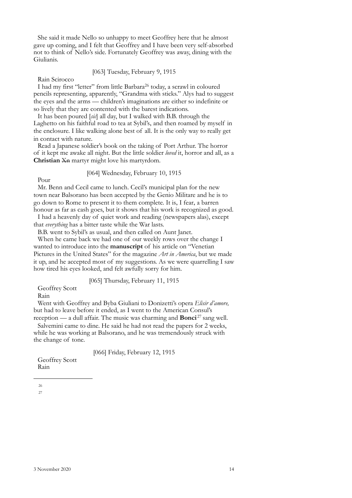She said it made Nello so unhappy to meet Geoffrey here that he almost gave up coming, and I felt that Geoffrey and I have been very self-absorbed not to think of Nello's side. Fortunately Geoffrey was away, dining with the Giulianis.

# [063] Tuesday, February 9, 1915

Rain Scirocco

I had my first "letter" from little Barbara<sup>[26](#page-11-0)</sup> today, a scrawl in coloured pencils representing, apparently, "Grandma with sticks." Alys had to suggest the eyes and the arms — children's imaginations are either so indefinite or so lively that they are contented with the barest indications.

It has been poured [*sic*] all day, but I walked with B.B. through the Laghetto on his faithful road to tea at Sybil's, and then roamed by myself in the enclosure. I like walking alone best of all. It is the only way to really get in contact with nature.

Read a Japanese soldier's book on the taking of Port Arthur. The horror of it kept me awake all night. But the little soldier *loved* it, horror and all, as a **Christian** X<del>n</del> martyr might love his martyrdom.

# [064] Wednesday, February 10, 1915

Pour

Mr. Benn and Cecil came to lunch. Cecil's municipal plan for the new town near Balsorano has been accepted by the Genio Militare and he is to go down to Rome to present it to them complete. It is, I fear, a barren honour as far as cash goes, but it shows that his work is recognized as good.

I had a heavenly day of quiet work and reading (newspapers alas), except that *everything* has a bitter taste while the War lasts.

B.B. went to Sybil's as usual, and then called on Aunt Janet.

When he came back we had one of our weekly rows over the change I wanted to introduce into the **manuscript** of his article on "Venetian Pictures in the United States" for the magazine *Art in America*, but we made it up, and he accepted most of my suggestions. As we were quarrelling I saw how tired his eyes looked, and felt awfully sorry for him.

[065] Thursday, February 11, 1915

Geoffrey Scott

Rain

Went with Geoffrey and Byba Giuliani to Donizetti's opera *Elisir d'amore,* but had to leave before it ended, as I went to the American Consul's

reception — a dull affair. The music was charming and **Bonci** [27](#page-11-1) sang well. Salvemini came to dine. He said he had not read the papers for 2 weeks, while he was working at Balsorano, and he was tremendously struck with the change of tone.

[066] Friday, February 12, 1915

<span id="page-11-1"></span><span id="page-11-0"></span>Geoffrey Scott Rain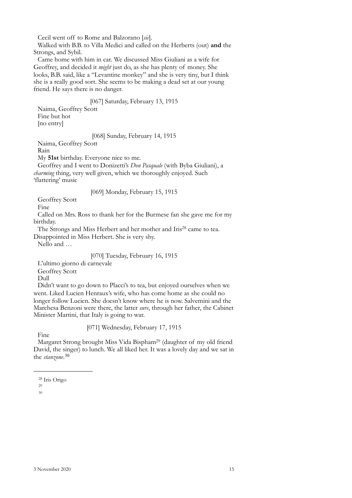Cecil went off to Rome and Balzorano [*sic*].

Walked with B.B. to Villa Medici and called on the Herberts (out) **and** the Strongs, and Sybil.

Came home with him in car. We discussed Miss Giuliani as a wife for Geoffrey, and decided it *might* just do, as she has plenty of money. She looks, B.B. said, like a "Levantine monkey" and she is very tiny, but I think she is a really good sort. She seems to be making a dead set at our young friend. He says there is no danger.

# [067] Saturday, February 13, 1915

Naima, Geoffrey Scott Fine but hot [no entry]

#### [068] Sunday, February 14, 1915

Naima, Geoffrey Scott

Rain

My **51st** birthday. Everyone nice to me.

Geoffrey and I went to Donizetti's *Don Pasquale* (with Byba Giuliani), a *charming* thing, very well given, which we thoroughly enjoyed. Such 'flattering' music

# [069] Monday, February 15, 1915

Geoffrey Scott

Fine

Called on Mrs. Ross to thank her for the Burmese fan she gave me for my birthday.

The Strongs and Miss Herbert and her mother and Iris<sup>28</sup> came to tea.

Disappointed in Miss Herbert. She is very shy.

Nello and …

# [070] Tuesday, February 16, 1915

L'ultimo giorno di carnevale

Geoffrey Scott

Dull

Didn't want to go down to Placci's to tea, but enjoyed ourselves when we went. Liked Lucien Henraux's wife, who has come home as she could no longer follow Lucien. She doesn't know where he is now. Salvemini and the Marchesa Benzoni were there, the latter *sure*, through her father, the Cabinet Minister Martini, that Italy is going to war.

# [071] Wednesday, February 17, 1915

Fine

Margaret Strong brought Miss Vida Bispha[m29](#page-12-1) (daughter of my old friend David, the singer) to lunch. We all liked her. It was a lovely day and we sat in the *stanzone*. [30](#page-12-2)

<span id="page-12-0"></span><sup>28</sup> Iris Origo

<span id="page-12-2"></span><span id="page-12-1"></span><sup>29</sup>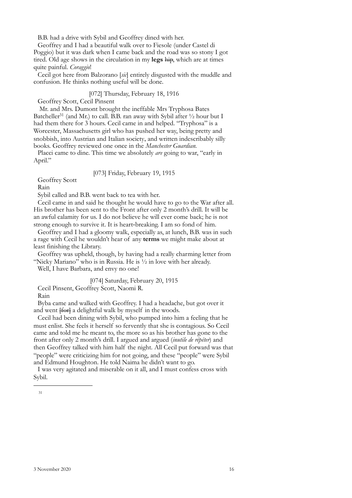B.B. had a drive with Sybil and Geoffrey dined with her.

Geoffrey and I had a beautiful walk over to Fiesole (under Castel di Poggio) but it was dark when I came back and the road was so stony I got tired. Old age shows in the circulation in my **legs** hip, which are at times quite painful. *Coraggio*!

Cecil got here from Balzorano [*sic*] entirely disgusted with the muddle and confusion. He thinks nothing useful will be done.

[072] Thursday, February 18, 1916

Geoffrey Scott, Cecil Pinsent

Mr. and Mrs. Dumont brought the ineffable Mrs Tryphosa Bates Batcheller<sup>[31](#page-13-0)</sup> (and Mr.) to call. B.B. ran away with Sybil after  $\frac{1}{2}$  hour but I had them there for 3 hours. Cecil came in and helped. "Tryphosa" is a Worcester, Massachusetts girl who has pushed her way, being pretty and snobbish, into Austrian and Italian society, and written indescribably silly books. Geoffrey reviewed one once in the *Manchester Guardian.* 

Placci came to dine. This time we absolutely *are* going to war, "early in April."

[073] Friday, February 19, 1915

Geoffrey Scott

Rain

Sybil called and B.B. went back to tea with her.

Cecil came in and said he thought he would have to go to the War after all. His brother has been sent to the Front after only 2 month's drill. It will be an awful calamity for us. I do not believe he will ever come back; he is not strong enough to survive it. It is heart-breaking. I am so fond of him.

Geoffrey and I had a gloomy walk, especially as, at lunch, B.B. was in such a rage with Cecil he wouldn't hear of any **terms** we might make about at least finishing the Library.

Geoffrey was upheld, though, by having had a really charming letter from "Nicky Mariano" who is in Russia. He is ½ in love with her already.

Well, I have Barbara, and envy no one!

[074] Saturday, February 20, 1915 Cecil Pinsent, Geoffrey Scott, Naomi R.

Rain

Byba came and walked with Geoffrey. I had a headache, but got over it and went  $\overline{f\text{for}}$  a delightful walk by myself in the woods.

Cecil had been dining with Sybil, who pumped into him a feeling that he must enlist. She feels it herself so fervently that she is contagious. So Cecil came and told me he meant to, the more so as his brother has gone to the front after only 2 month's drill. I argued and argued (*inutile de répéter*) and then Geoffrey talked with him half the night. All Cecil put forward was that "people" were criticizing him for not going, and these "people" were Sybil and Edmund Houghton. He told Naima he didn't want to go.

<span id="page-13-0"></span>I was very agitated and miserable on it all, and I must confess cross with Sybil.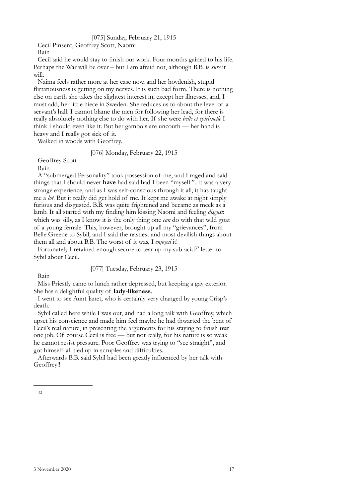# [075] Sunday, February 21, 1915

Cecil Pinsent, Geoffrey Scott, Naomi Rain

Cecil said he would stay to finish our work. Four months gained to his life. Perhaps the War will be over – but I am afraid not, although B.B. is *sure* it will.

Naima feels rather more at her ease now, and her hoydenish, stupid flirtatiousness is getting on my nerves. It is such bad form. There is nothing else on earth she takes the slightest interest in, except her illnesses, and, I must add, her little niece in Sweden. She reduces us to about the level of a servant's hall. I cannot blame the men for following her lead, for there is really absolutely nothing else to do with her. If she were *belle et spirituelle* I think I should even like it. But her gambols are uncouth — her hand is heavy and I really got sick of it.

Walked in woods with Geoffrey.

# [076] Monday, February 22, 1915

Geoffrey Scott

Rain

A "submerged Personality" took possession of me, and I raged and said things that I should never **have** had said had I been "myself ". It was a very strange experience, and as I was self-conscious through it all, it has taught me a *lot*. But it really did get hold of me. It kept me awake at night simply furious and disgusted. B.B. was quite frightened and became as meek as a lamb. It all started with my finding him kissing Naomi and feeling *disgust*: which was silly, as I know it is the only thing one *can* do with that wild goat of a young female. This, however, brought up all my "grievances", from Belle Greene to Sybil, and I said the nastiest and most devilish things about them all and about B.B. The worst of it was, I *enjoyed* it!

Fortunately I retained enough secure to tear up my sub-acid<sup>32</sup> letter to Sybil about Cecil.

[077] Tuesday, February 23, 1915

Rain

Miss Priestly came to lunch rather depressed, but keeping a gay exterior. She has a delightful quality of **lady-likeness**.

I went to see Aunt Janet, who is certainly very changed by young Crisp's death.

Sybil called here while I was out, and had a long talk with Geoffrey, which upset his conscience and made him feel maybe he had thwarted the bent of Cecil's real nature, in presenting the arguments for his staying to finish **our** one job. Of course Cecil is free — but not really, for his nature is so weak he cannot resist pressure. Poor Geoffrey was trying to "see straight", and got himself all tied up in scruples and difficulties.

<span id="page-14-0"></span>Afterwards B.B. said Sybil had been greatly influenced by her talk with Geoffrey!!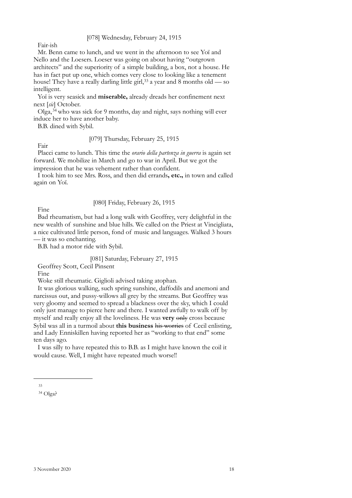[078] Wednesday, February 24, 1915

Fair-ish

Mr. Benn came to lunch, and we went in the afternoon to see Yoï and Nello and the Loesers. Loeser was going on about having "outgrown architects" and the superiority of a simple building, a box, not a house. He has in fact put up one, which comes very close to looking like a tenement house! They have a really darling little girl,  $33$  a year and 8 months old — so intelligent.

Yoï is very seasick and **miserable,** already dreads her confinement next next [*sic*] October.

 $Olga<sub>1</sub><sup>34</sup>$  $Olga<sub>1</sub><sup>34</sup>$  $Olga<sub>1</sub><sup>34</sup>$  who was sick for 9 months, day and night, says nothing will ever induce her to have another baby.

B.B. dined with Sybil.

# [079] Thursday, February 25, 1915

Fair Placci came to lunch. This time the *orario della partenza in guerra* is again set forward. We mobilize in March and go to war in April. But we got the impression that he was vehement rather than confident.

I took him to see Mrs. Ross, and then did errands**, etc.,** in town and called again on Yoï.

# [080] Friday, February 26, 1915

Fine

Bad rheumatism, but had a long walk with Geoffrey, very delightful in the new wealth of sunshine and blue hills. We called on the Priest at Vincigliata, a nice cultivated little person, fond of music and languages. Walked 3 hours — it was so enchanting.

B.B. had a motor ride with Sybil.

# [081] Saturday, February 27, 1915

Geoffrey Scott, Cecil Pinsent

Fine

Woke still rheumatic. Giglioli advised taking atophan.

It was glorious walking, such spring sunshine, daffodils and anemoni and narcissus out, and pussy-willows all grey by the streams. But Geoffrey was very gloomy and seemed to spread a blackness over the sky, which I could only just manage to pierce here and there. I wanted awfully to walk off by myself and really enjoy all the loveliness. He was **very** only cross because Sybil was all in a turmoil about **this business** his worries of Cecil enlisting, and Lady Enniskillen having reported her as "working to that end" some ten days ago.

I was silly to have repeated this to B.B. as I might have known the coil it would cause. Well, I might have repeated much worse!!

<span id="page-15-0"></span><sup>33</sup>

<span id="page-15-1"></span> $34$  Olga?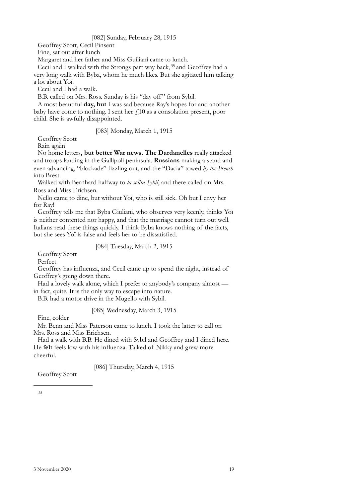### [082] Sunday, February 28, 1915

Geoffrey Scott, Cecil Pinsent

Fine, sat out after lunch

Margaret and her father and Miss Guiliani came to lunch.

Cecil and I walked with the Strongs part way back,<sup>[35](#page-16-0)</sup> and Geoffrey had a very long walk with Byba, whom he much likes. But she agitated him talking a lot about Yoï.

Cecil and I had a walk.

B.B. called on Mrs. Ross. Sunday is his "day off" from Sybil.

A most beautiful **day, but** I was sad because Ray's hopes for and another baby have come to nothing. I sent her  $f<sub>i</sub>10$  as a consolation present, poor child. She is awfully disappointed.

[083] Monday, March 1, 1915

Geoffrey Scott

Rain again

No home letters**, but better War news. The Dardanelles** really attacked and troops landing in the Gallipoli peninsula. **Russians** making a stand and even advancing, "blockade" fizzling out, and the "Dacia" towed *by the French* into Brest.

Walked with Bernhard halfway to *la solita Sybil*, and there called on Mrs. Ross and Miss Erichsen.

Nello came to dine, but without Yoï, who is still sick. Oh but I envy her for Ray!

Geoffrey tells me that Byba Giuliani, who observes very keenly, thinks Yoï is neither contented nor happy, and that the marriage cannot turn out well. Italians read these things quickly. I think Byba knows nothing of the facts, but she sees Yoï is false and feels her to be dissatisfied.

[084] Tuesday, March 2, 1915

Geoffrey Scott

Perfect

Geoffrey has influenza, and Cecil came up to spend the night, instead of Geoffrey's going down there.

Had a lovely walk alone, which I prefer to anybody's company almost in fact, quite. It is the only way to escape into nature.

B.B. had a motor drive in the Mugello with Sybil.

#### [085] Wednesday, March 3, 1915

Fine, colder

Mr. Benn and Miss Paterson came to lunch. I took the latter to call on Mrs. Ross and Miss Erichsen.

Had a walk with B.B. He dined with Sybil and Geoffrey and I dined here. He **felt** feels low with his influenza. Talked of Nikky and grew more cheerful.

[086] Thursday, March 4, 1915

<span id="page-16-0"></span>Geoffrey Scott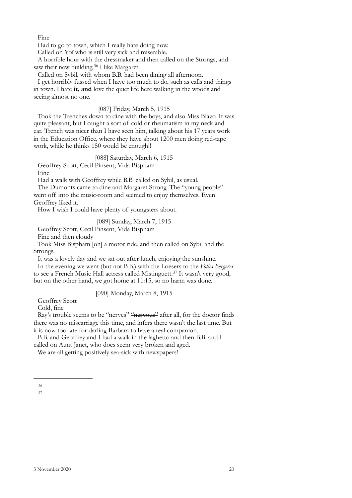Fine

Had to go to town, which I really hate doing now.

Called on Yoï who is still very sick and miserable.

A horrible hour with the dressmaker and then called on the Strongs, and saw their new building.<sup>36</sup> I like Margaret.

Called on Sybil, with whom B.B. had been dining all afternoon.

I get horribly fussed when I have too much to do, such as calls and things in town. I hate **it, and** love the quiet life here walking in the woods and seeing almost no one.

### [087] Friday, March 5, 1915

Took the Trenches down to dine with the boys, and also Miss Blazo. It was quite pleasant, but I caught a sort of cold or rheumatism in my neck and ear. Trench was nicer than I have seen him, talking about his 17 years work in the Education Office, where they have about 1200 men doing red-tape work, while he thinks 150 would be enough!!

[088] Saturday, March 6, 1915

Geoffrey Scott, Cecil Pinsent, Vida Bispham

Fine

Had a walk with Geoffrey while B.B. called on Sybil, as usual.

The Dumonts came to dine and Margaret Strong. The "young people" went off into the music-room and seemed to enjoy themselves. Even Geoffrey liked it.

How I wish I could have plenty of youngsters about.

[089] Sunday, March 7, 1915

Geoffrey Scott, Cecil Pinsent, Vida Bispham

Fine and then cloudy

Took Miss Bispham [on] a motor ride, and then called on Sybil and the Strongs.

It was a lovely day and we sat out after lunch, enjoying the sunshine.

In the evening we went (but not B.B.) with the Loesers to the *Folies Bergeres* to see a French Music Hall actress called Mistinguett.<sup>37</sup> It wasn't very good, but on the other hand, we got home at 11:15, so no harm was done.

# [090] Monday, March 8, 1915

Geoffrey Scott

Cold, fine

Ray's trouble seems to be "nerves" "nervous" after all, for the doctor finds there was no miscarriage this time, and infers there wasn't the last time. But it is now too late for darling Barbara to have a real companion.

B.B. and Geoffrey and I had a walk in the laghetto and then B.B. and I called on Aunt Janet, who does seem very broken and aged.

We are all getting positively sea-sick with newspapers!

<span id="page-17-1"></span><span id="page-17-0"></span><sup>36</sup>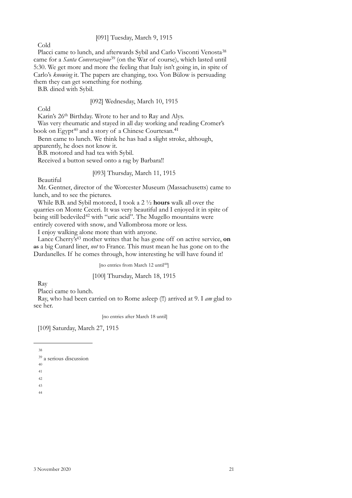# [091] Tuesday, March 9, 1915

Cold

Placci came to lunch, and afterwards Sybil and Carlo Visconti Venosta<sup>[38](#page-18-0)</sup> came for a *Santa Conversazione*[39](#page-18-1) (on the War of course), which lasted until 5:30. We get more and more the feeling that Italy isn't going in, in spite of Carlo's *knowing* it. The papers are changing, too. Von Bülow is persuading them they can get something for nothing.

B.B. dined with Sybil.

# [092] Wednesday, March 10, 1915

Cold

Karin's 26<sup>th</sup> Birthday. Wrote to her and to Ray and Alys.

Was very rheumatic and stayed in all day working and reading Cromer's book on Egypt<sup>[40](#page-18-2)</sup> and a story of a Chinese Courtesan.<sup>[41](#page-18-3)</sup>

Benn came to lunch. We think he has had a slight stroke, although, apparently, he does not know it.

B.B. motored and had tea with Sybil.

Received a button sewed onto a rag by Barbara!!

#### [093] Thursday, March 11, 1915

Beautiful

Mr. Gentner, director of the Worcester Museum (Massachusetts) came to lunch, and to see the pictures.

While B.B. and Sybil motored, I took a 2 ½ **hours** walk all over the quarries on Monte Ceceri. It was very beautiful and I enjoyed it in spite of being still bedeviled<sup>42</sup> with "uric acid". The Mugello mountains were entirely covered with snow, and Vallombrosa more or less.

I enjoy walking alone more than with anyone.

Lance Cherry's<sup>43</sup> mother writes that he has gone off on active service, on as a big Cunard liner, *not* to France. This must mean he has gone on to the Dardanelles. If he comes through, how interesting he will have found it!

[no entries from March 12 until<sup>[44](#page-18-6)</sup>]

### [100] Thursday, March 18, 1915

Ray

Placci came to lunch.

Ray, who had been carried on to Rome asleep (!!) arrived at 9. I *am* glad to see her.

[no entries after March 18 until]

[109] Saturday, March 27, 1915

<span id="page-18-0"></span>38

<span id="page-18-3"></span><span id="page-18-2"></span>40

- <span id="page-18-5"></span><span id="page-18-4"></span>43
- <span id="page-18-6"></span>44

<span id="page-18-1"></span><sup>39</sup> a serious discussion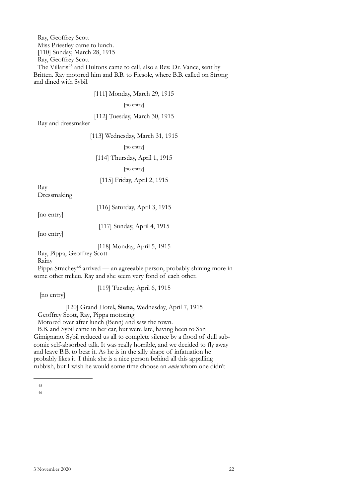Ray, Geoffrey Scott Miss Priestley came to lunch. [110] Sunday, March 28, 1915 Ray, Geoffrey Scott The Villaris<sup>45</sup> and Hultons came to call, also a Rev. Dr. Vance, sent by Britten. Ray motored him and B.B. to Fiesole, where B.B. called on Strong and dined with Sybil.

[111] Monday, March 29, 1915

[no entry]

[112] Tuesday, March 30, 1915

Ray and dressmaker

[113] Wednesday, March 31, 1915

[no entry]

[114] Thursday, April 1, 1915

[no entry]

[115] Friday, April 2, 1915

Ray Dressmaking

[no entry]

[116] Saturday, April 3, 1915

[117] Sunday, April 4, 1915

[no entry]

[118] Monday, April 5, 1915

Ray, Pippa, Geoffrey Scott

Rainy

Pippa Strachey<sup>46</sup> arrived — an agreeable person, probably shining more in some other milieu. Ray and she seem very fond of each other.

[119] Tuesday, April 6, 1915

[no entry]

[120] Grand Hotel**, Siena,** Wednesday, April 7, 1915

Geoffrey Scott, Ray, Pippa motoring

Motored over after lunch (Benn) and saw the town.

B.B. and Sybil came in her car, but were late, having been to San Gimignano. Sybil reduced us all to complete silence by a flood of dull subcomic self-absorbed talk. It was really horrible, and we decided to fly away and leave B.B. to bear it. As he is in the silly shape of infatuation he probably likes it. I think she is a nice person behind all this appalling rubbish, but I wish he would some time choose an *amie* whom one didn't

<span id="page-19-1"></span><span id="page-19-0"></span><sup>45</sup>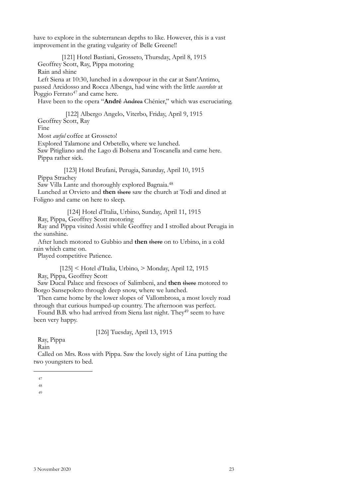have to explore in the subterranean depths to like. However, this is a vast improvement in the grating vulgarity of Belle Greene!!

[121] Hotel Bastiani, Grosseto, Thursday, April 8, 1915 Geoffrey Scott, Ray, Pippa motoring Rain and shine Left Siena at 10:30, lunched in a downpour in the car at Sant'Antimo, passed Arcidosso and Rocca Albenga, had wine with the little *sacerdote* at Poggio Ferrato<sup>47</sup> and came here. Have been to the opera "**André** Andrea Chénier," which was excruciating.

[122] Albergo Angelo, Viterbo, Friday, April 9, 1915 Geoffrey Scott, Ray Fine Most *awful* coffee at Grosseto! Explored Talamone and Orbetello, where we lunched. Saw Pitigliano and the Lago di Bolsena and Toscanella and came here.

Pippa rather sick. [123] Hotel Brufani, Perugia, Saturday, April 10, 1915

Pippa Strachey

Saw Villa Lante and thoroughly explored Bagnaia.[48](#page-20-1)

Lunched at Orvieto and **then** there saw the church at Todi and dined at Foligno and came on here to sleep.

[124] Hotel d'Italia, Urbino, Sunday, April 11, 1915

Ray, Pippa, Geoffrey Scott motoring Ray and Pippa visited Assisi while Geoffrey and I strolled about Perugia in

the sunshine.

After lunch motored to Gubbio and **then** there on to Urbino, in a cold rain which came on.

Played competitive Patience.

[125] < Hotel d'Italia, Urbino, > Monday, April 12, 1915

Ray, Pippa, Geoffrey Scott

Saw Ducal Palace and frescoes of Salimbeni, and **then** there motored to Borgo Sansepolcro through deep snow, where we lunched.

Then came home by the lower slopes of Vallombrosa, a most lovely road through that curious humped-up country. The afternoon was perfect.

Found B.B. who had arrived from Siena last night. They<sup>[49](#page-20-2)</sup> seem to have been very happy.

[126] Tuesday, April 13, 1915

Ray, Pippa

Rain

Called on Mrs. Ross with Pippa. Saw the lovely sight of Lina putting the two youngsters to bed.

<span id="page-20-0"></span><sup>47</sup>

<span id="page-20-1"></span><sup>48</sup>

<span id="page-20-2"></span><sup>49</sup>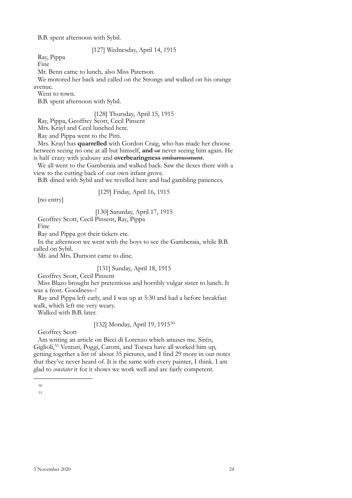B.B. spent afternoon with Sybil.

[127] Wednesday, April 14, 1915

Ray, Pippa

Fine

Mr. Benn came to lunch, also Miss Paterson.

We motored her back and called on the Strongs and walked on his orange avenue.

Went to town.

B.B. spent afternoon with Sybil.

# [128] Thursday, April 15, 1915

Ray, Pippa, Geoffrey Scott, Cecil Pinsent

Mrs. Krayl and Cecil lunched here.

Ray and Pippa went to the Pitti.

Mrs. Krayl has **quarrelled** with Gordon Craig, who has made her choose between seeing no one at all but himself, **and** or never seeing him again. He is half crazy with jealousy and **overbearingness** embarrassment.

We all went to the Gamberaia and walked back. Saw the ilexes there with a view to the cutting back of our own infant grove.

B.B. dined with Sybil and we revelled here and had gambling patiences.

[129] Friday, April 16, 1915

[no entry]

[130] Saturday, April 17, 1915

Geoffrey Scott, Cecil Pinsent, Ray, Pippa

Fine

Ray and Pippa got their tickets etc.

In the afternoon we went with the boys to see the Gamberaia, while B.B. called on Sybil.

Mr. and Mrs. Dumont came to dine.

# [131] Sunday, April 18, 1915

Geoffrey Scott, Cecil Pinsent

Miss Blazo brought her pretentious and horribly vulgar sister to lunch. It was a frost. Goodness–!

Ray and Pippa left early, and I was up at 5:30 and had a before breakfast walk, which left me very weary.

Walked with B.B. later.

[132] Monday, April 19, 1915[50](#page-21-0)

Geoffrey Scott

Am writing an article on Bicci di Lorenzo which amuses me. Sirén, Giglioli,[51](#page-21-1) Venturi, Poggi, Carotti, and Toesca have all worked him up, getting together a list of about 35 pictures, and I find 29 more in our notes that they've never heard of. It is the same with every painter, I think. I am glad to *constater* it for it shows we work well and are fairly competent.

<span id="page-21-1"></span><span id="page-21-0"></span><sup>50</sup>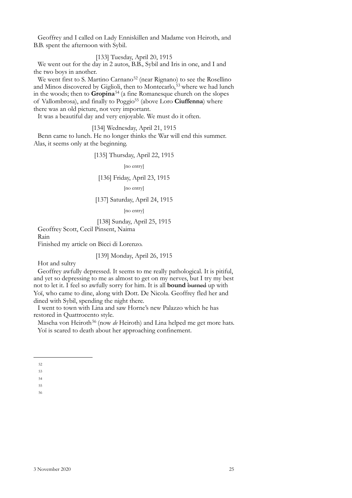Geoffrey and I called on Lady Enniskillen and Madame von Heiroth, and B.B. spent the afternoon with Sybil.

[133] Tuesday, April 20, 1915

We went out for the day in 2 autos, B.B., Sybil and Iris in one, and I and the two boys in another.

We went first to S. Martino Carnano<sup>52</sup> (near Rignano) to see the Rosellino and Minos discovered by Giglioli, then to Montecarlo,<sup>[53](#page-22-1)</sup> where we had lunch in the woods; then to **Gropina**[54](#page-22-2) (a fine Romanesque church on the slopes of Vallombrosa), and finally to Poggio[55](#page-22-3) (above Loro **Ciuffenna**) where there was an old picture, not very important.

It was a beautiful day and very enjoyable. We must do it often.

[134] Wednesday, April 21, 1915

Benn came to lunch. He no longer thinks the War will end this summer. Alas, it seems only at the beginning.

[135] Thursday, April 22, 1915

[no entry]

## [136] Friday, April 23, 1915

[no entry]

# [137] Saturday, April 24, 1915

[no entry]

#### [138] Sunday, April 25, 1915

Geoffrey Scott, Cecil Pinsent, Naima

Rain

Finished my article on Bicci di Lorenzo.

#### [139] Monday, April 26, 1915

Hot and sultry

Geoffrey awfully depressed. It seems to me really pathological. It is pitiful, and yet so depressing to me as almost to get on my nerves, but I try my best not to let it. I feel so awfully sorry for him. It is all **bound** burned up with Yoï, who came to dine, along with Dott. De Nicola. Geoffrey fled her and dined with Sybil, spending the night there.

I went to town with Lina and saw Horne's new Palazzo which he has restored in Quattrocento style.

Mascha von Heiroth<sup>[56](#page-22-4)</sup> (now *de* Heiroth) and Lina helped me get more hats. Yoï is scared to death about her approaching confinement.

<span id="page-22-0"></span><sup>52</sup>

<span id="page-22-1"></span><sup>53</sup> 54

<span id="page-22-3"></span><span id="page-22-2"></span><sup>55</sup>

<span id="page-22-4"></span><sup>56</sup>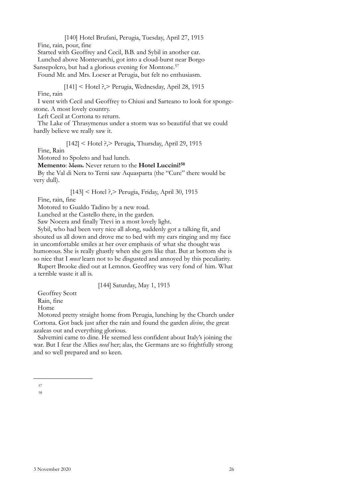[140] Hotel Brufani, Perugia, Tuesday, April 27, 1915

Fine, rain, pour, fine

Started with Geoffrey and Cecil, B.B. and Sybil in another car. Lunched above Montevarchi, got into a cloud-burst near Borgo

Sansepolcro, but had a glorious evening for Montone.<sup>[57](#page-23-0)</sup>

Found Mr. and Mrs. Loeser at Perugia, but felt no enthusiasm.

[141] < Hotel ?,> Perugia, Wednesday, April 28, 1915

Fine, rain

I went with Cecil and Geoffrey to Chiusi and Sarteano to look for spongestone. A most lovely country.

Left Cecil at Cortona to return.

The Lake of Thrasymenus under a storm was so beautiful that we could hardly believe we really saw it.

[142] < Hotel ?,> Perugia, Thursday, April 29, 1915

Fine, Rain

Motored to Spoleto and had lunch.

**Memento**: Mem. Never return to the **Hotel Luccini![58](#page-23-1)**

By the Val di Nera to Terni saw Aquasparta (the "Cure" there would be very dull).

[143] < Hotel ?,> Perugia, Friday, April 30, 1915

Fine, rain, fine

Motored to Gualdo Tadino by a new road.

Lunched at the Castello there, in the garden.

Saw Nocera and finally Trevi in a most lovely light.

Sybil, who had been very nice all along, suddenly got a talking fit, and shouted us all down and drove me to bed with my ears ringing and my face in uncomfortable smiles at her over emphasis of what she thought was humorous. She is really ghastly when she gets like that. But at bottom she is so nice that I *must* learn not to be disgusted and annoyed by this peculiarity.

Rupert Brooke died out at Lemnos. Geoffrey was very fond of him. What a terrible waste it all is.

[144] Saturday, May 1, 1915

Geoffrey Scott Rain, fine Home

Motored pretty straight home from Perugia, lunching by the Church under Cortona. Got back just after the rain and found the garden *divine*, the great azaleas out and everything glorious.

Salvemini came to dine. He seemed less confident about Italy's joining the war. But I fear the Allies *need* her; alas, the Germans are so frightfully strong and so well prepared and so keen.

<span id="page-23-1"></span><span id="page-23-0"></span><sup>57</sup>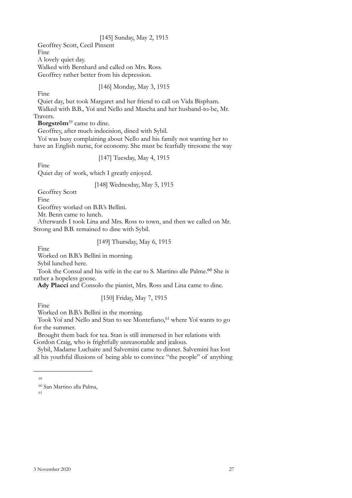# [145] Sunday, May 2, 1915

Geoffrey Scott, Cecil Pinsent Fine A lovely quiet day. Walked with Bernhard and called on Mrs. Ross. Geoffrey rather better from his depression.

# [146] Monday, May 3, 1915

Fine

Quiet day, but took Margaret and her friend to call on Vida Bispham. Walked with B.B., Yoï and Nello and Mascha and her husband-to-be, Mr. Travers.

**Borgström**[59](#page-24-0) came to dine.

Geoffrey, after much indecision, dined with Sybil.

Yoï was busy complaining about Nello and his family not wanting her to have an English nurse, for economy. She must be fearfully tiresome the way

[147] Tuesday, May 4, 1915

Fine

Quiet day of work, which I greatly enjoyed.

#### [148] Wednesday, May 5, 1915

Geoffrey Scott

Fine

Geoffrey worked on B.B.'s Bellini.

Mr. Benn came to lunch.

Afterwards I took Lina and Mrs. Ross to town, and then we called on Mr. Strong and B.B. remained to dine with Sybil.

# [149] Thursday, May 6, 1915

Fine

Worked on B.B.'s Bellini in morning.

Sybil lunched here.

Took the Consul and his wife in the car to S. Martino alle Palme. [60](#page-24-1) She is rather a hopeless goose.

**Ady Placci** and Consolo the pianist, Mrs. Ross and Lina came to dine.

# [150] Friday, May 7, 1915

Fine

Worked on B.B.'s Bellini in the morning.

Took Yoï and Nello and Stan to see Montefiano,<sup>61</sup> where Yoï wants to go for the summer.

Brought them back for tea. Stan is still immersed in her relations with Gordon Craig, who is frightfully unreasonable and jealous.

Sybil, Madame Luchaire and Salvemini came to dinner. Salvemini has lost all his youthful illusions of being able to convince "the people" of anything

<span id="page-24-0"></span><sup>59</sup>

<span id="page-24-2"></span><span id="page-24-1"></span><sup>60</sup> San Martino alla Palma,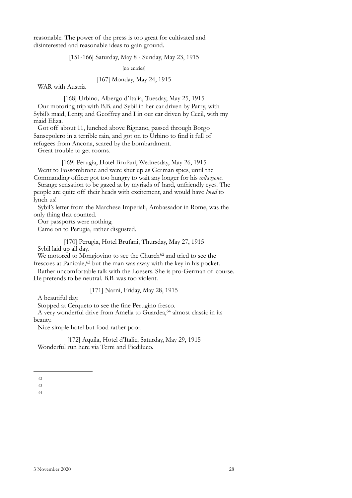reasonable. The power of the press is too great for cultivated and disinterested and reasonable ideas to gain ground.

# [151-166] Saturday, May 8 - Sunday, May 23, 1915

[no entries]

#### [167] Monday, May 24, 1915

WAR with Austria

[168] Urbino, Albergo d'Italia, Tuesday, May 25, 1915 Our motoring trip with B.B. and Sybil in her car driven by Parry, with Sybil's maid, Lenty, and Geoffrey and I in our car driven by Cecil, with my maid Eliza.

Got off about 11, lunched above Rignano, passed through Borgo Sansepolcro in a terrible rain, and got on to Urbino to find it full of refugees from Ancona, scared by the bombardment.

Great trouble to get rooms.

[169] Perugia, Hotel Brufani, Wednesday, May 26, 1915 Went to Fossombrone and were shut up as German spies, until the Commanding officer got too hungry to wait any longer for his *collazione*.

Strange sensation to be gazed at by myriads of hard, unfriendly eyes. The people are quite off their heads with excitement, and would have *loved* to lynch us!

Sybil's letter from the Marchese Imperiali, Ambassador in Rome, was the only thing that counted.

Our passports were nothing.

Came on to Perugia, rather disgusted.

[170] Perugia, Hotel Brufani, Thursday, May 27, 1915 Sybil laid up all day.

We motored to Mongiovino to see the Church<sup>[62](#page-25-0)</sup> and tried to see the frescoes at Panicale, [63](#page-25-1) but the man was away with the key in his pocket.

Rather uncomfortable talk with the Loesers. She is pro-German of course. He pretends to be neutral. B.B. was too violent.

[171] Narni, Friday, May 28, 1915

A beautiful day.

Stopped at Cerqueto to see the fine Perugino fresco.

A very wonderful drive from Amelia to Guardea,<sup>64</sup> almost classic in its beauty.

Nice simple hotel but food rather poor.

[172] Aquila, Hotel d'Italie, Saturday, May 29, 1915 Wonderful run here via Terni and Piediluco.

<span id="page-25-0"></span><sup>62</sup>

<span id="page-25-1"></span><sup>63</sup>

<span id="page-25-2"></span><sup>64</sup>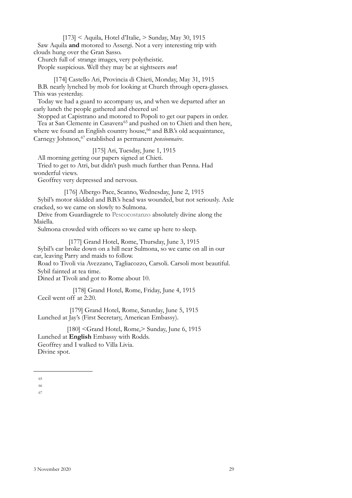$[173]$  < Aquila, Hotel d'Italie,  $>$  Sunday, May 30, 1915

Saw Aquila **and** motored to Assergi. Not a very interesting trip with clouds hung over the Gran Sasso.

Church full of strange images, very polytheistic.

People suspicious. Well they may be at sightseers *now*!

[174] Castello Ari, Provincia di Chieti, Monday, May 31, 1915 B.B. nearly lynched by mob for looking at Church through opera-glasses. This was yesterday.

Today we had a guard to accompany us, and when we departed after an early lunch the people gathered and cheered us!

Stopped at Capistrano and motored to Popoli to get our papers in order. Tea at San Clemente in Casavera<sup>[65](#page-26-0)</sup> and pushed on to Chieti and then here, where we found an English country house,<sup>66</sup> and B.B.'s old acquaintance, Carnegy Johnson,[67](#page-26-2) established as permanent *pensionnaire*.

[175] Ari, Tuesday, June 1, 1915

All morning getting our papers signed at Chieti.

Tried to get to Atri, but didn't push much further than Penna. Had wonderful views.

Geoffrey very depressed and nervous.

[176] Albergo Pace, Scanno, Wednesday, June 2, 1915 Sybil's motor skidded and B.B.'s head was wounded, but not seriously. Axle cracked, so we came on slowly to Sulmona.

Drive from Guardiagrele to Pescocostanzo absolutely divine along the Maiella.

Sulmona crowded with officers so we came up here to sleep.

[177] Grand Hotel, Rome, Thursday, June 3, 1915

Sybil's car broke down on a hill near Sulmona, so we came on all in our car, leaving Parry and maids to follow.

Road to Tivoli via Avezzano, Tagliacozzo, Carsoli. Carsoli most beautiful. Sybil fainted at tea time.

Dined at Tivoli and got to Rome about 10.

[178] Grand Hotel, Rome, Friday, June 4, 1915 Cecil went off at 2:20.

[179] Grand Hotel, Rome, Saturday, June 5, 1915 Lunched at Jay's (First Secretary, American Embassy).

[180] <Grand Hotel, Rome,> Sunday, June 6, 1915 Lunched at **English** Embassy with Rodds. Geoffrey and I walked to Villa Livia. Divine spot.

<span id="page-26-0"></span><sup>65</sup>

<span id="page-26-2"></span><span id="page-26-1"></span><sup>66</sup>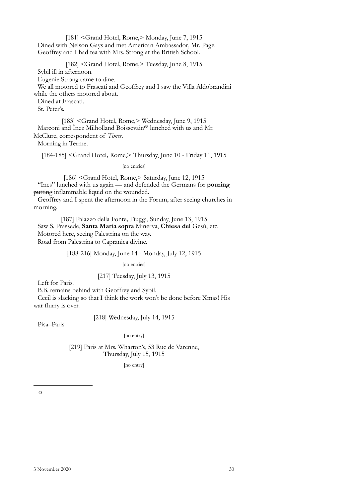[181] <Grand Hotel, Rome,> Monday, June 7, 1915 Dined with Nelson Gays and met American Ambassador, Mr. Page. Geoffrey and I had tea with Mrs. Strong at the British School.

[182] <Grand Hotel, Rome,> Tuesday, June 8, 1915

Sybil ill in afternoon.

Eugenie Strong came to dine.

We all motored to Frascati and Geoffrey and I saw the Villa Aldobrandini while the others motored about.

Dined at Frascati.

St. Peter's.

[183] <Grand Hotel, Rome,> Wednesday, June 9, 1915 Marconi and Inez Milholland Boissevain<sup>68</sup> lunched with us and Mr. McClure, correspondent of *Times*.

Morning in Terme.

[184-185] <Grand Hotel, Rome,> Thursday, June 10 - Friday 11, 1915

[no entries]

[186] <Grand Hotel, Rome,> Saturday, June 12, 1915 "Ines" lunched with us again — and defended the Germans for **pouring** putting inflammable liquid on the wounded.

Geoffrey and I spent the afternoon in the Forum, after seeing churches in morning.

[187] Palazzo della Fonte, Fiuggi, Sunday, June 13, 1915 Saw S. Prassede, **Santa Maria sopra** Minerva, **Chiesa del** Gesù, etc. Motored here, seeing Palestrina on the way. Road from Palestrina to Capranica divine.

### [188-216] Monday, June 14 - Monday, July 12, 1915

[no entries]

### [217] Tuesday, July 13, 1915

Left for Paris.

B.B. remains behind with Geoffrey and Sybil.

Cecil is slacking so that I think the work won't be done before Xmas! His war flurry is over.

[218] Wednesday, July 14, 1915

Pisa–Paris

#### [no entry]

<span id="page-27-0"></span>[219] Paris at Mrs. Wharton's, 53 Rue de Varenne, Thursday, July 15, 1915

[no entry]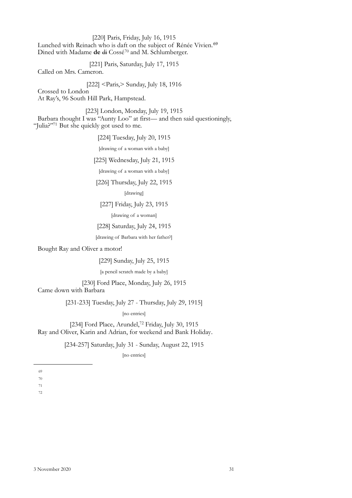[220] Paris, Friday, July 16, 1915 Lunched with Reinach who is daft on the subject of Rénée Vivien.<sup>[69](#page-28-0)</sup> Dined with Madame **de** di Cossé[70](#page-28-1) and M. Schlumberger.

[221] Paris, Saturday, July 17, 1915

Called on Mrs. Cameron.

[222] <Paris,> Sunday, July 18, 1916

Crossed to London At Ray's, 96 South Hill Park, Hampstead.

[223] London, Monday, July 19, 1915 Barbara thought I was "Aunty Loo" at first— and then said questioningly, "Julia?"<sup>71</sup> But she quickly got used to me.

[224] Tuesday, July 20, 1915

[drawing of a woman with a baby]

[225] Wednesday, July 21, 1915

[drawing of a woman with a baby]

[226] Thursday, July 22, 1915

[drawing]

[227] Friday, July 23, 1915

[drawing of a woman]

[228] Saturday, July 24, 1915

[drawing of Barbara with her father?]

Bought Ray and Oliver a motor!

[229] Sunday, July 25, 1915

[a pencil scratch made by a baby]

[230] Ford Place, Monday, July 26, 1915

Came down with Barbara

[231-233] Tuesday, July 27 - Thursday, July 29, 1915]

[no entries]

[234] Ford Place, Arundel,<sup>[72](#page-28-3)</sup> Friday, July 30, 1915 Ray and Oliver, Karin and Adrian, for weekend and Bank Holiday.

[234-257] Saturday, July 31 - Sunday, August 22, 1915

[no entries]

- <span id="page-28-1"></span>70
- <span id="page-28-3"></span><span id="page-28-2"></span>71

<span id="page-28-0"></span><sup>69</sup>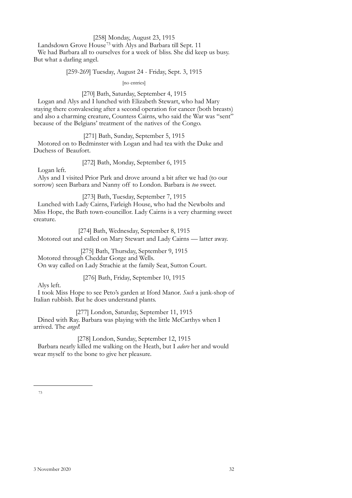# [258] Monday, August 23, 1915

Landsdown Grove House[73](#page-29-0) with Alys and Barbara till Sept. 11 We had Barbara all to ourselves for a week of bliss. She did keep us busy. But what a darling angel.

[259-269] Tuesday, August 24 - Friday, Sept. 3, 1915

[no entries]

# [270] Bath, Saturday, September 4, 1915

Logan and Alys and I lunched with Elizabeth Stewart, who had Mary staying there convalescing after a second operation for cancer (both breasts) and also a charming creature, Countess Cairns, who said the War was "sent" because of the Belgians' treatment of the natives of the Congo.

[271] Bath, Sunday, September 5, 1915 Motored on to Bedminster with Logan and had tea with the Duke and Duchess of Beaufort.

[272] Bath, Monday, September 6, 1915

Logan left.

Alys and I visited Prior Park and drove around a bit after we had (to our sorrow) seen Barbara and Nanny off to London. Barbara is *too* sweet.

[273] Bath, Tuesday, September 7, 1915

Lunched with Lady Cairns, Farleigh House, who had the Newbolts and Miss Hope, the Bath town-councillor. Lady Cairns is a very charming sweet creature.

[274] Bath, Wednesday, September 8, 1915 Motored out and called on Mary Stewart and Lady Cairns — latter away.

[275] Bath, Thursday, September 9, 1915 Motored through Cheddar Gorge and Wells. On way called on Lady Strachie at the family Seat, Sutton Court.

[276] Bath, Friday, September 10, 1915

Alys left.

I took Miss Hope to see Peto's garden at Iford Manor. *Such* a junk-shop of Italian rubbish. But he does understand plants.

[277] London, Saturday, September 11, 1915 Dined with Ray. Barbara was playing with the little McCarthys when I arrived. The *angel*!

<span id="page-29-0"></span>[278] London, Sunday, September 12, 1915 Barbara nearly killed me walking on the Heath, but I *adore* her and would wear myself to the bone to give her pleasure.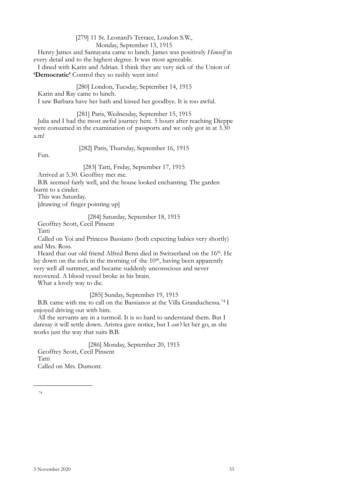[279] 11 St. Leonard's Terrace, London S.W., Monday, September 13, 1915 Henry James and Santayana came to lunch. James was positively *Himself* in every detail and to the highest degree. It was most agreeable. I dined with Karin and Adrian. I think they are very sick of the Union of **'Democratic'** Control they so rashly went into!

[280] London, Tuesday, September 14, 1915 Karin and Ray came to lunch. I saw Barbara have her bath and kissed her goodbye. It is too awful.

[281] Paris, Wednesday, September 15, 1915 Julia and I had the most awful journey here. 5 hours after reaching Dieppe were consumed in the examination of passports and we only got in at  $3.\overline{30}$ a.m!

Fun.

[282] Paris, Thursday, September 16, 1915

[283] Tatti, Friday, September 17, 1915

Arrived at 5.30. Geoffrey met me.

B.B. seemed fairly well, and the house looked enchanting. The garden burnt to a cinder.

This was Saturday.

[drawing of finger pointing up]

# [284] Saturday, September 18, 1915

Geoffrey Scott, Cecil Pinsent

Tatti

Called on Yoi and Princess Bassiano (both expecting babies very shortly) and Mrs. Ross.

Heard that our old friend Alfred Benn died in Switzerland on the 16<sup>th</sup>. He lay down on the sofa in the morning of the  $10<sup>th</sup>$ , having been apparently very well all summer, and became suddenly unconscious and never recovered. A blood vessel broke in his brain.

What a lovely way to die.

[285] Sunday, September 19, 1915

B.B. came with me to call on the Bassianos at the Villa Granduchessa.[74](#page-30-0) I enjoyed driving out with him.

All the servants are in a turmoil. It is so hard to understand them. But I daresay it will settle down. Aristea gave notice, but I *can't* let her go, as she works just the way that suits B.B.

<span id="page-30-0"></span>[286] Monday, September 20, 1915 Geoffrey Scott, Cecil Pinsent Tatti Called on Mrs. Dumont.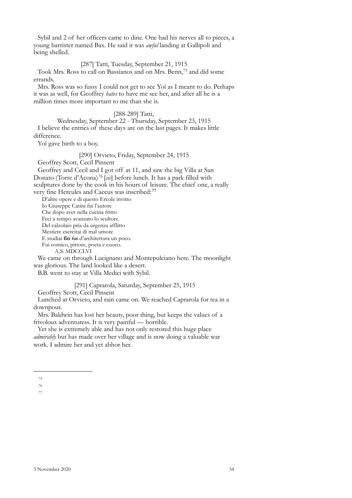Sybil and 2 of her officers came to dine. One had his nerves all to pieces, a young barrister named Bax. He said it was *awful* landing at Gallipoli and being shelled.

[287] Tatti, Tuesday, September 21, 1915

Took Mrs. Ross to call on Bassianos and on Mrs. Benn,[75](#page-31-0) and did some errands.

Mrs. Ross was so fussy I could not get to see Yoï as I meant to do. Perhaps it was as well, for Geoffrey *hates* to have me see her, and after all he is a million times more important to me than she is.

#### [288-289] Tatti,

Wednesday, September 22 - Thursday, September 23, 1915 I believe the entries of these days are on the last pages. It makes little difference.

Yoï gave birth to a boy.

[290] Orvieto, Friday, September 24, 1915

Geoffrey Scott, Cecil Pinsent

Geoffrey and Cecil and I got off at 11, and saw the big Villa at San Donato (Torre d'Acona) [76](#page-31-1) [*sic*] before lunch. It has a park filled with sculptures done by the cook in his hours of leisure. The chief one, a really very fine Hercules and Caccus was inscribed:[77](#page-31-2)

D'altre opere e di questo Ercole invitto

Io Giuseppe Catini fui l'autore

Che dopo aver nella cucina fritto

Feci a tempo avanzato lo scultore.

Del calzolaio pria da urgenza afflitto Mestiere esercitai di mal umore

E studiai **fin** fui d'architettura un poco.

Fui comico, pittore, poeta e cuoco.

A.S. MDCCLVI

We came on through Lucignano and Montepulciano here. The moonlight was glorious. The land looked like a desert.

B.B. went to stay at Villa Medici with Sybil.

[291] Caprarola, Saturday, September 25, 1915

Geoffrey Scott, Cecil Pinsent

Lunched at Orvieto, and rain came on. We reached Caprarola for tea in a downpour.

Mrs. Baldwin has lost her beauty, poor thing, but keeps the values of a frivolous adventuress. It is very painful — horrible.

Yet she is extremely able and has not only restored this huge place *admirably* but has made over her village and is now doing a valuable war work. I admire her and yet abhor her.

<span id="page-31-0"></span><sup>75</sup>

<span id="page-31-2"></span><span id="page-31-1"></span><sup>76</sup>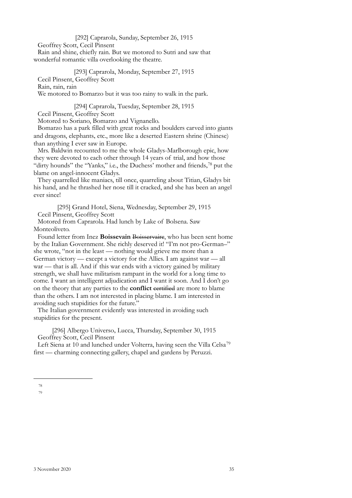# [292] Caprarola, Sunday, September 26, 1915

Geoffrey Scott, Cecil Pinsent

Rain and shine, chiefly rain. But we motored to Sutri and saw that wonderful romantic villa overlooking the theatre.

[293] Caprarola, Monday, September 27, 1915 Cecil Pinsent, Geoffrey Scott Rain, rain, rain We motored to Bomarzo but it was too rainy to walk in the park.

[294] Caprarola, Tuesday, September 28, 1915 Cecil Pinsent, Geoffrey Scott

Motored to Soriano, Bomarzo and Vignanello.

Bomarzo has a park filled with great rocks and boulders carved into giants and dragons, elephants, etc., more like a deserted Eastern shrine (Chinese) than anything I ever saw in Europe.

Mrs. Baldwin recounted to me the whole Gladys-Marlborough epic, how they were devoted to each other through 14 years of trial, and how those "dirty hounds" the "Yanks," i.e., the Duchess' mother and friends,<sup>78</sup> put the blame on angel-innocent Gladys.

They quarrelled like maniacs, till once, quarreling about Titian, Gladys bit his hand, and he thrashed her nose till it cracked, and she has been an angel ever since!

[295] Grand Hotel, Siena, Wednesday, September 29, 1915 Cecil Pinsent, Geoffrey Scott

Motored from Caprarola. Had lunch by Lake of Bolsena. Saw Monteoliveto.

Found letter from Inez **Boissevain** Boisservaire, who has been sent home by the Italian Government. She richly deserved it! "I'm not pro-German–" she wrote, "not in the least — nothing would grieve me more than a German victory — except a victory for the Allies. I am against war — all war — that is all. And if this war ends with a victory gained by military strength, we shall have militarism rampant in the world for a long time to come. I want an intelligent adjudication and I want it soon. And I don't go on the theory that any parties to the **conflict** certified are more to blame than the others. I am not interested in placing blame. I am interested in avoiding such stupidities for the future."

The Italian government evidently was interested in avoiding such stupidities for the present.

[296] Albergo Universo, Lucca, Thursday, September 30, 1915 Geoffrey Scott, Cecil Pinsent

Left Siena at 10 and lunched under Volterra, having seen the Villa Celsa<sup>[79](#page-32-1)</sup> first — charming connecting gallery, chapel and gardens by Peruzzi.

<span id="page-32-1"></span><span id="page-32-0"></span><sup>78</sup> 79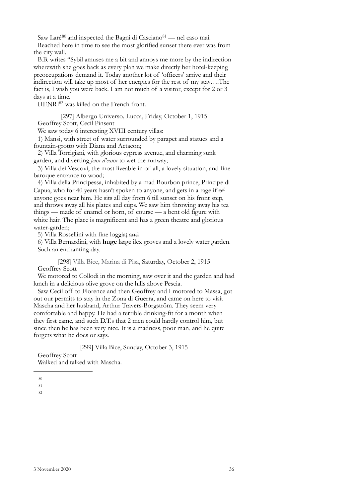Saw Laré<sup>[80](#page-33-0)</sup> and inspected the Bagni di Casciano<sup>81</sup> — nel caso mai.

Reached here in time to see the most glorified sunset there ever was from the city wall.

B.B. writes "Sybil amuses me a bit and annoys me more by the indirection wherewith she goes back as every plan we make directly her hotel-keeping preoccupations demand it. Today another lot of 'officers' arrive and their indirection will take up most of her energies for the rest of my stay….The fact is, I wish you were back. I am not much of a visitor, except for 2 or 3 days at a time.

HENR[I82](#page-33-2) was killed on the French front.

[297] Albergo Universo, Lucca, Friday, October 1, 1915 Geoffrey Scott, Cecil Pinsent

We saw today 6 interesting XVIII century villas:

1) Mansi, with street of water surrounded by parapet and statues and a fountain-grotto with Diana and Actaeon;

2) Villa Torrigiani, with glorious cypress avenue, and charming sunk garden, and diverting *jeux d'eaux* to wet the runway;

3) Villa dei Vescovi, the most liveable-in of all, a lovely situation, and fine baroque entrance to wood;

4) Villa della Principessa, inhabited by a mad Bourbon prince, Principe di Capua, who for 40 years hasn't spoken to anyone, and gets in a rage **if** of anyone goes near him. He sits all day from 6 till sunset on his front step, and throws away all his plates and cups. We saw him throwing away his tea things — made of enamel or horn, of course — a bent old figure with white hair. The place is magnificent and has a green theatre and glorious water-garden;

5) Villa Rossellini with fine loggia**;** and

6) Villa Bernardini, with **huge** large ilex groves and a lovely water garden. Such an enchanting day.

[298] Villa Bice, Marina di Pisa, Saturday, October 2, 1915 Geoffrey Scott

We motored to Collodi in the morning, saw over it and the garden and had lunch in a delicious olive grove on the hills above Pescia.

Saw Cecil off to Florence and then Geoffrey and I motored to Massa, got out our permits to stay in the Zona di Guerra, and came on here to visit Mascha and her husband, Arthur Travers-Borgström. They seem very comfortable and happy. He had a terrible drinking-fit for a month when they first came, and such D.T.s that 2 men could hardly control him, but since then he has been very nice. It is a madness, poor man, and he quite forgets what he does or says.

[299] Villa Bice, Sunday, October 3, 1915

Geoffrey Scott Walked and talked with Mascha.

<span id="page-33-0"></span>80

<span id="page-33-2"></span><span id="page-33-1"></span>81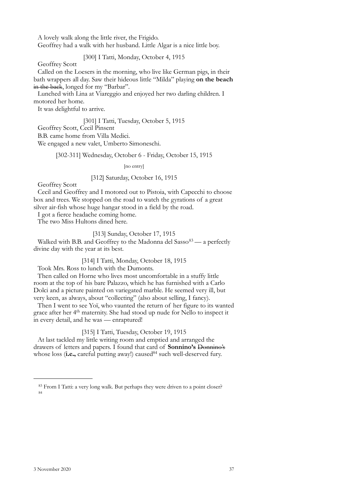A lovely walk along the little river, the Frigido.

Geoffrey had a walk with her husband. Little Algar is a nice little boy.

[300] I Tatti, Monday, October 4, 1915

Geoffrey Scott

Called on the Loesers in the morning, who live like German pigs, in their bath wrappers all day. Saw their hideous little "Milda" playing **on the beach** in the back, longed for my "Barbar".

Lunched with Lina at Viareggio and enjoyed her two darling children. I motored her home.

It was delightful to arrive.

[301] I Tatti, Tuesday, October 5, 1915 Geoffrey Scott, Cecil Pinsent B.B. came home from Villa Medici. We engaged a new valet, Umberto Simoneschi.

[302-311] Wednesday, October 6 - Friday, October 15, 1915

[no entry]

# [312] Saturday, October 16, 1915

Geoffrey Scott

Cecil and Geoffrey and I motored out to Pistoia, with Capecchi to choose box and trees. We stopped on the road to watch the gyrations of a great silver air-fish whose huge hangar stood in a field by the road.

I got a fierce headache coming home.

The two Miss Hultons dined here.

# [313] Sunday, October 17, 1915

Walked with B.B. and Geoffrey to the Madonna del Sasso $83 - a$  $83 - a$  perfectly divine day with the year at its best.

[314] I Tatti, Monday, October 18, 1915

Took Mrs. Ross to lunch with the Dumonts.

Then called on Horne who lives most uncomfortable in a stuffy little room at the top of his bare Palazzo, which he has furnished with a Carlo Dolci and a picture painted on variegated marble. He seemed very ill, but very keen, as always, about "collecting" (also about selling, I fancy).

Then I went to see Yoï, who vaunted the return of her figure to its wanted grace after her 4<sup>th</sup> maternity. She had stood up nude for Nello to inspect it in every detail, and he was — enraptured!

[315] I Tatti, Tuesday, October 19, 1915

At last tackled my little writing room and emptied and arranged the drawers of letters and papers. I found that card of **Sonnino's** Donnino's whose loss (i.e., careful putting away!) caused<sup>84</sup> such well-deserved fury.

<span id="page-34-1"></span><span id="page-34-0"></span><sup>83</sup> From I Tatti: a very long walk. But perhaps they were driven to a point closer? 84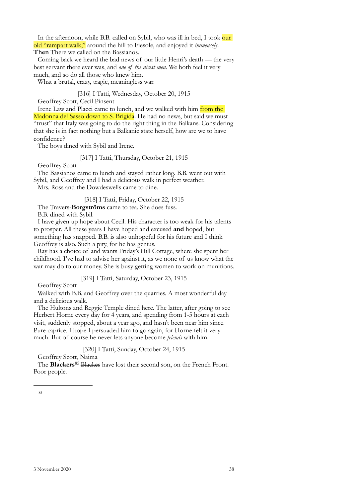In the afternoon, while B.B. called on Sybil, who was ill in bed, I took our old "rampart walk," around the hill to Fiesole, and enjoyed it *immensely*. **Then** There we called on the Bassianos.

Coming back we heard the bad news of our little Henri's death — the very best servant there ever was, and *one of the nicest men*. We both feel it very much, and so do all those who knew him.

What a brutal, crazy, tragic, meaningless war.

[316] I Tatti, Wednesday, October 20, 1915

Geoffrey Scott, Cecil Pinsent

Irene Law and Placci came to lunch, and we walked with him from the Madonna del Sasso down to S. Brigida. He had no news, but said we must "trust" that Italy was going to do the right thing in the Balkans. Considering that she is in fact nothing but a Balkanic state herself, how are we to have confidence?

The boys dined with Sybil and Irene.

[317] I Tatti, Thursday, October 21, 1915

Geoffrey Scott

The Bassianos came to lunch and stayed rather long. B.B. went out with Sybil, and Geoffrey and I had a delicious walk in perfect weather.

Mrs. Ross and the Dowdeswells came to dine.

[318] I Tatti, Friday, October 22, 1915

The Travers-**Borgströms** came to tea. She does fuss. B.B. dined with Sybil.

I have given up hope about Cecil. His character is too weak for his talents to prosper. All these years I have hoped and excused **and** hoped, but something has snapped. B.B. is also unhopeful for his future and I think Geoffrey is also. Such a pity, for he has genius.

Ray has a choice of and wants Friday's Hill Cottage, where she spent her childhood. I've had to advise her against it, as we none of us know what the war may do to our money. She is busy getting women to work on munitions.

[319] I Tatti, Saturday, October 23, 1915

Geoffrey Scott

Walked with B.B. and Geoffrey over the quarries. A most wonderful day and a delicious walk.

The Hultons and Reggie Temple dined here. The latter, after going to see Herbert Horne every day for 4 years, and spending from 1-5 hours at each visit, suddenly stopped, about a year ago, and hasn't been near him since. Pure caprice. I hope I persuaded him to go again, for Horne felt it very much. But of course he never lets anyone become *friends* with him.

[320] I Tatti, Sunday, October 24, 1915

Geoffrey Scott, Naima

<span id="page-35-0"></span>The **Blackers**<sup>[85](#page-35-0)</sup> Blackes have lost their second son, on the French Front. Poor people.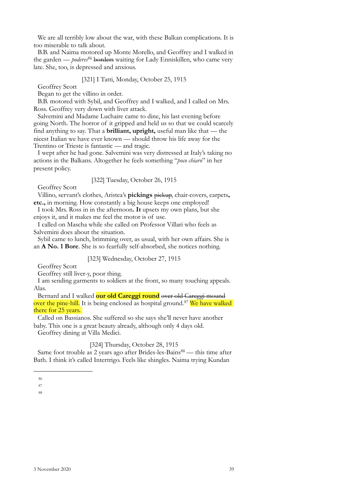We are all terribly low about the war, with these Balkan complications. It is too miserable to talk about.

B.B. and Naima motored up Monte Morello, and Geoffrey and I walked in the garden — *poderes*<sup>[86](#page-36-0)</sup> borders waiting for Lady Enniskillen, who came very late. She, too, is depressed and anxious.

## [321] I Tatti, Monday, October 25, 1915

Geoffrey Scott

Began to get the villino in order.

B.B. motored with Sybil, and Geoffrey and I walked, and I called on Mrs. Ross. Geoffrey very down with liver attack.

Salvemini and Madame Luchaire came to dine, his last evening before going North. The horror of it gripped and held us so that we could scarcely find anything to say. That a **brilliant, upright,** useful man like that — the nicest Italian we have ever known — should throw his life away for the Trentino or Trieste is fantastic — and tragic.

I wept after he had gone. Salvemini was very distressed at Italy's taking no actions in the Balkans. Altogether he feels something "*poco chiaro*" in her present policy.

[322] Tuesday, October 26, 1915

Geoffrey Scott

Villino, servant's clothes, Aristea's **pickings** pickup, chair-covers, carpets**, etc.,** in morning. How constantly a big house keeps one employed!

I took Mrs. Ross in in the afternoon**. It** upsets my own plans, but she enjoys it, and it makes me feel the motor is of use.

I called on Mascha while she called on Professor Villari who feels as Salvemini does about the situation.

Sybil came to lunch, brimming over, as usual, with her own affairs. She is an **A No. 1 Bore**. She is so fearfully self-absorbed, she notices nothing.

## [323] Wednesday, October 27, 1915

Geoffrey Scott

Geoffrey still liver-y, poor thing.

I am sending garments to soldiers at the front, so many touching appeals. Alas.

Bernard and I walked **our old Careggi round** over old Careggi mound over the pine-hill. It is being enclosed as hospital ground.<sup>[87](#page-36-1)</sup> We have walked there for 25 years.

Called on Bassianos. She suffered so she says she'll never have another baby. This one is a great beauty already, although only 4 days old.

Geoffrey dining at Villa Medici.

## [324] Thursday, October 28, 1915

Same foot trouble as 2 years ago after Brides-les-Bains<sup>88</sup> — this time after Bath. I think it's called Intertrigo. Feels like shingles. Naima trying Kundan

<span id="page-36-0"></span><sup>86</sup>

<span id="page-36-2"></span><span id="page-36-1"></span><sup>87</sup>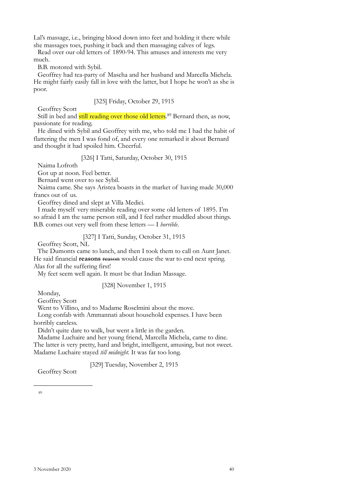Lal's massage, i.e., bringing blood down into feet and holding it there while she massages toes, pushing it back and then massaging calves of legs.

Read over our old letters of 1890-94. This amuses and interests me very much.

B.B. motored with Sybil.

Geoffrey had tea-party of Mascha and her husband and Marcella Michela. He might fairly easily fall in love with the latter, but I hope he won't as she is poor.

[325] Friday, October 29, 1915

Geoffrey Scott

Still in bed and still reading over those old letters.<sup>89</sup> Bernard then, as now, passionate for reading.

He dined with Sybil and Geoffrey with me, who told me I had the habit of flattering the men I was fond of, and every one remarked it about Bernard and thought it had spoiled him. Cheerful.

## [326] I Tatti, Saturday, October 30, 1915

Naima Lofroth

Got up at noon. Feel better.

Bernard went over to see Sybil.

Naima came. She says Aristea boasts in the market of having made 30,000 francs out of us.

Geoffrey dined and slept at Villa Medici.

I made myself very miserable reading over some old letters of 1895. I'm so afraid I am the same person still, and I feel rather muddled about things. B.B. comes out very well from these letters — I *horrible*.

# [327] I Tatti, Sunday, October 31, 1915

Geoffrey Scott, NL

The Dumonts came to lunch, and then I took them to call on Aunt Janet. He said financial **reasons** reason would cause the war to end next spring. Alas for all the suffering first!

My feet seem well again. It must be that Indian Massage.

# [328] November 1, 1915

Monday,

Geoffrey Scott

Went to Villino, and to Madame Roselmini about the move.

Long confab with Ammannati about household expenses. I have been horribly careless.

Didn't quite dare to walk, but went a little in the garden.

Madame Luchaire and her young friend, Marcella Michela, came to dine. The latter is very pretty, hard and bright, intelligent, amusing, but not sweet. Madame Luchaire stayed *till midnight*. It was far too long.

[329] Tuesday, November 2, 1915

<span id="page-37-0"></span>Geoffrey Scott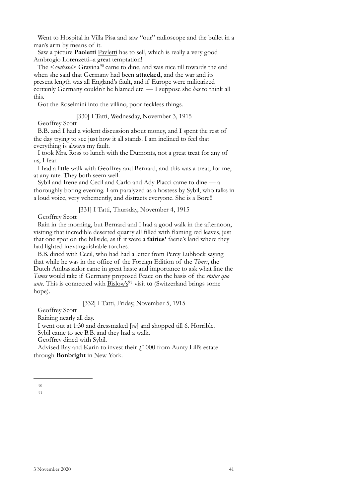Went to Hospital in Villa Pisa and saw "our" radioscope and the bullet in a man's arm by means of it.

Saw a picture **Paoletti** Pavletti has to sell, which is really a very good Ambrogio Lorenzetti–a great temptation!

The <*contessa*> Gravina<sup>[90](#page-38-0)</sup> came to dine, and was nice till towards the end when she said that Germany had been **attacked,** and the war and its present length was all England's fault, and if Europe were militarized certainly Germany couldn't be blamed etc. — I suppose she *has* to think all this.

Got the Roselmini into the villino, poor feckless things.

[330] I Tatti, Wednesday, November 3, 1915

Geoffrey Scott

B.B. and I had a violent discussion about money, and I spent the rest of the day trying to see just how it all stands. I am inclined to feel that everything is always my fault.

I took Mrs. Ross to lunch with the Dumonts, not a great treat for any of us, I fear.

I had a little walk with Geoffrey and Bernard, and this was a treat, for me, at any rate. They both seem well.

Sybil and Irene and Cecil and Carlo and Ady Placci came to dine — a thoroughly boring evening. I am paralyzed as a hostess by Sybil, who talks in a loud voice, very vehemently, and distracts everyone. She is a Bore!!

[331] I Tatti, Thursday, November 4, 1915

Geoffrey Scott

Rain in the morning, but Bernard and I had a good walk in the afternoon, visiting that incredible deserted quarry all filled with flaming red leaves, just that one spot on the hillside, as if it were a **fairies'** faerie's land where they had lighted inextinguishable torches.

B.B. dined with Cecil, who had had a letter from Percy Lubbock saying that while he was in the office of the Foreign Edition of the *Times*, the Dutch Ambassador came in great haste and importance to ask what line the *Times* would take if Germany proposed Peace on the basis of the *status quo ante*. This is connected with Bislow's<sup>91</sup> visit **to** (Switzerland brings some hope).

[332] I Tatti, Friday, November 5, 1915

Geoffrey Scott

Raining nearly all day.

I went out at 1:30 and dressmaked [*sic*] and shopped till 6. Horrible.

Sybil came to see B.B. and they had a walk.

Geoffrey dined with Sybil.

Advised Ray and Karin to invest their  $f1000$  from Aunty Lill's estate through **Bonbright** in New York.

<span id="page-38-1"></span><span id="page-38-0"></span><sup>90</sup>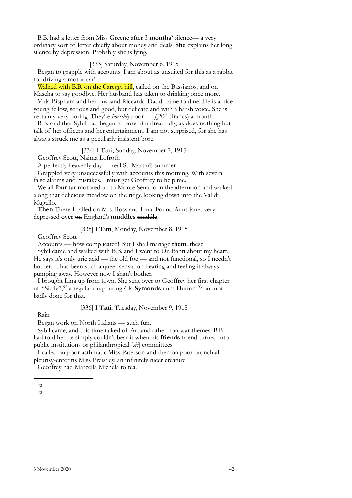B.B. had a letter from Miss Greene after 3 **months'** silence— a very ordinary sort of letter chiefly about money and deals. **She** explains her long silence by depression. Probably she is lying.

## [333] Saturday, November 6, 1915

Began to grapple with accounts. I am about as unsuited for this as a rabbit for driving a motor-car!

Walked with B.B. on the Careggi hill, called on the Bassianos, and on Mascha to say goodbye. Her husband has taken to drinking once more.

Vida Bispham and her husband Riccardo Daddi came to dine. He is a nice young fellow, serious and good, but delicate and with a harsh voice. She is certainly very boring. They're *horribly* poor — £200 (francs) a month.

B.B. said that Sybil had begun to bore him dreadfully, as does nothing but talk of her officers and her entertainment. I am not surprised, for she has always struck me as a peculiarly insistent bore.

[334] I Tatti, Sunday, November 7, 1915

Geoffrey Scott, Naima Lofroth

A perfectly heavenly day — real St. Martin's summer.

Grappled very unsuccessfully with accounts this morning. With several false alarms and mistakes. I must get Geoffrey to help me.

We all **four** far motored up to Monte Senario in the afternoon and walked along that delicious meadow on the ridge looking down into the Val di Mugello.

**Then** There I called on Mrs. Ross and Lina. Found Aunt Janet very depressed **over** on England's **muddles** muddle.

[335] I Tatti, Monday, November 8, 1915

Geoffrey Scott

Accounts — how complicated! But I shall manage **them**. these

Sybil came and walked with B.B. and I went to Dr. Banti about my heart. He says it's only uric acid — the old foe — and not functional, so I needn't bother. It has been such a queer sensation hearing and feeling it always pumping away. However now I shan't bother.

I brought Lina up from town. She sent over to Geoffrey her first chapter of "Sicily",[92](#page-39-0) a regular outpouring à la **Symonds**-cum-Hutton,[93](#page-39-1) but not badly done for that.

[336] I Tatti, Tuesday, November 9, 1915

Rain

Began work on North Italians — such fun.

Sybil came, and this time talked of Art and other non-war themes. B.B. had told her he simply couldn't bear it when his **friends** friend turned into public institutions or philanthropical [*sic*] committees.

I called on poor asthmatic Miss Paterson and then on poor bronchialpleurisy-enteritis Miss Preistley, an infinitely nicer creature.

Geoffrey had Marcella Michela to tea.

<span id="page-39-1"></span><span id="page-39-0"></span><sup>92</sup>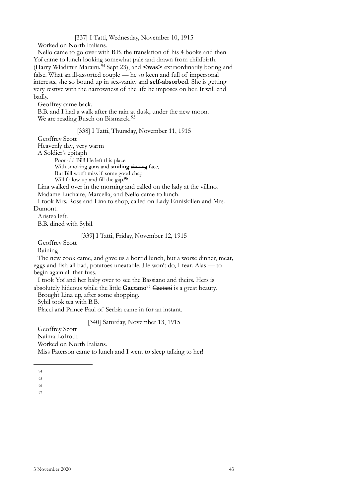[337] I Tatti, Wednesday, November 10, 1915

Worked on North Italians.

Nello came to go over with B.B. the translation of his 4 books and then Yoï came to lunch looking somewhat pale and drawn from childbirth. (Harry Wladimir Maraini, [94](#page-40-0) Sept 23), and **<was>** extraordinarily boring and false. What an ill-assorted couple — he so keen and full of impersonal interests, she so bound up in sex-vanity and **self-absorbed**. She is getting very restive with the narrowness of the life he imposes on her. It will end badly.

Geoffrey came back.

B.B. and I had a walk after the rain at dusk, under the new moon. We are reading Busch on Bismarck.<sup>[95](#page-40-1)</sup>

[338] I Tatti, Thursday, November 11, 1915

Geoffrey Scott

Heavenly day, very warm

A Soldier's epitaph

Poor old Bill! He left this place

With smoking guns and **smiling** sinking face,

But Bill won't miss if some good chap Will follow up and fill the gap.<sup>[96](#page-40-2)</sup>

Lina walked over in the morning and called on the lady at the villino.

Madame Luchaire, Marcella, and Nello came to lunch.

I took Mrs. Ross and Lina to shop, called on Lady Enniskillen and Mrs. Dumont.

Aristea left.

B.B. dined with Sybil.

# [339] I Tatti, Friday, November 12, 1915

Geoffrey Scott

Raining

The new cook came, and gave us a horrid lunch, but a worse dinner, meat, eggs and fish all bad, potatoes uneatable. He won't do, I fear. Alas — to begin again all that fuss.

I took Yoï and her baby over to see the Bassiano and theirs. Hers is absolutely hideous while the little **Gaetano**[97](#page-40-3) Caetani is a great beauty.

Brought Lina up, after some shopping.

Sybil took tea with B.B.

Placci and Prince Paul of Serbia came in for an instant.

[340] Saturday, November 13, 1915

Geoffrey Scott Naima Lofroth Worked on North Italians. Miss Paterson came to lunch and I went to sleep talking to her!

<span id="page-40-0"></span> $94$ 

<span id="page-40-1"></span><sup>95</sup>

<span id="page-40-2"></span><sup>96</sup>

<span id="page-40-3"></span><sup>97</sup>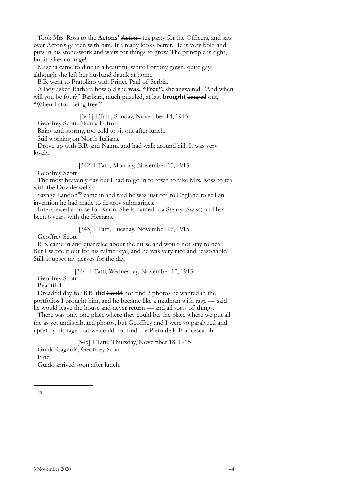Took Mrs. Ross to the **Actons'** Acton's tea party for the Officers, and saw over Acton's garden with him. It already looks better. He is very bold and puts in his stone-work and waits for things to grow. The principle is right, but it takes courage!

Mascha came to dine in a beautiful white Fortuny gown, quite gay, although she left her husband drunk at home.

B.B. went to Pratolino with Prince Paul of Serbia.

A lady asked Barbara how old she **was. "Free",** she answered. "And when will you be four?" Barbara, much puzzled, at last **brought** banged out, "When I stop being free."

[341] I Tatti, Sunday, November 14, 1915

Geoffrey Scott, Naima Lofroth

Rainy and stormy, too cold to sit out after lunch.

Still working on North Italians.

Drove up with B.B. and Naima and had walk around hill. It was very lovely.

[342] I Tatti, Monday, November 15, 1915

Geoffrey Scott

The most heavenly day but I had to go in to town to take Mrs. Ross to tea with the Dowdeswells.

Savage Landon<sup>[98](#page-41-0)</sup> came in and said he was just off to England to sell an invention he had made to destroy submarines.

Interviewed a nurse for Karin. She is named Ida Steury (Swiss) and has been 6 years with the Herrans.

[343] I Tatti, Tuesday, November 16, 1915

Geoffrey Scott

B.B. came in and quarreled about the nurse and would not stay to hear. But I wrote it out for his calmer eye, and he was very nice and reasonable. Still, it upset my nerves for the day.

[344] I Tatti, Wednesday, November 17, 1915

# Geoffrey Scott

Beautiful

Dreadful day for B.B. **did** Could not find 2 photos he wanted in the portfolios I brought him, and he became like a madman with rage — said he would leave the house and never return — and all sorts of things.

There was only one place where they could be, the place where we put all the as yet undistributed photos, but Geoffrey and I were so paralyzed and upset by his rage that we could not find the Piero della Francesca ph

<span id="page-41-0"></span>[345] I Tatti, Thursday, November 18, 1915 Guido Cagnola, Geoffrey Scott Fine Guido arrived soon after lunch.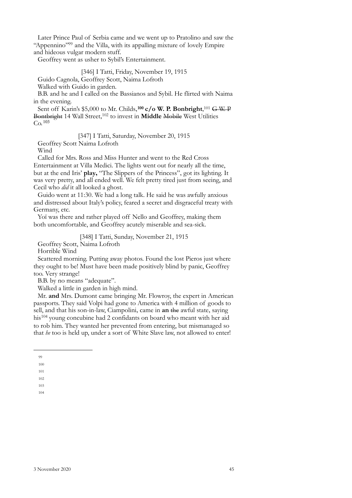Later Prince Paul of Serbia came and we went up to Pratolino and saw the "Appennino["99](#page-42-0) and the Villa, with its appalling mixture of lovely Empire and hideous vulgar modern stuff.

Geoffrey went as usher to Sybil's Entertainment.

[346] I Tatti, Friday, November 19, 1915

Guido Cagnola, Geoffrey Scott, Naima Lofroth

Walked with Guido in garden.

B.B. and he and I called on the Bassianos and Sybil. He flirted with Naima in the evening.

Sent off Karin's \$5,000 to Mr. Childs,**[100](#page-42-1) c/o W. P. Bonbright**, [101](#page-42-2) G W. P Bontbright 14 Wall Street,<sup>102</sup> to invest in **Middle** Mobile West Utilities  $Co.$ <sup>[103](#page-42-4)</sup>

[347] I Tatti, Saturday, November 20, 1915

Geoffrey Scott Naima Lofroth

Wind

Called for Mrs. Ross and Miss Hunter and went to the Red Cross Entertainment at Villa Medici. The lights went out for nearly all the time, but at the end Iris' **play,** "The Slippers of the Princess", got its lighting. It was very pretty, and all ended well. We felt pretty tired just from seeing, and Cecil who *did* it all looked a ghost.

Guido went at 11:30. We had a long talk. He said he was awfully anxious and distressed about Italy's policy, feared a secret and disgraceful treaty with Germany, etc.

Yoï was there and rather played off Nello and Geoffrey, making them both uncomfortable, and Geoffrey acutely miserable and sea-sick.

[348] I Tatti, Sunday, November 21, 1915

Geoffrey Scott, Naima Lofroth

Horrible Wind

Scattered morning. Putting away photos. Found the lost Pieros just where they ought to be! Must have been made positively blind by panic, Geoffrey too. Very strange!

B.B. by no means "adequate".

Walked a little in garden in high mind.

Mr. **and** Mrs. Dumont came bringing Mr. Flowroy, the expert in American passports. They said Volpi had gone to America with 4 million of goods to sell, and that his son-in-law, Ciampolini, came in **an** the awful state, saying his<sup>[104](#page-42-5)</sup> young concubine had 2 confidants on board who meant with her aid to rob him. They wanted her prevented from entering, but mismanaged so that *he* too is held up, under a sort of White Slave law, not allowed to enter!

<span id="page-42-0"></span><sup>99</sup>

<span id="page-42-1"></span><sup>100</sup>

<span id="page-42-2"></span><sup>101</sup> 102

<span id="page-42-4"></span><span id="page-42-3"></span><sup>103</sup>

<span id="page-42-5"></span><sup>104</sup>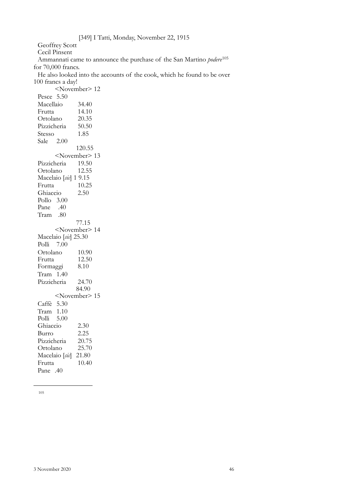Geoffrey Scott Cecil Pinsent

Ammannati came to announce the purchase of the San Martino *podere*[105](#page-43-0)

for 70,000 francs.

He also looked into the accounts of the cook, which he found to be over 100 francs a day!

<span id="page-43-0"></span><November> 12 Pesce 5.50 Macellaio 34.40 Frutta 14.10 Ortolano 20.35 Pizzicheria 50.50 Stesso 1.85 Sale 2.00 120.55 <November> 13 Pizzicheria 19.50<br>Ortolano 12.55 Ortolano Macelaio [*sic*] 1 9.15 Frutta 10.25 Ghiaccio 2.50 Pollo 3.00 Pane .40 Tram .80 77.15 <November> 14 Macelaio [*sic*] 25.30 Polli 7.00 Ortolano 10.90<br>Frutta 12.50 Frutta Formaggi 8.10 Tram 1.40 Pizzicheria 24.70 84.90 <November> 15 Caffè 5.30 Tram 1.10 Polli 5.00 Ghiaccio 2.30 Burro 2.25 Pizzicheria 20.75 Ortolano 25.70 Macelaio [*sic*] 21.80 Frutta 10.40 Pane .40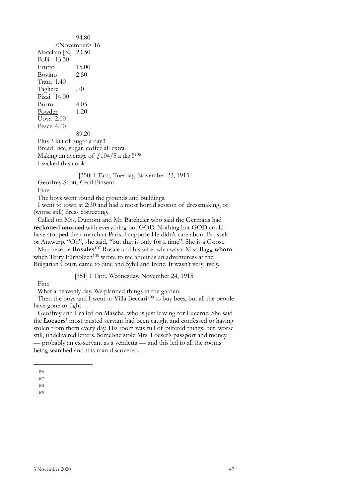94.80 <November> 16 Macelaio [*sic*] 23.50 Polli 13.30 Frutto 15.00 Bovino 2.50 Tram 1.40 Tagliere .70 Pizzi 14.00 Burro 4.05 Powder 1.20 Uova 2.00 Pesce 4.00 89.20 Plus 3 kili of sugar a day!!

Bread, rice, sugar, coffee all extra. Making an average of  $\frac{\text{f}}{104}{\text{5}}$  a day!!<sup>[106](#page-44-0)</sup> I sacked this cook.

[350] I Tatti, Tuesday, November 23, 1915 Geoffrey Scott, Cecil Pinsent

Fine

The boys went round the grounds and buildings.

I went to town at 2:30 and had a most horrid session of dressmaking, or (worse still) dress correcting.

Called on Mrs. Dumont and Mr. Batcheler who said the Germans had **reckoned** returned with everything but GOD. Nothing but GOD could have stopped their march at Paris. I suppose He didn't care about Brussels or Antwerp. "Oh", she said, "but that is only for a time". She is a Goose.

Marchese de **Rosales**[107](#page-44-1) Rosale and his wife, who was a Miss Bagg **whom** when Terry Fürholzen<sup>108</sup> wrote to me about as an adventuress at the Bulgarian Court, came to dine and Sybil and Irene. It wasn't very lively.

[351] I Tatti, Wednesday, November 24, 1915

Fine

What a heavenly day. We planned things in the garden.

Then the boys and I went to Villa Beccari<sup>109</sup> to buy bees, but all the people have gone to fight.

Geoffrey and I called on Mascha, who is just leaving for Lucerne. She said the **Loesers'** most trusted servant had been caught and confessed to having stolen from them every day. His room was full of pilfered things, but, worse still, undelivered letters. Someone stole Mrs. Loeser's passport and money

— probably an ex-servant as a vendetta — and this led to all the rooms being searched and this man discovered.

<span id="page-44-0"></span><sup>106</sup>

<span id="page-44-1"></span><sup>107</sup>

<span id="page-44-2"></span><sup>108</sup>

<span id="page-44-3"></span><sup>109</sup>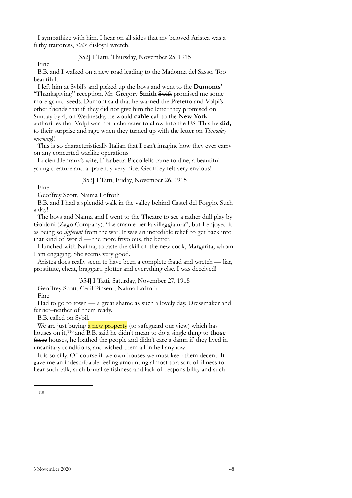I sympathize with him. I hear on all sides that my beloved Aristea was a filthy traitoress, <a> disloyal wretch.

## [352] I Tatti, Thursday, November 25, 1915

Fine

B.B. and I walked on a new road leading to the Madonna del Sasso. Too beautiful.

I left him at Sybil's and picked up the boys and went to the **Dumonts'** "Thanksgiving" reception. Mr. Gregory **Smith** Swift promised me some more gourd-seeds. Dumont said that he warned the Prefetto and Volpi's other friends that if they did not give him the letter they promised on Sunday by 4, on Wednesday he would **cable** call to the **New York** authorities that Volpi was not a character to allow into the US. This he **did,** to their surprise and rage when they turned up with the letter on *Thursday morning*!!

This is so characteristically Italian that I can't imagine how they ever carry on any concerted warlike operations.

Lucien Henraux's wife, Elizabetta Piccollelis came to dine, a beautiful young creature and apparently very nice. Geoffrey felt very envious!

## [353] I Tatti, Friday, November 26, 1915

Fine

Geoffrey Scott, Naima Lofroth

B.B. and I had a splendid walk in the valley behind Castel del Poggio. Such a day!

The boys and Naima and I went to the Theatre to see a rather dull play by Goldoni (Zago Company), "Le smanie per la villeggiatura", but I enjoyed it as being so *different* from the war! It was an incredible relief to get back into that kind of world — the more frivolous, the better.

I lunched with Naima, to taste the skill of the new cook, Margarita, whom I am engaging. She seems very good.

Aristea does really seem to have been a complete fraud and wretch — liar, prostitute, cheat, braggart, plotter and everything else. I was deceived!

[354] I Tatti, Saturday, November 27, 1915

Geoffrey Scott, Cecil Pinsent, Naima Lofroth

Fine

Had to go to town — a great shame as such a lovely day. Dressmaker and furrier–neither of them ready.

B.B. called on Sybil.

We are just buying a new property (to safeguard our view) which has houses on it,[110](#page-45-0) and B.B. said he didn't mean to do a single thing to **those** these houses, he loathed the people and didn't care a damn if they lived in unsanitary conditions, and wished them all in hell anyhow.

It is so silly. Of course if we own houses we must keep them decent. It gave me an indescribable feeling amounting almost to a sort of illness to hear such talk, such brutal selfishness and lack of responsibility and such

<span id="page-45-0"></span><sup>110</sup>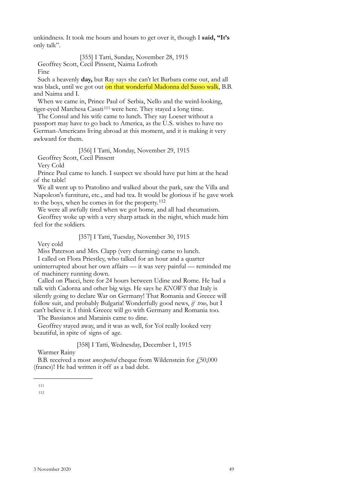unkindness. It took me hours and hours to get over it, though I **said, "It's** only talk".

[355] I Tatti, Sunday, November 28, 1915 Geoffrey Scott, Cecil Pinsent, Naima Lofroth

Fine

Such a heavenly **day,** but Ray says she can't let Barbara come out, and all was black, until we got out on that wonderful Madonna del Sasso walk, B.B. and Naima and I.

When we came in, Prince Paul of Serbia, Nello and the weird-looking, tiger-eyed Marchesa Casati<sup>111</sup> were here. They stayed a long time.

The Consul and his wife came to lunch. They say Loeser without a passport may have to go back to America, as the U.S. wishes to have no German-Americans living abroad at this moment, and it is making it very awkward for them.

[356] I Tatti, Monday, November 29, 1915

Geoffrey Scott, Cecil Pinsent

Very Cold

Prince Paul came to lunch. I suspect we should have put him at the head of the table!

We all went up to Pratolino and walked about the park, saw the Villa and Napoleon's furniture, etc., and had tea. It would be glorious if he gave work to the boys, when he comes in for the property.[112](#page-46-1)

We were all awfully tired when we got home, and all had rheumatism. Geoffrey woke up with a very sharp attack in the night, which made him feel for the soldiers.

[357] I Tatti, Tuesday, November 30, 1915

Very cold

Miss Paterson and Mrs. Clapp (very charming) came to lunch.

I called on Flora Priestley, who talked for an hour and a quarter

uninterrupted about her own affairs — it was very painful — reminded me of machinery running down.

Called on Placci, here for 24 hours between Udine and Rome. He had a talk with Cadorna and other big wigs. He says he *KNOWS* that Italy is silently going to declare War on Germany! That Romania and Greece will follow suit, and probably Bulgaria! Wonderfully good news, *if true*, but I can't believe it. I think Greece will go with Germany and Romania too.

The Bassianos and Marainis came to dine.

Geoffrey stayed away, and it was as well, for Yoï really looked very beautiful, in spite of signs of age.

[358] I Tatti, Wednesday, December 1, 1915

Warmer Rainy

B.B. received a most *unexpected* cheque from Wildenstein for £50,000 (francs)! He had written it off as a bad debt.

<span id="page-46-1"></span><span id="page-46-0"></span>111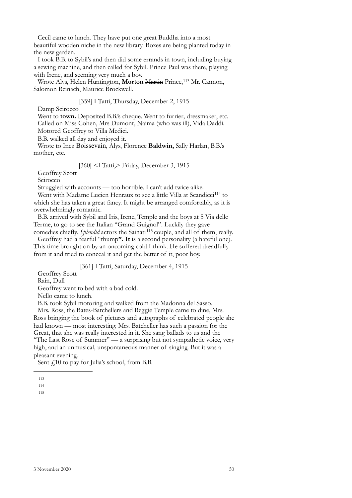Cecil came to lunch. They have put one great Buddha into a most beautiful wooden niche in the new library. Boxes are being planted today in the new garden.

I took B.B. to Sybil's and then did some errands in town, including buying a sewing machine, and then called for Sybil. Prince Paul was there, playing with Irene, and seeming very much a boy.

Wrote Alys, Helen Huntington, **Morton** Martin Prince,[113](#page-47-0) Mr. Cannon, Salomon Reinach, Maurice Brockwell.

## [359] I Tatti, Thursday, December 2, 1915

Damp Scirocco

Went to **town.** Deposited B.B.'s cheque. Went to furrier, dressmaker, etc. Called on Miss Cohen, Mrs Dumont, Naima (who was ill), Vida Daddi. Motored Geoffrey to Villa Medici.

B.B. walked all day and enjoyed it.

Wrote to Inez Boissevain, Alys, Florence **Baldwin,** Sally Harlan, B.B.'s mother, etc.

[360] <I Tatti,> Friday, December 3, 1915

Geoffrey Scott

Scirocco

Struggled with accounts — too horrible. I can't add twice alike.

Went with Madame Lucien Henraux to see a little Villa at Scandicci<sup>[114](#page-47-1)</sup> to which she has taken a great fancy. It might be arranged comfortably, as it is overwhelmingly romantic.

B.B. arrived with Sybil and Iris, Irene, Temple and the boys at 5 Via delle Terme, to go to see the Italian "Grand Guignol". Luckily they gave

comedies chiefly. *Splendid* actors the Sainati<sup>115</sup> couple, and all of them, really. Geoffrey had a fearful "thump**". It** is a second personality (a hateful one). This time brought on by an oncoming cold I think. He suffered dreadfully

from it and tried to conceal it and get the better of it, poor boy.

[361] I Tatti, Saturday, December 4, 1915

Geoffrey Scott

Rain, Dull

Geoffrey went to bed with a bad cold.

Nello came to lunch.

B.B. took Sybil motoring and walked from the Madonna del Sasso.

Mrs. Ross, the Bates-Batchellers and Reggie Temple came to dine, Mrs. Ross bringing the book of pictures and autographs of celebrated people she had known — most interesting. Mrs. Batcheller has such a passion for the Great, that she was really interested in it. She sang ballads to us and the "The Last Rose of Summer" — a surprising but not sympathetic voice, very high, and an unmusical, unspontaneous manner of singing. But it was a pleasant evening.

Sent £10 to pay for Julia's school, from B.B.

<span id="page-47-0"></span><sup>113</sup>

<span id="page-47-1"></span><sup>114</sup>

<span id="page-47-2"></span><sup>115</sup>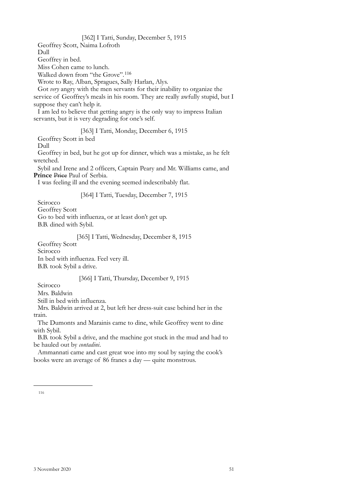[362] I Tatti, Sunday, December 5, 1915 Geoffrey Scott, Naima Lofroth Dull Geoffrey in bed. Miss Cohen came to lunch. Walked down from "the Grove".<sup>[116](#page-48-0)</sup> Wrote to Ray, Alban, Spragues, Sally Harlan, Alys. Got *very* angry with the men servants for their inability to organize the service of Geoffrey's meals in his room. They are really awfully stupid, but I suppose they can't help it. I am led to believe that getting angry is the only way to impress Italian servants, but it is very degrading for one's self. [363] I Tatti, Monday, December 6, 1915 Geoffrey Scott in bed Dull Geoffrey in bed, but he got up for dinner, which was a mistake, as he felt wretched. Sybil and Irene and 2 officers, Captain Peary and Mr. Williams came, and Prince Price Paul of Serbia. I was feeling ill and the evening seemed indescribably flat. [364] I Tatti, Tuesday, December 7, 1915 Scirocco Geoffrey Scott Go to bed with influenza, or at least don't get up. B.B. dined with Sybil. [365] I Tatti, Wednesday, December 8, 1915 Geoffrey Scott **Scirocco** In bed with influenza. Feel very ill. B.B. took Sybil a drive. [366] I Tatti, Thursday, December 9, 1915 Scirocco Mrs. Baldwin Still in bed with influenza. Mrs. Baldwin arrived at 2, but left her dress-suit case behind her in the

train. The Dumonts and Marainis came to dine, while Geoffrey went to dine

with Sybil. B.B. took Sybil a drive, and the machine got stuck in the mud and had to be hauled out by *contadini*.

Ammannati came and cast great woe into my soul by saying the cook's books were an average of 86 francs a day — quite monstrous.

<span id="page-48-0"></span><sup>116</sup>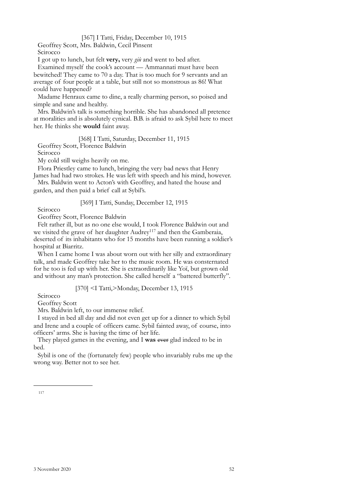## [367] I Tatti, Friday, December 10, 1915

Geoffrey Scott, Mrs. Baldwin, Cecil Pinsent Scirocco

I got up to lunch, but felt **very,** very *giù* and went to bed after.

Examined myself the cook's account — Ammannati must have been bewitched! They came to 70 a day. That is too much for 9 servants and an average of four people at a table, but still not so monstrous as 86! What could have happened?

Madame Henraux came to dine, a really charming person, so poised and simple and sane and healthy.

Mrs. Baldwin's talk is something horrible. She has abandoned all pretence at moralities and is absolutely cynical. B.B. is afraid to ask Sybil here to meet her. He thinks she **would** faint away.

[368] I Tatti, Saturday, December 11, 1915 Geoffrey Scott, Florence Baldwin

Scirocco

My cold still weighs heavily on me.

Flora Priestley came to lunch, bringing the very bad news that Henry James had had two strokes. He was left with speech and his mind, however.

Mrs. Baldwin went to Acton's with Geoffrey, and hated the house and garden, and then paid a brief call at Sybil's.

[369] I Tatti, Sunday, December 12, 1915

Scirocco

Geoffrey Scott, Florence Baldwin

Felt rather ill, but as no one else would, I took Florence Baldwin out and we visited the grave of her daughter Audrey<sup>[117](#page-49-0)</sup> and then the Gamberaia, deserted of its inhabitants who for 15 months have been running a soldier's hospital at Biarritz.

When I came home I was about worn out with her silly and extraordinary talk, and made Geoffrey take her to the music room. He was consternated for he too is fed up with her. She is extraordinarily like Yoï, but grown old and without any man's protection. She called herself a "battered butterfly".

[370] <I Tatti,>Monday, December 13, 1915

Scirocco

Geoffrey Scott

Mrs. Baldwin left, to our immense relief.

I stayed in bed all day and did not even get up for a dinner to which Sybil and Irene and a couple of officers came. Sybil fainted away, of course, into officers' arms. She is having the time of her life.

They played games in the evening, and I **was** ever glad indeed to be in bed.

<span id="page-49-0"></span>Sybil is one of the (fortunately few) people who invariably rubs me up the wrong way. Better not to see her.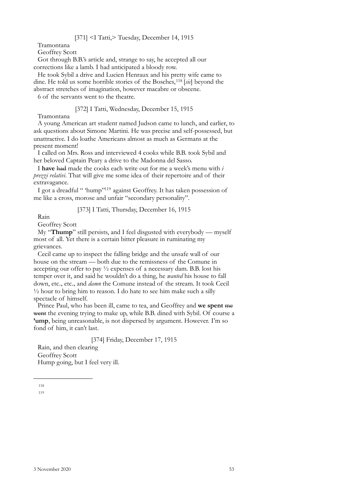Tramontana

Geoffrey Scott

Got through B.B.'s article and, strange to say, he accepted all our corrections like a lamb. I had anticipated a bloody row.

He took Sybil a drive and Lucien Henraux and his pretty wife came to dine. He told us some horrible stories of the Bosches,[118](#page-50-0) [*sic*] beyond the abstract stretches of imagination, however macabre or obscene.

6 of the servants went to the theatre.

## [372] I Tatti, Wednesday, December 15, 1915

Tramontana

A young American art student named Judson came to lunch, and earlier, to ask questions about Simone Martini. He was precise and self-possessed, but unattractive. I do loathe Americans almost as much as Germans at the present moment!

I called on Mrs. Ross and interviewed 4 cooks while B.B. took Sybil and her beloved Captain Peary a drive to the Madonna del Sasso.

I **have** had made the cooks each write out for me a week's menu with *i prezzi relativi*. That will give me some idea of their repertoire and of their extravagance.

I got a dreadful " 'hump["119](#page-50-1) against Geoffrey. It has taken possession of me like a cross, morose and unfair "secondary personality".

## [373] I Tatti, Thursday, December 16, 1915

Rain

Geoffrey Scott

My "**Thump**" still persists, and I feel disgusted with everybody — myself most of all. Yet there is a certain bitter pleasure in ruminating my grievances.

Cecil came up to inspect the falling bridge and the unsafe wall of our house on the stream — both due to the remissness of the Comune in accepting our offer to pay  $\frac{1}{2}$  expenses of a necessary dam. B.B. lost his temper over it, and said he wouldn't do a thing, he *wanted* his house to fall down, etc., etc., and *damn* the Comune instead of the stream. It took Cecil  $\frac{1}{2}$  hour to bring him to reason. I do hate to see him make such a silly spectacle of himself.

Prince Paul, who has been ill, came to tea, and Geoffrey and **we spent** me went the evening trying to make up, while B.B. dined with Sybil. Of course a **'ump**, being unreasonable, is not dispersed by argument. However. I'm so fond of him, it can't last.

[374] Friday, December 17, 1915

Rain, and then clearing Geoffrey Scott Hump going, but I feel very ill.

<span id="page-50-1"></span><span id="page-50-0"></span>118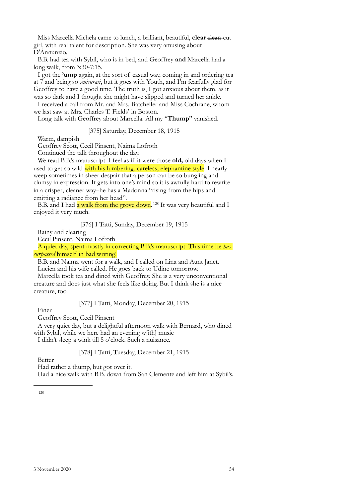Miss Marcella Michela came to lunch, a brilliant, beautiful, **clear** elean-cut girl, with real talent for description. She was very amusing about D'Annunzio.

B.B. had tea with Sybil, who is in bed, and Geoffrey **and** Marcella had a long walk, from 3:30-7:15.

I got the **'ump** again, at the sort of casual way, coming in and ordering tea at 7 and being so *smisurati*, but it goes with Youth, and I'm fearfully glad for Geoffrey to have a good time. The truth is, I got anxious about them, as it was so dark and I thought she might have slipped and turned her ankle.

I received a call from Mr. and Mrs. Batcheller and Miss Cochrane, whom we last saw at Mrs. Charles T. Fields' in Boston.

Long talk with Geoffrey about Marcella. All my "**Thump**" vanished.

[375] Saturday, December 18, 1915

Warm, dampish

Geoffrey Scott, Cecil Pinsent, Naima Lofroth

Continued the talk throughout the day.

We read B.B.'s manuscript. I feel as if it were those **old,** old days when I used to get so wild with his lumbering, careless, elephantine style. I nearly weep sometimes in sheer despair that a person can be so bungling and clumsy in expression. It gets into one's mind so it is awfully hard to rewrite in a crisper, cleaner way–he has a Madonna "rising from the hips and emitting a radiance from her head".

B.B. and I had  $\alpha$  walk from the grove down.<sup>120</sup> It was very beautiful and I enjoyed it very much.

[376] I Tatti, Sunday, December 19, 1915

Rainy and clearing

Cecil Pinsent, Naima Lofroth

A quiet day, spent mostly in correcting B.B.'s manuscript. This time he *has surpassed* himself in bad writing!

B.B. and Naima went for a walk, and I called on Lina and Aunt Janet. Lucien and his wife called. He goes back to Udine tomorrow.

Marcella took tea and dined with Geoffrey. She is a very unconventional creature and does just what she feels like doing. But I think she is a nice creature, too.

Finer

[377] I Tatti, Monday, December 20, 1915

Geoffrey Scott, Cecil Pinsent

A very quiet day, but a delightful afternoon walk with Bernard, who dined with Sybil, while we here had an evening w[ith] music

I didn't sleep a wink till 5 o'clock. Such a nuisance.

[378] I Tatti, Tuesday, December 21, 1915

Better

Had rather a thump, but got over it.

<span id="page-51-0"></span>Had a nice walk with B.B. down from San Clemente and left him at Sybil's.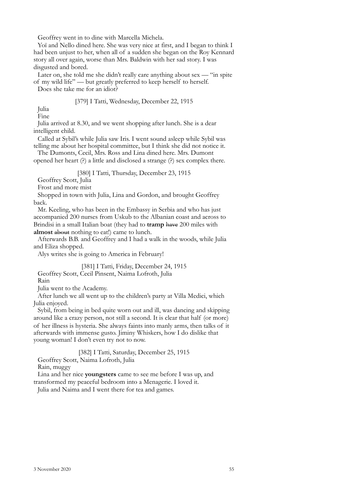Geoffrey went in to dine with Marcella Michela.

Yoï and Nello dined here. She was very nice at first, and I began to think I had been unjust to her, when all of a sudden she began on the Roy Kennard story all over again, worse than Mrs. Baldwin with her sad story. I was disgusted and bored.

Later on, she told me she didn't really care anything about sex — "in spite of my wild life" — but greatly preferred to keep herself to herself.

Does she take me for an idiot?

## [379] I Tatti, Wednesday, December 22, 1915

Julia Fine

Julia arrived at 8.30, and we went shopping after lunch. She is a dear intelligent child.

Called at Sybil's while Julia saw Iris. I went sound asleep while Sybil was telling me about her hospital committee, but I think she did not notice it.

The Dumonts, Cecil, Mrs. Ross and Lina dined here. Mrs. Dumont opened her heart (?) a little and disclosed a strange (?) sex complex there.

[380] I Tatti, Thursday, December 23, 1915

Geoffrey Scott, Julia

Frost and more mist

Shopped in town with Julia, Lina and Gordon, and brought Geoffrey back.

Mr. Keeling, who has been in the Embassy in Serbia and who has just accompanied 200 nurses from Uskub to the Albanian coast and across to Brindisi in a small Italian boat (they had to **tramp** have 200 miles with **almost** about nothing to eat!) came to lunch.

Afterwards B.B. and Geoffrey and I had a walk in the woods, while Julia and Eliza shopped.

Alys writes she is going to America in February!

[381] I Tatti, Friday, December 24, 1915 Geoffrey Scott, Cecil Pinsent, Naima Lofroth, Julia Rain

Julia went to the Academy.

After lunch we all went up to the children's party at Villa Medici, which Julia enjoyed.

Sybil, from being in bed quite worn out and ill, was dancing and skipping around like a crazy person, not still a second. It is clear that half (or more) of her illness is hysteria. She always faints into manly arms, then talks of it afterwards with immense gusto. Jiminy Whiskers, how I do dislike that young woman! I don't even try not to now.

[382] I Tatti, Saturday, December 25, 1915

Geoffrey Scott, Naima Lofroth, Julia

Rain, muggy

Lina and her nice **youngsters** came to see me before I was up, and

transformed my peaceful bedroom into a Menagerie. I loved it.

Julia and Naima and I went there for tea and games.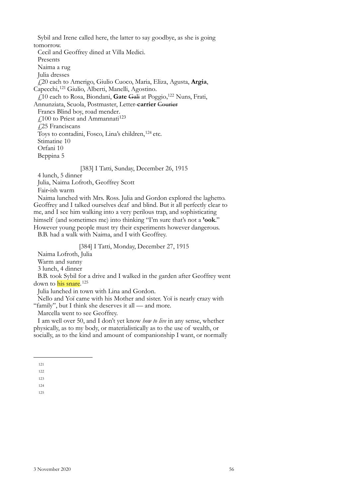Sybil and Irene called here, the latter to say goodbye, as she is going tomorrow. Cecil and Geoffrey dined at Villa Medici. Presents Naima a rug Julia dresses £20 each to Amerigo, Giulio Cuoco, Maria, Eliza, Agusta, **Argia**, Capecchi,[121](#page-53-0) Giulio, Alberti, Manelli, Agostino. £10 each to Rosa, Biondani, **Gate** Gali at Poggio, [122](#page-53-1) Nuns, Frati, Annunziata, Scuola, Postmaster, Letter-**carrier** Courier Francs Blind boy, road mender. £100 to Priest and Ammannati<sup>[123](#page-53-2)</sup> £25 Franciscans Toys to contadini, Fosco, Lina's children,<sup>124</sup> etc. Stimatine 10 Orfani 10 Beppina 5

[383] I Tatti, Sunday, December 26, 1915

4 lunch, 5 dinner

Julia, Naima Lofroth, Geoffrey Scott

Fair-ish warm

Naima lunched with Mrs. Ross. Julia and Gordon explored the laghetto. Geoffrey and I talked ourselves deaf and blind. But it all perfectly clear to me, and I see him walking into a very perilous trap, and sophisticating himself (and sometimes me) into thinking "I'm sure that's not a **'ook**." However young people must try their experiments however dangerous.

B.B. had a walk with Naima, and I with Geoffrey.

# [384] I Tatti, Monday, December 27, 1915

Naima Lofroth, Julia

Warm and sunny

3 lunch, 4 dinner

B.B. took Sybil for a drive and I walked in the garden after Geoffrey went down to his snare.<sup>[125](#page-53-4)</sup>

Julia lunched in town with Lina and Gordon.

Nello and Yoï came with his Mother and sister. Yoï is nearly crazy with "family", but I think she deserves it all — and more.

Marcella went to see Geoffrey.

I am well over 50, and I don't yet know *how to live* in any sense, whether physically, as to my body, or materialistically as to the use of wealth, or socially, as to the kind and amount of companionship I want, or normally

<span id="page-53-0"></span><sup>121</sup>

<span id="page-53-1"></span><sup>122</sup> 123

<span id="page-53-4"></span><span id="page-53-3"></span><span id="page-53-2"></span><sup>124</sup>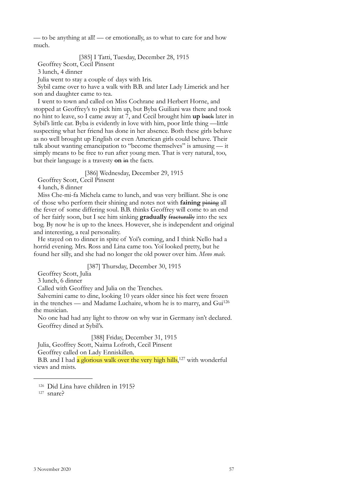–– to be anything at all! — or emotionally, as to what to care for and how much.

## [385] I Tatti, Tuesday, December 28, 1915

Geoffrey Scott, Cecil Pinsent

3 lunch, 4 dinner

Julia went to stay a couple of days with Iris.

Sybil came over to have a walk with B.B. and later Lady Limerick and her son and daughter came to tea.

I went to town and called on Miss Cochrane and Herbert Horne, and stopped at Geoffrey's to pick him up, but Byba Guiliani was there and took no hint to leave, so I came away at 7, and Cecil brought him **up** back later in Sybil's little car. Byba is evidently in love with him, poor little thing —little suspecting what her friend has done in her absence. Both these girls behave as no well brought up English or even American girls could behave. Their talk about wanting emancipation to "become themselves" is amusing — it simply means to be free to run after young men. That is very natural, too, but their language is a travesty **on** in the facts.

[386] Wednesday, December 29, 1915

Geoffrey Scott, Cecil Pinsent

4 lunch, 8 dinner

Miss Che-mi-fa Michela came to lunch, and was very brilliant. She is one of those who perform their shining and notes not with **faining** pining all the fever of some differing soul. B.B. thinks Geoffrey will come to an end of her fairly soon, but I see him sinking **gradually** fracturally into the sex bog. By now he is up to the knees. However, she is independent and original and interesting, a real personality.

He stayed on to dinner in spite of Yoï's coming, and I think Nello had a horrid evening. Mrs. Ross and Lina came too. Yoï looked pretty, but he found her silly, and she had no longer the old power over him. *Meno male.* 

[387] Thursday, December 30, 1915

Geoffrey Scott, Julia

3 lunch, 6 dinner

Called with Geoffrey and Julia on the Trenches.

Salvemini came to dine, looking 10 years older since his feet were frozen in the trenches — and Madame Luchaire, whom he is to marry, and Gui[126](#page-54-0) the musician.

No one had had any light to throw on why war in Germany isn't declared. Geoffrey dined at Sybil's.

[388] Friday, December 31, 1915 Julia, Geoffrey Scott, Naima Lofroth, Cecil Pinsent Geoffrey called on Lady Enniskillen.

B.B. and I had a glorious walk over the very high hills,<sup>[127](#page-54-1)</sup> with wonderful views and mists.

<span id="page-54-0"></span><sup>126</sup> Did Lina have children in 1915?<br><sup>127</sup> snare?

<span id="page-54-1"></span>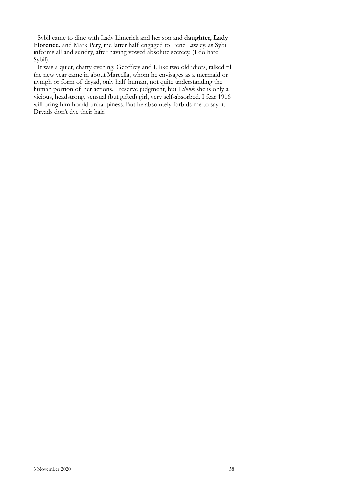Sybil came to dine with Lady Limerick and her son and **daughter, Lady Florence,** and Mark Pery, the latter half engaged to Irene Lawley, as Sybil informs all and sundry, after having vowed absolute secrecy. (I do hate Sybil).

It was a quiet, chatty evening. Geoffrey and I, like two old idiots, talked till the new year came in about Marcella, whom he envisages as a mermaid or nymph or form of dryad, only half human, not quite understanding the human portion of her actions. I reserve judgment, but I *think* she is only a vicious, headstrong, sensual (but gifted) girl, very self-absorbed. I fear 1916 will bring him horrid unhappiness. But he absolutely forbids me to say it. Dryads don't dye their hair!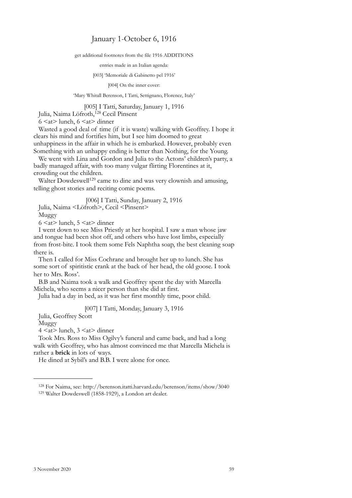# January 1-October 6, 1916

get additional footnotes from the file 1916 ADDITIONS

entries made in an Italian agenda:

[003] 'Memoriale di Gabinetto pel 1916'

[004] On the inner cover:

'Mary Whitall Berenson, I Tatti, Settignano, Florence, Italy'

[005] I Tatti, Saturday, January 1, 1916

Julia, Naima Löfroth,<sup>128</sup> Cecil Pinsent

 $6 \le at$  lunch,  $6 \le at$  dinner

Wasted a good deal of time (if it is waste) walking with Geoffrey. I hope it clears his mind and fortifies him, but I see him doomed to great unhappiness in the affair in which he is embarked. However, probably even Something with an unhappy ending is better than Nothing, for the Young.

We went with Lina and Gordon and Julia to the Actons' children's party, a badly managed affair, with too many vulgar flirting Florentines at it, crowding out the children.

Walter Dowdeswell<sup>129</sup> came to dine and was very clownish and amusing, telling ghost stories and reciting comic poems.

[006] I Tatti, Sunday, January 2, 1916 Julia, Naima <Löfroth>, Cecil <Pinsent>

Muggy

 $6 \leq at$  lunch,  $5 \leq at$  dinner

I went down to see Miss Priestly at her hospital. I saw a man whose jaw and tongue had been shot off, and others who have lost limbs, especially from frost-bite. I took them some Fels Naphtha soap, the best cleaning soap there is.

Then I called for Miss Cochrane and brought her up to lunch. She has some sort of spiritistic crank at the back of her head, the old goose. I took her to Mrs. Ross'.

B.B and Naima took a walk and Geoffrey spent the day with Marcella Michela, who seems a nicer person than she did at first.

Julia had a day in bed, as it was her first monthly time, poor child.

# [007] I Tatti, Monday, January 3, 1916

Julia, Geoffrey Scott

Muggy

 $4 \leq at$  lunch,  $3 \leq at$  dinner

Took Mrs. Ross to Miss Ogilvy's funeral and came back, and had a long walk with Geoffrey, who has almost convinced me that Marcella Michela is rather a **brick** in lots of ways.

He dined at Sybil's and B.B. I were alone for once.

<span id="page-56-0"></span><sup>128</sup> For Naima, see: http://berenson.itatti.harvard.edu/berenson/items/show/3040 129 Walter Dowdeswell (1858-1929), a London art dealer.

<span id="page-56-1"></span>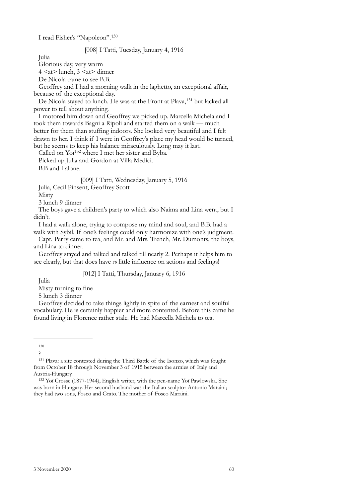I read Fisher's "Napoleon".[130](#page-57-0)

## [008] I Tatti, Tuesday, January 4, 1916

Julia

Glorious day, very warm

 $4 \leq at$  lunch,  $3 \leq at$  dinner

De Nicola came to see B.B.

Geoffrey and I had a morning walk in the laghetto, an exceptional affair, because of the exceptional day.

De Nicola stayed to lunch. He was at the Front at Plava,<sup>131</sup> but lacked all power to tell about anything.

I motored him down and Geoffrey we picked up. Marcella Michela and I took them towards Bagni a Ripoli and started them on a walk — much better for them than stuffing indoors. She looked very beautiful and I felt drawn to her. I think if I were in Geoffrey's place my head would be turned, but he seems to keep his balance miraculously. Long may it last.

Called on Yoï[132](#page-57-2) where I met her sister and Byba.

Picked up Julia and Gordon at Villa Medici.

B.B and I alone.

[009] I Tatti, Wednesday, January 5, 1916

Julia, Cecil Pinsent, Geoffrey Scott

Misty

3 lunch 9 dinner

The boys gave a children's party to which also Naima and Lina went, but I didn't.

I had a walk alone, trying to compose my mind and soul, and B.B. had a walk with Sybil. If one's feelings could only harmonize with one's judgment.

Capt. Perry came to tea, and Mr. and Mrs. Trench, Mr. Dumonts, the boys, and Lina to dinner.

Geoffrey stayed and talked and talked till nearly 2. Perhaps it helps him to see clearly, but that does have *so* little influence on actions and feelings!

[012] I Tatti, Thursday, January 6, 1916

Julia

Misty turning to fine

5 lunch 3 dinner

Geoffrey decided to take things lightly in spite of the earnest and soulful vocabulary. He is certainly happier and more contented. Before this came he found living in Florence rather stale. He had Marcella Michela to tea.

?

<span id="page-57-0"></span><sup>130</sup>

<span id="page-57-1"></span><sup>131</sup> Plava: a site contested during the Third Battle of the Isonzo, which was fought from October 18 through November 3 of 1915 between the armies of Italy and Austria-Hungary.

<span id="page-57-2"></span><sup>132</sup> Yoï Crosse (1877-1944), English writer, with the pen-name Yoï Pawlowska. She was born in Hungary. Her second husband was the Italian sculptor Antonio Maraini; they had two sons, Fosco and Grato. The mother of Fosco Maraini.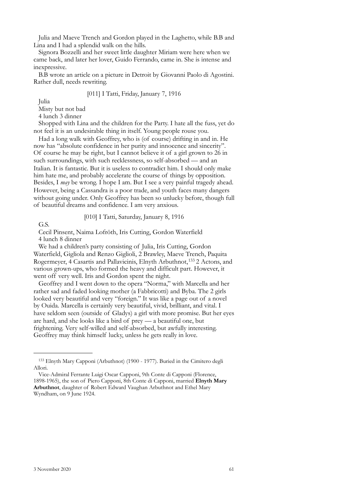Julia and Maeve Trench and Gordon played in the Laghetto, while B.B and Lina and I had a splendid walk on the hills.

Signora Bozzelli and her sweet little daughter Miriam were here when we came back, and later her lover, Guido Ferrando, came in. She is intense and inexpressive.

B.B wrote an article on a picture in Detroit by Giovanni Paolo di Agostini. Rather dull, needs rewriting.

## [011] I Tatti, Friday, January 7, 1916

Julia

Misty but not bad

4 lunch 3 dinner

Shopped with Lina and the children for the Party. I hate all the fuss, yet do not feel it is an undesirable thing in itself. Young people rouse you.

Had a long walk with Geoffrey, who is (of course) drifting in and in. He now has "absolute confidence in her purity and innocence and sincerity". Of course he may be right, but I cannot believe it of a girl grown to 26 in such surroundings, with such recklessness, so self-absorbed — and an Italian. It is fantastic. But it is useless to contradict him. I should only make him hate me, and probably accelerate the course of things by opposition. Besides, I *may* be wrong. I hope I am. But I see a very painful tragedy ahead. However, being a Cassandra is a poor trade, and youth faces many dangers without going under. Only Geoffrey has been so unlucky before, though full of beautiful dreams and confidence. I am very anxious.

## [010] I Tatti, Saturday, January 8, 1916

G.S.

Cecil Pinsent, Naima Lofröth, Iris Cutting, Gordon Waterfield 4 lunch 8 dinner

We had a children's party consisting of Julia, Iris Cutting, Gordon Waterfield, Gigliola and Renzo Giglioli, 2 Brawley, Maeve Trench, Paquita Rogermeyer, 4 Casartis and Pallavicinis, Elnyth Arbuthnot,<sup>133</sup> 2 Actons, and various grown-ups, who formed the heavy and difficult part. However, it went off very well. Iris and Gordon spent the night.

Geoffrey and I went down to the opera "Norma," with Marcella and her rather sad and faded looking mother (a Fabbricotti) and Byba. The 2 girls looked very beautiful and very "foreign." It was like a page out of a novel by Ouida. Marcella is certainly very beautiful, vivid, brilliant, and vital. I have seldom seen (outside of Gladys) a girl with more promise. But her eyes are hard, and she looks like a bird of prey — a beautiful one, but frightening. Very self-willed and self-absorbed, but awfully interesting. Geoffrey may think himself lucky, unless he gets really in love.

<span id="page-58-0"></span><sup>133</sup> Elnyth Mary Capponi (Arbuthnot) (1900 - 1977). Buried in the Cimitero degli Allori.

Vice-Admiral Ferrante Luigi Oscar Capponi, 9th Conte di Capponi (Florence, 1898-1965), the son of Piero Capponi, 8th Conte di Capponi, married **Elnyth Mary Arbuthnot**, daughter of Robert Edward Vaughan Arbuthnot and Ethel Mary Wyndham, on 9 June 1924.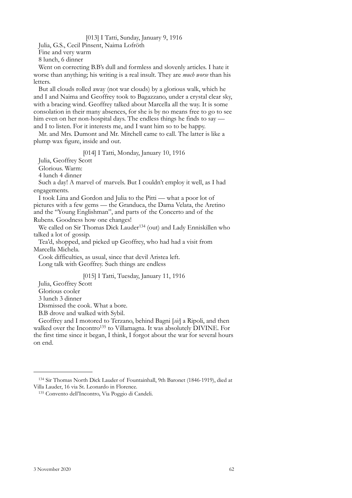## [013] I Tatti, Sunday, January 9, 1916

Julia, G.S., Cecil Pinsent, Naima Lofröth Fine and very warm 8 lunch, 6 dinner

Went on correcting B.B's dull and formless and slovenly articles. I hate it worse than anything; his writing is a real insult. They are *much worse* than his letters.

But all clouds rolled away (not war clouds) by a glorious walk, which he and I and Naima and Geoffrey took to Bagazzano, under a crystal clear sky, with a bracing wind. Geoffrey talked about Marcella all the way. It is some consolation in their many absences, for she is by no means free to go to see him even on her non-hospital days. The endless things he finds to say and I to listen. For it interests me, and I want him so to be happy.

Mr. and Mrs. Dumont and Mr. Mitchell came to call. The latter is like a plump wax figure, inside and out.

[014] I Tatti, Monday, January 10, 1916

Julia, Geoffrey Scott

Glorious. Warm:

4 lunch 4 dinner

Such a day! A marvel of marvels. But I couldn't employ it well, as I had engagements.

I took Lina and Gordon and Julia to the Pitti — what a poor lot of pictures with a few gems — the Granduca, the Dama Velata, the Aretino and the "Young Englishman", and parts of the Concerto and of the Rubens. Goodness how one changes!

We called on Sir Thomas Dick Lauder<sup>134</sup> (out) and Lady Enniskillen who talked a lot of gossip.

Tea'd, shopped, and picked up Geoffrey, who had had a visit from Marcella Michela.

Cook difficulties, as usual, since that devil Aristea left. Long talk with Geoffrey. Such things are endless

## [015] I Tatti, Tuesday, January 11, 1916

Julia, Geoffrey Scott

Glorious cooler

3 lunch 3 dinner

Dismissed the cook. What a bore.

B.B drove and walked with Sybil.

Geoffrey and I motored to Terzano, behind Bagni [*sic*] a Ripoli, and then walked over the Incontro<sup>135</sup> to Villamagna. It was absolutely DIVINE. For the first time since it began, I think, I forgot about the war for several hours on end.

<span id="page-59-0"></span><sup>134</sup> Sir Thomas North Dick Lauder of Fountainhall, 9th Baronet (1846-1919), died at Villa Lauder, 16 via St. Leonardo in Florence.

<span id="page-59-1"></span><sup>135</sup> Convento dell'Incontro, Via Poggio di Candeli.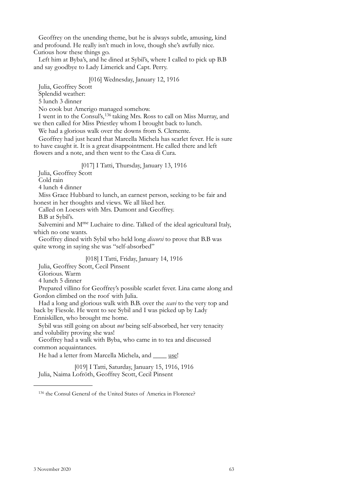Geoffrey on the unending theme, but he is always subtle, amusing, kind and profound. He really isn't much in love, though she's awfully nice. Curious how these things go.

Left him at Byba's, and he dined at Sybil's, where I called to pick up B.B and say goodbye to Lady Limerick and Capt. Perry.

## [016] Wednesday, January 12, 1916

Julia, Geoffrey Scott

Splendid weather:

5 lunch 3 dinner

No cook but Amerigo managed somehow.

I went in to the Consul's,[136](#page-60-0) taking Mrs. Ross to call on Miss Murray, and we then called for Miss Priestley whom I brought back to lunch.

We had a glorious walk over the downs from S. Clemente.

Geoffrey had just heard that Marcella Michela has scarlet fever. He is sure to have caught it. It is a great disappointment. He called there and left flowers and a note, and then went to the Casa di Cura.

## [017] I Tatti, Thursday, January 13, 1916

Julia, Geoffrey Scott

Cold rain

4 lunch 4 dinner

Miss Grace Hubbard to lunch, an earnest person, seeking to be fair and honest in her thoughts and views. We all liked her.

Called on Loesers with Mrs. Dumont and Geoffrey.

B.B at Sybil's.

Salvemini and M<sup>me</sup> Luchaire to dine. Talked of the ideal agricultural Italy, which no one wants.

Geoffrey dined with Sybil who held long *discorsi* to prove that B.B was quite wrong in saying she was "self-absorbed"

## [018] I Tatti, Friday, January 14, 1916

Julia, Geoffrey Scott, Cecil Pinsent

Glorious. Warm

4 lunch 5 dinner

Prepared villino for Geoffrey's possible scarlet fever. Lina came along and Gordon climbed on the roof with Julia.

Had a long and glorious walk with B.B. over the *scavi* to the very top and back by Fiesole. He went to see Sybil and I was picked up by Lady

Enniskillen, who brought me home.

Sybil was still going on about *not* being self-absorbed, her very tenacity and volubility proving she was!

Geoffrey had a walk with Byba, who came in to tea and discussed common acquaintances.

He had a letter from Marcella Michela, and \_\_\_\_\_ use!

[019] I Tatti, Saturday, January 15, 1916, 1916 Julia, Naima Lofröth, Geoffrey Scott, Cecil Pinsent

<span id="page-60-0"></span><sup>136</sup> the Consul General of the United States of America in Florence?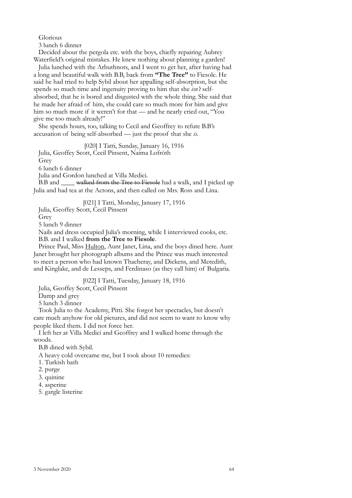## Glorious

3 lunch 6 dinner

Decided about the pergola etc. with the boys, chiefly repairing Aubrey Waterfield's original mistakes. He knew nothing about planning a garden!

Julia lunched with the Arbuthnots, and I went to get her, after having had a long and beautiful walk with B.B, back from **"The Tree"** to Fiesole. He said he had tried to help Sybil about her appalling self-absorption, but she spends so much time and ingenuity proving to him that she *isn't* selfabsorbed, that he is bored and disgusted with the whole thing. She said that he made her afraid of him, she could care so much more for him and give him so much more if it weren't for that — and he nearly cried out, "You give me too much already!"

She spends hours, too, talking to Cecil and Geoffrey to refute B.B's accusation of being self-absorbed — just the proof that she *is*.

[020] I Tatti, Sunday, January 16, 1916

Julia, Geoffey Scott, Cecil Pinsent, Naima Lofröth

Grey

6 lunch 6 dinner

Julia and Gordon lunched at Villa Medici.

B.B and \_\_\_\_\_ walked from the Tree to Fiesole had a walk, and I picked up Julia and had tea at the Actons, and then called on Mrs. Ross and Lina.

[021] I Tatti, Monday, January 17, 1916

Julia, Geoffey Scott, Cecil Pinsent

Grey

5 lunch 9 dinner

Nails and dress occupied Julia's morning, while I interviewed cooks, etc. B.B. and I walked **from the Tree to Fiesole**.

Prince Paul, Miss Hulton, Aunt Janet, Lina, and the boys dined here. Aunt Janet brought her photograph albums and the Prince was much interested to meet a person who had known Thacheray, and Dickens, and Meredith, and Kinglake, and de Lesseps, and Ferdinaso (as they call him) of Bulgaria.

[022] I Tatti, Tuesday, January 18, 1916

Julia, Geoffey Scott, Cecil Pinsent

Damp and grey

5 lunch 3 dinner

Took Julia to the Academy, Pitti. She forgot her spectacles, but doesn't care much anyhow for old pictures, and did not seem to want to know why people liked them. I did not force her.

I left her at Villa Medici and Geoffrey and I walked home through the woods.

B.B dined with Sybil.

A heavy cold overcame me, but I took about 10 remedies:

- 1. Turkish bath
- 2. purge
- 3. quinine
- 4. asperine
- 5. gargle listerine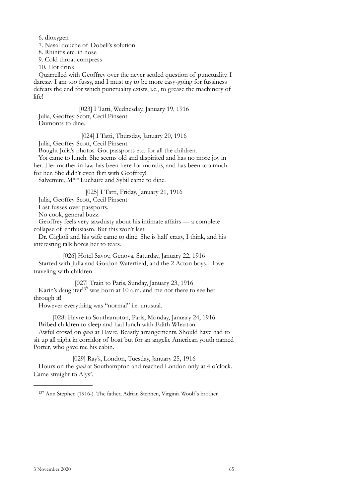6. dioxygen

7. Nasal douche of Dobell's solution

8. Rhinitis etc. in nose

9. Cold throat compress

10. Hot drink

Quarrelled with Geoffrey over the never settled question of punctuality. I daresay I am too fussy, and I must try to be more easy-going for fussiness defeats the end for which punctuality exists, i.e., to grease the machinery of life!

[023] I Tatti, Wednesday, January 19, 1916 Julia, Geoffey Scott, Cecil Pinsent Dumonts to dine.

[024] I Tatti, Thursday, January 20, 1916 Julia, Geoffey Scott, Cecil Pinsent

Bought Julia's photos. Got passports etc. for all the children.

Yoï came to lunch. She seems old and dispirited and has no more joy in her. Her mother in-law has been here for months, and has been too much for her. She didn't even flirt with Geoffrey!

Salvemini, M<sup>me</sup> Luchaire and Sybil came to dine.

[025] I Tatti, Friday, January 21, 1916

Julia, Geoffey Scott, Cecil Pinsent

Last fusses over passports.

No cook, general buzz.

Geoffrey feels very sawdusty about his intimate affairs — a complete collapse of enthusiasm. But this won't last.

Dr. Giglioli and his wife came to dine. She is half crazy, I think, and his interesting talk bores her to tears.

[026] Hotel Savoy, Genova, Saturday, January 22, 1916 Started with Julia and Gordon Waterfield, and the 2 Acton boys. I love traveling with children.

[027] Train to Paris, Sunday, January 23, 1916 Karin's daughter<sup>137</sup> was born at 10 a.m. and me not there to see her through it!

However everything was "normal" i.e. unusual.

[028] Havre to Southampton, Paris, Monday, January 24, 1916 Bribed children to sleep and had lunch with Edith Wharton.

Awful crowd on *quai* at Havre. Beastly arrangements. Should have had to sit up all night in corridor of boat but for an angelic American youth named Porter, who gave me his cabin.

[029] Ray's, London, Tuesday, January 25, 1916 Hours on the *quai* at Southampton and reached London only at 4 o'clock. Came straight to Alys'.

<span id="page-62-0"></span><sup>137</sup> Ann Stephen (1916-). The father, Adrian Stephen, Virginia Woolf 's brother.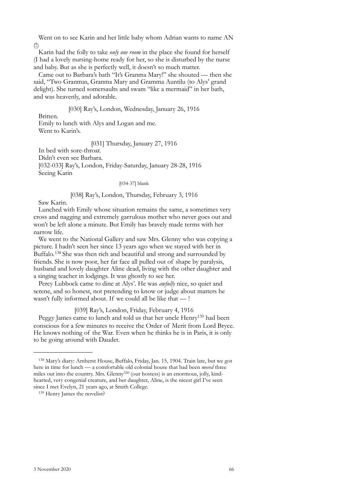Went on to see Karin and her little baby whom Adrian wants to name AN (!)

Karin had the folly to take *only one room* in the place she found for herself (I had a lovely nursing-home ready for her, so she is disturbed by the nurse and baby. But as she is perfectly well, it doesn't so much matter.

Came out to Barbara's bath "It's Granma Mary!" she shouted — then she said, "Two Granmas, Granma Mary and Gramma Auntilu (to Alys' grand delight). She turned somersaults and swam "like a mermaid" in her bath, and was heavenly, and adorable.

[030] Ray's, London, Wednesday, January 26, 1916

Britten.

Emily to lunch with Alys and Logan and me. Went to Karin's.

[031] Thursday, January 27, 1916

In bed with sore-throat.

Didn't even see Barbara.

[032-033] Ray's, London, Friday-Saturday, January 28-28, 1916 Seeing Karin

## [034-37] blank

## [038] Ray's, London, Thursday, February 3, 1916

Saw Karin.

Lunched with Emily whose situation remains the same, a sometimes very cross and nagging and extremely garrulous mother who never goes out and won't be left alone a minute. But Emily has bravely made terms with her narrow life.

We went to the National Gallery and saw Mrs. Glenny who was copying a picture. I hadn't seen her since 13 years ago when we stayed with her in Buffalo.[138](#page-63-0) She was then rich and beautiful and strong and surrounded by friends. She is now poor, her fat face all pulled out of shape by paralysis, husband and lovely daughter Aline dead, living with the other daughter and a singing teacher in lodgings. It was ghostly to see her.

Percy Lubbock came to dine at Alys'. He was *awfully* nice, so quiet and serene, and so honest, not pretending to know or judge about matters he wasn't fully informed about. If we could all be like that — !

[039] Ray's, London, Friday, February 4, 1916

Peggy James came to lunch and told us that her uncle Henry<sup>139</sup> had been conscious for a few minutes to receive the Order of Merit from Lord Bryce. He knows nothing of the War. Even when he thinks he is in Paris, it is only to be going around with Daudet.

<span id="page-63-0"></span><sup>138</sup> Mary's diary: Amherst House, Buffalo, Friday, Jan. 15, 1904. Train late, but we got here in time for lunch — a comfortable old colonial house that had been *moved* three miles out into the country. Mrs. Glenny320 (our hostess) is an enormous, jolly, kindhearted, very congenial creature, and her daughter, Aline, is the nicest girl I've seen since I met Evelyn, 21 years ago, at Smith College.

<span id="page-63-1"></span><sup>139</sup> Henry James the novelist?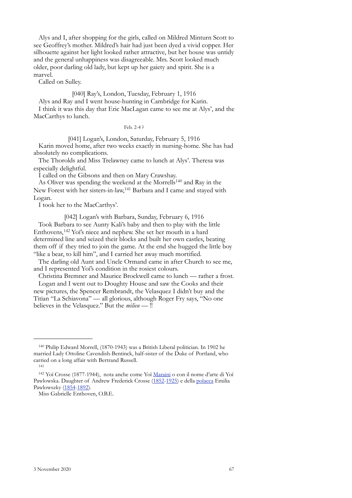Alys and I, after shopping for the girls, called on Mildred Minturn Scott to see Geoffrey's mother. Mildred's hair had just been dyed a vivid copper. Her silhouette against her light looked rather attractive, but her house was untidy and the general unhappiness was disagreeable. Mrs. Scott looked much older, poor darling old lady, but kept up her gaiety and spirit. She is a marvel.

Called on Sulley.

# [040] Ray's, London, Tuesday, February 1, 1916

Alys and Ray and I went house-hunting in Cambridge for Karin.

I think it was this day that Eric MacLagan came to see me at Alys', and the MacCarthys to lunch.

Feb. 2-4 ?

[041] Logan's, London, Saturday, February 5, 1916 Karin moved home, after two weeks exactly in nursing-home. She has had absolutely no complications.

The Thorolds and Miss Trelawney came to lunch at Alys'. Theresa was especially delightful.

I called on the Gibsons and then on Mary Crawshay.

As Oliver was spending the weekend at the Morrell[s140](#page-64-0) and Ray in the New Forest with her sisters-in-law,[141](#page-64-1) Barbara and I came and stayed with Logan.

I took her to the MacCarthys'.

[042] Logan's with Barbara, Sunday, February 6, 1916 Took Barbara to see Aunty Kali's baby and then to play with the little Enthovens,[142](#page-64-2) Yoï's niece and nephew. She set her mouth in a hard determined line and seized their blocks and built her own castles, beating them off if they tried to join the game. At the end she hugged the little boy "like a bear, to kill him", and I carried her away much mortified.

The darling old Aunt and Uncle Ormand came in after Church to see me, and I represented Yoï's condition in the rosiest colours.

Christina Bremner and Maurice Brockwell came to lunch — rather a frost. Logan and I went out to Doughty House and saw the Cooks and their

new pictures, the Spencer Rembrandt, the Velasquez I didn't buy and the Titian "La Schiavona" — all glorious, although Roger Fry says, "No one believes in the Velasquez." But the *milieu* — !!

<span id="page-64-0"></span><sup>140</sup> Philip Edward Morrell, (1870-1943) was a British Liberal politician. In 1902 he married Lady Ottoline Cavendish-Bentinck, half-sister of the Duke of Portland, who carried on a long affair with Bertrand Russell.

<span id="page-64-1"></span><sup>141</sup>

<span id="page-64-2"></span><sup>142</sup> Yoï Crosse (1877-1944), nota anche come Yoï [Maraini](https://it.wikipedia.org/wiki/Maraini) o con il nome d'arte di Yoï Pawlowska. Daughter of Andrew Frederick Crosse [\(1852-](https://it.wikipedia.org/wiki/1852)[1925\)](https://it.wikipedia.org/wiki/1925) e della [polacca](https://it.wikipedia.org/wiki/Polonia) Emilia Pawlowszky ([1854-](https://it.wikipedia.org/wiki/1854)[1892](https://it.wikipedia.org/wiki/1892)).

Miss Gabrielle Enthoven, O.B.E.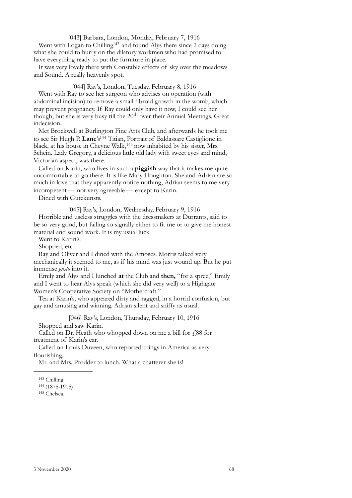[043] Barbara, London, Monday, February 7, 1916

Went with Logan to Chilling<sup>143</sup> and found Alys there since 2 days doing what she could to hurry on the dilatory workmen who had promised to have everything ready to put the furniture in place.

It was very lovely there with Constable effects of sky over the meadows and Sound. A really heavenly spot.

[044] Ray's, London, Tuesday, February 8, 1916 Went with Ray to see her surgeon who advises on operation (with abdominal incision) to remove a small fibroid growth in the womb, which may prevent pregnancy. If Ray could only have it now, I could see her though, but she is very busy till the 20<sup>th</sup> over their Annual Meetings. Great indecision.

Met Brockwell at Burlington Fine Arts Club, and afterwards he took me to see Sir Hugh P. **Lane**'s<sup>144</sup> Titian, Portrait of Baldassare Castiglione in black, at his house in Cheyne Walk,<sup>145</sup> now inhabited by his sister, Mrs. Schein. Lady Gregory, a delicious little old lady with sweet eyes and mind, Victorian aspect, was there.

Called on Karin, who lives in such a **piggish** way that it makes me quite uncomfortable to go there. It is like Mary Houghton. She and Adrian are so much in love that they apparently notice nothing, Adrian seems to me very incompetent — not very agreeable — except to Karin.

Dined with Gutekunsts.

[045] Ray's, London, Wednesday, February 9, 1916

Horrible and useless struggles with the dressmakers at Durrants, said to be so very good, but failing so signally either to fit me or to give me honest material and sound work. It is my usual luck.

Went to Karin's.

Shopped, etc.

Ray and Oliver and I dined with the Amoses. Morris talked very mechanically it seemed to me, as if his mind was just wound up. But he put immense *gusto* into it.

Emily and Alys and I lunched **at** the Club and **then,** "for a spree," Emily and I went to hear Alys speak (which she did very well) to a Highgate Women's Cooperative Society on "Mothercraft."

Tea at Karin's, who appeared dirty and ragged, in a horrid confusion, but gay and amusing and winning. Adrian silent and sniffy as usual.

[046] Ray's, London, Thursday, February 10, 1916 Shopped and saw Karin.

Called on Dr. Heath who whopped down on me a bill for  $\zeta$ 88 for treatment of Karin's ear.

Called on Louis Duveen, who reported things in America as very flourishing.

Mr. and Mrs. Prodder to lunch. What a chatterer she is!

<span id="page-65-1"></span>

<span id="page-65-0"></span><sup>&</sup>lt;sup>143</sup> Chilling<br><sup>144</sup> (1875-1915)<br><sup>145</sup> Chelsea.

<span id="page-65-2"></span>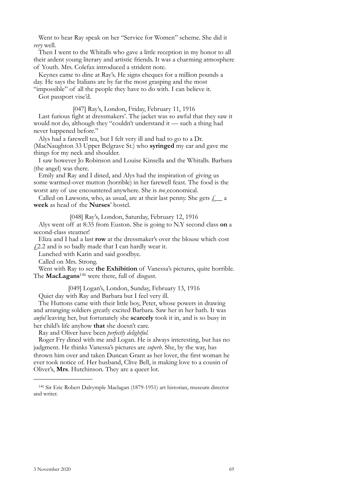Went to hear Ray speak on her "Service for Women" scheme. She did it *very* well.

Then I went to the Whitalls who gave a little reception in my honor to all their ardent young literary and artistic friends. It was a charming atmosphere of Youth. Mrs. Colefax introduced a strident note.

Keynes came to dine at Ray's. He signs cheques for a million pounds a day. He says the Italians are by far the most grasping and the most "impossible" of all the people they have to do with. I can believe it.

Got passport vise'd.

[047] Ray's, London, Friday, February 11, 1916

Last furious fight at dressmakers'. The jacket was so awful that they saw it would not do, although they "couldn't understand it — such a thing had never happened before."

Alys had a farewell tea, but I felt very ill and had to go to a Dr. (MacNaughton 33 Upper Belgrave St.) who **syringed** my ear and gave me things for my neck and shoulder.

I saw however Jo Robinson and Louise Kinsella and the Whitalls. Barbara (the angel) was there.

Emily and Ray and I dined, and Alys had the inspiration of giving us some warmed-over mutton (horrible) in her farewell feast. The food is the worst any of use encountered anywhere. She is *too* economical.

Called on Lawsons, who, as usual, are at their last penny. She gets  $\ell$  a **week** as head of the **Nurses**' hostel.

[048] Ray's, London, Saturday, February 12, 1916

Alys went off at 8:35 from Euston. She is going to N.Y second class **on** a second-class steamer!

Eliza and I had a last **row** at the dressmaker's over the blouse which cost  $\angle$  4.2.2 and is so badly made that I can hardly wear it.

Lunched with Karin and said goodbye.

Called on Mrs. Strong.

Went with Ray to see **the Exhibition** of Vanessa's pictures, quite horrible. The **MacLagans**[146](#page-66-0) were there, full of disgust.

[049] Logan's, London, Sunday, February 13, 1916

Quiet day with Ray and Barbara but I feel very ill.

The Huttons came with their little boy, Peter, whose powers in drawing and arranging soldiers greatly excited Barbara. Saw her in her bath. It was *awful* leaving her, but fortunately she **scarcely** took it in, and is so busy in her child's life anyhow **that** she doesn't care.

Ray and Oliver have been *perfectly delightful.* 

Roger Fry dined with me and Logan. He is always interesting, but has no judgment. He thinks Vanessa's pictures are *superb*. She, by the way, has thrown him over and taken Duncan Grant as her lover, the first woman he ever took notice of. Her husband, Clive Bell, is making love to a cousin of Oliver's, **Mrs**. Hutchinson. They are a queer lot.

<span id="page-66-0"></span><sup>146</sup> Sir Eric Robert Dalrymple Maclagan (1879-1951) art historian, museum director and writer.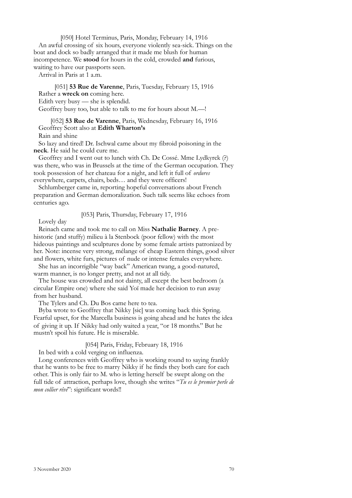[050] Hotel Terminus, Paris, Monday, February 14, 1916

An awful crossing of six hours, everyone violently sea-sick. Things on the boat and dock so badly arranged that it made me blush for human incompetence. We **stood** for hours in the cold, crowded **and** furious, waiting to have our passports seen.

Arrival in Paris at 1 a.m.

[051] **53 Rue de Varenne**, Paris, Tuesday, February 15, 1916 Rather a **wreck on** coming here. Edith very busy — she is splendid. Geoffrey busy too, but able to talk to me for hours about M.—!

[052] **53 Rue de Varenne**, Paris, Wednesday, February 16, 1916 Geoffrey Scott also at **Edith Wharton's**

Rain and shine

So lazy and tired! Dr. Ischwal came about my fibroid poisoning in the **neck**. He said he could cure me.

Geoffrey and I went out to lunch with Ch. De Cossé. Mme Lydkyrck (?) was there, who was in Brussels at the time of the German occupation. They took possession of her chateau for a night, and left it full of *ordures* everywhere, carpets, chairs, beds… and they were officers!

Schlumberger came in, reporting hopeful conversations about French preparation and German demoralization. Such talk seems like echoes from centuries ago.

[053] Paris, Thursday, February 17, 1916

Lovely day

Reinach came and took me to call on Miss **Nathalie Barney**. A prehistoric (and stuffy) milieu à la Stenbock (poor fellow) with the most hideous paintings and sculptures done by some female artists patronized by her. Note: incense very strong, mélange of cheap Eastern things, good silver and flowers, white furs, pictures of nude or intense females everywhere.

She has an incorrigible "way back" American twang, a good-natured, warm manner, is no longer pretty, and not at all tidy.

The house was crowded and not dainty, all except the best bedroom (a circular Empire one) where she said Yoï made her decision to run away from her husband.

The Tylers and Ch. Du Bos came here to tea.

Byba wrote to Geoffrey that Nikky [sic] was coming back this Spring. Fearful upset, for the Marcella business is going ahead and he hates the idea of giving it up. If Nikky had only waited a year, "or 18 months." But he mustn't spoil his future. He is miserable.

[054] Paris, Friday, February 18, 1916

In bed with a cold verging on influenza.

Long conferences with Geoffrey who is working round to saying frankly that he wants to be free to marry Nikky if he finds they both care for each other. This is only fair to M. who is letting herself be swept along on the full tide of attraction, perhaps love, though she writes "*Tu es le premier perle de mon collier rêvé*": significant words!!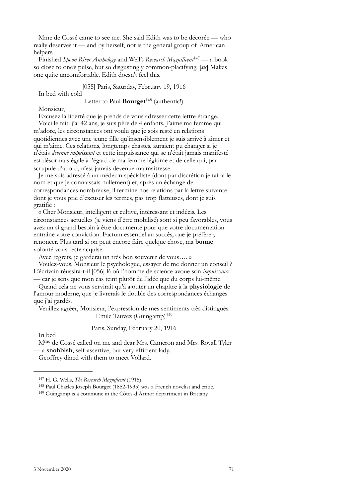Mme de Cossé came to see me. She said Edith was to be décorée — who really deserves it — and by herself, not is the general group of American helpers.

Finished *Spoon River Anthology* and Well's *Research Magnificent*[147](#page-68-0) — a book so close to one's pulse, but so disgustingly common-placifying. [*sic*] Makes one quite uncomfortable. Edith doesn't feel this.

[055] Paris, Saturday, February 19, 1916

In bed with cold

Letter to Paul **Bourget**[148](#page-68-1) (authentic!)

Monsieur,

Excusez la liberté que je prends de vous adresser cette lettre étrange. Voici le fait: j'ai 42 ans, je suis père de 4 enfants. J'aime ma femme qui m'adore, les circonstances ont voulu que je sois resté en relations quotidiennes avec une jeune fille qu'insensiblement je suis arrivé à aimer et qui m'aime. Ces relations, longtemps chastes, auraient pu changer si je n'étais *devenue impuissant* et cette impuissance qui se n'était jamais manifesté est désormais égale à l'égard de ma femme légitime et de celle qui, par scrupule d'abord, n'est jamais devenue ma maitresse.

Je me suis adressé à un médecin spécialiste (dont par discrétion je tairai le nom et que je connaissais nullement) et, après un échange de correspondances nombreuse, il termine nos relations par la lettre suivante dont je vous prie d'excuser les termes, pas trop flatteuses, dont je suis gratifié :

« Cher Monsieur, intelligent et cultivé, intéressant et indécis. Les circonstances actuelles (je viens d'être mobilisé) sont si peu favorables, vous avez un si grand besoin à être documenté pour que votre documentation entraine votre conviction. Factum essentiel au succès, que je préfère y renoncer. Plus tard si on peut encore faire quelque chose, ma **bonne** volonté vous reste acquise.

Avec regrets, je garderai un très bon souvenir de vous…. »

Voulez-vous, Monsieur le psychologue, essayer de me donner un conseil ? L'écrivain réussira-t-il [056] là où l'homme de science avoue son *impuissance* — car je sens que mon cas teint plutôt de l'idée que du corps lui-même.

Quand cela ne vous servirait qu'à ajouter un chapitre à la **physiologie** de l'amour moderne, que je livrerais le double des correspondances échangés que j'ai gardés.

Veuillez agréer, Monsieur, l'expression de mes sentiments très distingués. Emile Tauvez (Guingamp)<sup>[149](#page-68-2)</sup>

Paris, Sunday, February 20, 1916

In bed

Mme de Cossé called on me and dear Mrs. Cameron and Mrs. Royall Tyler — a **snobbish**, self-assertive, but very efficient lady. Geoffrey dined with them to meet Vollard.

<span id="page-68-1"></span><sup>147</sup> H. G. Wells, *The Research Magnificent* (1915).<br><sup>148</sup> Paul Charles Joseph Bourget (1852-1935) was a French novelist and critic.<br><sup>149</sup> Guingamp is a commune in the Côtes-d'Armor department in Brittany

<span id="page-68-0"></span>

<span id="page-68-2"></span>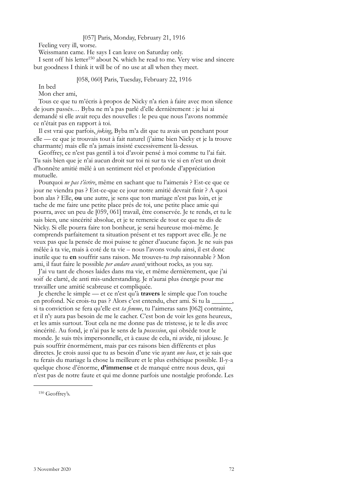## [057] Paris, Monday, February 21, 1916

Feeling very ill, worse.

Weissmann came. He says I can leave on Saturday only.

I sent off his letter<sup>150</sup> about N. which he read to me. Very wise and sincere but goodness I think it will be of no use at all when they meet.

## [058, 060] Paris, Tuesday, February 22, 1916

In bed

Mon cher ami,

Tous ce que tu m'écris à propos de Nicky n'a rien à faire avec mon silence de jours passés… Byba ne m'a pas parlé d'elle dernièrement : je lui ai demandé si elle avait reçu des nouvelles : le peu que nous l'avons nommée ce n'était pas en rapport à toi.

Il est vrai que parfois, *joking*, Byba m'a dit que tu avais un penchant pour elle — ce que je trouvais tout à fait naturel (j'aime bien Nicky et je la trouve charmante) mais elle n'a jamais insisté excessivement là-dessus.

Geoffrey, ce n'est pas gentil à toi d'avoir pensé à moi comme tu l'ai fait. Tu sais bien que je n'ai aucun droit sur toi ni sur ta vie si en n'est un droit d'honnête amitié mêlé à un sentiment réel et profonde d'appréciation mutuelle.

Pourquoi *ne pas t'écrire*, même en sachant que tu l'aimerais ? Est-ce que ce jour ne viendra pas ? Est-ce-que ce jour notre amitié devrait finir ? A quoi bon alas ? Elle, **ou** une autre, je sens que ton mariage n'est pas loin, et je tache de me faire une petite place prés de toi, une petite place amie qui pourra, avec un peu de [059, 061] travail, être conservée. Je te rends, et tu le sais bien, une sincérité absolue, et je te remercie de tout ce que tu dis de Nicky. Si elle pourra faire ton bonheur, je serai heureuse moi-même. Je comprends parfaitement ta situation présent et tes rapport avec elle. Je ne veux pas que la pensée de moi puisse te gêner d'aucune façon. Je ne suis pas mêlée à ta vie, mais à coté de ta vie – nous l'avons voulu ainsi, il est donc inutile que tu **en** souffrir sans raison. Me trouves-tu *trop* raisonnable ? Mon ami, il faut faire le possible *per andare avanti* without rocks, as you say.

J'ai vu tant de choses laides dans ma vie, et même dernièrement, que j'ai soif de clarté, de anti mis-understanding. Je n'aurai plus énergie pour me travailler une amitié scabreuse et compliquée.

Je cherche le simple — et ce n'est qu'à **travers** le simple que l'on touche en profond. Ne crois-tu pas ? Alors c'est entendu, cher ami. Si tu la si ta conviction se fera qu'elle est *ta femme*, tu l'aimeras sans [062] contrainte, et il n'y aura pas besoin de me le cacher. C'est bon de voir les gens heureux, et les amis surtout. Tout cela ne me donne pas de tristesse, je te le dis avec sincérité. Au fond, je n'ai pas le sens de la *possession*, qui obsède tout le monde. Je suis très impersonnelle, et à cause de cela, ni avide, ni jalouse. Je puis souffrir énormément, mais par ces raisons bien différents et plus directes. Je crois aussi que tu as besoin d'une vie ayant *une base*, et je sais que tu ferais du mariage la chose la meilleure et le plus esthétique possible. Il-y-a quelque chose d'énorme, **d'immense** et de manqué entre nous deux, qui n'est pas de notre faute et qui me donne parfois une nostalgie profonde. Les

<span id="page-69-0"></span><sup>150</sup> Geoffrey's.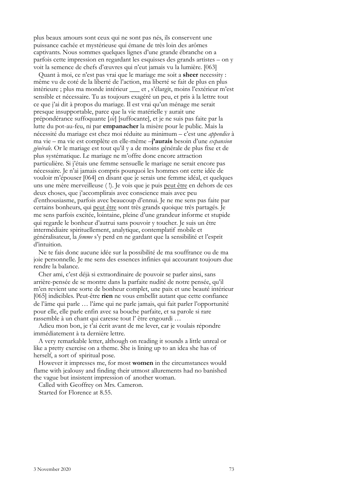plus beaux amours sont ceux qui ne sont pas nés, ils conservent une puissance cachée et mystérieuse qui émane de très loin des arômes captivants. Nous sommes quelques lignes d'une grande ébranche on a parfois cette impression en regardant les esquisses des grands artistes – on y voit la semence de chefs d'œuvres qui n'eut jamais vu la lumière. [063]

Quant à moi, ce n'est pas vrai que le mariage me soit a **sheer** necessity : même vu de coté de la liberté de l'action, ma liberté se fait de plus en plus intérieure ; plus ma monde intérieur \_\_\_ et , s'élargit, moins l'extérieur m'est sensible et nécessaire. Tu as toujours exagéré un peu, et pris à la lettre tout ce que j'ai dit à propos du mariage. Il est vrai qu'un ménage me serait presque insupportable, parce que la vie matérielle y aurait une prépondérance suffoquante [*sic*] [suffocante], et je ne suis pas faite par la lutte du pot-au-feu, ni par **empanacher** la misère pour le public. Mais la nécessité du mariage est chez moi réduite au minimum – c'est une *appendice* à ma vie – ma vie est complète en elle-même –**j'aurais** besoin d'une *expansion générale.* Or le mariage est tout qu'il y a de moins générale de plus fixe et de plus systématique. Le mariage ne m'offre donc encore attraction particulière. Si j'étais une femme sensuelle le mariage ne serait encore pas nécessaire. Je n'ai jamais compris pourquoi les hommes ont cette idée de vouloir m'épouser [064] en disant que je serais une femme idéal, et quelques uns une mère merveilleuse ( !). Je vois que je puis peut être en dehors de ces deux choses, que j'accomplirais avec conscience mais avec peu d'enthousiasme, parfois avec beaucoup d'ennui. Je ne me sens pas faite par certains bonheurs, qui peut être sont très grands quoique très partagés. Je me sens parfois excitée, lointaine, pleine d'une grandeur informe et stupide qui regarde le bonheur d'autrui sans pouvoir y toucher. Je suis un être intermédiaire spirituellement, analytique, contemplatif mobile et généralisateur, la *femme* s'y perd en ne gardant que la sensibilité et l'esprit d'intuition.

Ne te fais donc aucune idée sur la possibilité de ma souffrance ou de ma joie personnelle. Je me sens des essences infinies qui accourant toujours due rendre la balance.

Cher ami, c'est déjà si extraordinaire de pouvoir se parler ainsi, sans arrière-pensée de se montre dans la parfaite nudité de notre pensée, qu'il m'en revient une sorte de bonheur complet, une paix et une beauté intérieur [065] indicibles. Peut-être **rien** ne vous embellit autant que cette confiance de l'âme qui parle … l'âme qui ne parle jamais, qui fait parler l'opportunité pour elle, elle parle enfin avec sa bouche parfaite, et sa parole si rare rassemble à un chant qui caresse tout l' être engourdi …

Adieu mon bon, je t'ai écrit avant de me lever, car je voulais répondre immédiatement à ta dernière lettre.

A very remarkable letter, although on reading it sounds a little unreal or like a pretty exercise on a theme. She is lining up to an idea she has of herself, a sort of spiritual pose.

However it impresses me, for most **women** in the circumstances would flame with jealousy and finding their utmost allurements had no banished the vague but insistent impression of another woman.

Called with Geoffrey on Mrs. Cameron.

Started for Florence at 8.55.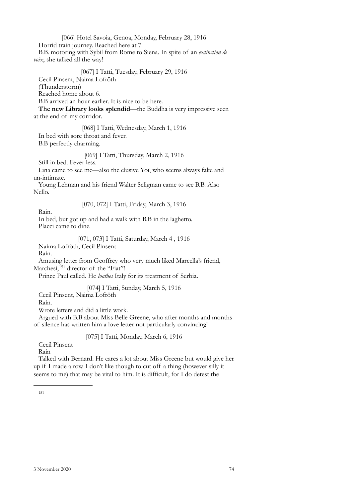[066] Hotel Savoia, Genoa, Monday, February 28, 1916

Horrid train journey. Reached here at 7.

B.B. motoring with Sybil from Rome to Siena. In spite of an *extinction de voix*, she talked all the way!

[067] I Tatti, Tuesday, February 29, 1916

Cecil Pinsent, Naima Lofröth

(Thunderstorm)

Reached home about 6.

B.B arrived an hour earlier. It is nice to be here.

**The new Library looks splendid**—the Buddha is very impressive seen at the end of my corridor.

[068] I Tatti, Wednesday, March 1, 1916

In bed with sore throat and fever.

B.B perfectly charming.

[069] I Tatti, Thursday, March 2, 1916

Still in bed. Fever less.

Lina came to see me—also the elusive Yoï, who seems always fake and un-intimate.

Young Lehman and his friend Walter Seligman came to see B.B. Also Nello.

[070, 072] I Tatti, Friday, March 3, 1916

Rain.

In bed, but got up and had a walk with B.B in the laghetto. Placci came to dine.

[071, 073] I Tatti, Saturday, March 4 , 1916

Naima Lofröth, Cecil Pinsent

Rain.

Amusing letter from Geoffrey who very much liked Marcella's friend,

Marchesi,<sup>[151](#page-71-0)</sup> director of the "Fiat"!

Prince Paul called. He *loathes* Italy for its treatment of Serbia.

[074] I Tatti, Sunday, March 5, 1916

Cecil Pinsent, Naima Lofröth

Rain.

Wrote letters and did a little work.

Argued with B.B about Miss Belle Greene, who after months and months of silence has written him a love letter not particularly convincing!

[075] I Tatti, Monday, March 6, 1916

Cecil Pinsent

Rain

<span id="page-71-0"></span>Talked with Bernard. He cares a lot about Miss Greene but would give her up if I made a row. I don't like though to cut off a thing (however silly it seems to me) that may be vital to him. It is difficult, for I do detest the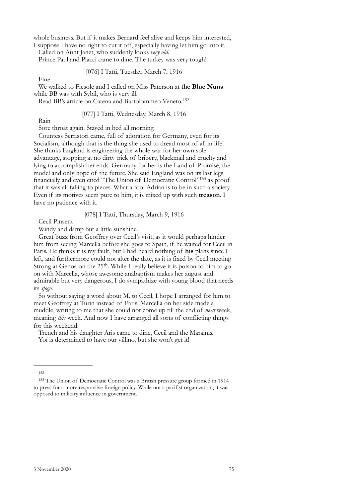whole business. But if it makes Bernard feel alive and keeps him interested,

I suppose I have no right to cut it off, especially having let him go into it. Called on Aunt Janet, who suddenly looks *very old.* 

Prince Paul and Placci came to dine. The turkey was very tough!

[076] I Tatti, Tuesday, March 7, 1916

Fine

We walked to Fiesole and I called on Miss Paterson at **the Blue Nuns** while BB was with Sybil, who is very ill.

Read BB's article on Catena and Bartolommeo Veneto.[152](#page-72-0)

## [077] I Tatti, Wednesday, March 8, 1916

Rain

Sore throat again. Stayed in bed all morning.

Countess Serristori came, full of adoration for Germany, even for its Socialism, although that is the thing she used to dread most of all in life! She thinks England is engineering the whole war for her own sole advantage, stopping at no dirty trick of bribery, blackmail and cruelty and lying to accomplish her ends. Germany for her is the Land of Promise, the model and only hope of the future. She said England was on its last legs financially and even cited "The Union of Democratic Control"[153](#page-72-1) as proof that it was all falling to pieces. What a fool Adrian is to be in such a society. Even if its motives seem pure to him, it is mixed up with such **treason**. I have no patience with it.

## [078] I Tatti, Thursday, March 9, 1916

Cecil Pinsent

Windy and damp but a little sunshine.

Great buzz from Geoffrey over Cecil's visit, as it would perhaps hinder him from seeing Marcella before she goes to Spain, if he waited for Cecil in Paris. He thinks it is my fault, but I had heard nothing of **his** plans since I left, and furthermore could not alter the date, as it is fixed by Cecil meeting Strong at Genoa on the 25<sup>th</sup>. While I really believe it is poison to him to go on with Marcella, whose awesome anabaptism makes her august and admirable but very dangerous, I do sympathize with young blood that needs its *sfogo*.

So without saying a word about M. to Cecil, I hope I arranged for him to meet Geoffrey at Turin instead of Paris. Marcella on her side made a muddle, writing to me that she could not come up till the end of *next* week, meaning *this* week. And now I have arranged all sorts of conflicting things for this weekend.

Trench and his daughter Aris came to dine, Cecil and the Marainis. Yoï is determined to have our villino, but she won't get it!

<span id="page-72-0"></span><sup>152</sup>

<span id="page-72-1"></span><sup>153</sup> The Union of Democratic Control was a British pressure group formed in 1914 to press for a more responsive foreign policy. While not a pacifist organization, it was opposed to military influence in government.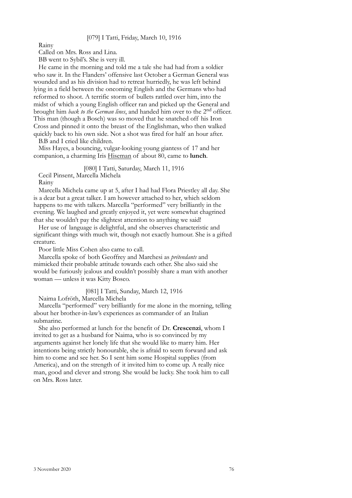## [079] I Tatti, Friday, March 10, 1916

Rainy

Called on Mrs. Ross and Lina.

BB went to Sybil's. She is very ill.

He came in the morning and told me a tale she had had from a soldier who saw it. In the Flanders' offensive last October a German General was wounded and as his division had to retreat hurriedly, he was left behind lying in a field between the oncoming English and the Germans who had reformed to shoot. A terrific storm of bullets rattled over him, into the midst of which a young English officer ran and picked up the General and brought him *back to the German lines*, and handed him over to the 2nd officer. This man (though a Bosch) was so moved that he snatched off his Iron Cross and pinned it onto the breast of the Englishman, who then walked quickly back to his own side. Not a shot was fired for half an hour after. B.B and I cried like children.

Miss Hayes, a bouncing, vulgar-looking young giantess of 17 and her companion, a charming Iris Hiseman of about 80, came to **lunch**.

[080] I Tatti, Saturday, March 11, 1916 Cecil Pinsent, Marcella Michela

Rainy

Marcella Michela came up at 5, after I had had Flora Priestley all day. She is a dear but a great talker. I am however attached to her, which seldom happens to me with talkers. Marcella "performed" very brilliantly in the evening. We laughed and greatly enjoyed it, yet were somewhat chagrined that she wouldn't pay the slightest attention to anything we said!

Her use of language is delightful, and she observes characteristic and significant things with much wit, though not exactly humour. She is a gifted creature.

Poor little Miss Cohen also came to call.

Marcella spoke of both Geoffrey and Marchesi as *prétendants* and mimicked their probable attitude towards each other. She also said she would be furiously jealous and couldn't possibly share a man with another woman — unless it was Kitty Bosco.

[081] I Tatti, Sunday, March 12, 1916

Naima Lofröth, Marcella Michela

Marcella "performed" very brilliantly for me alone in the morning, telling about her brother-in-law's experiences as commander of an Italian submarine.

She also performed at lunch for the benefit of Dr. **Crescenzi**, whom I invited to get as a husband for Naima, who is so convinced by my arguments against her lonely life that she would like to marry him. Her intentions being strictly honourable, she is afraid to seem forward and ask him to come and see her. So I sent him some Hospital supplies (from America), and on the strength of it invited him to come up. A really nice man, good and clever and strong. She would be lucky. She took him to call on Mrs. Ross later.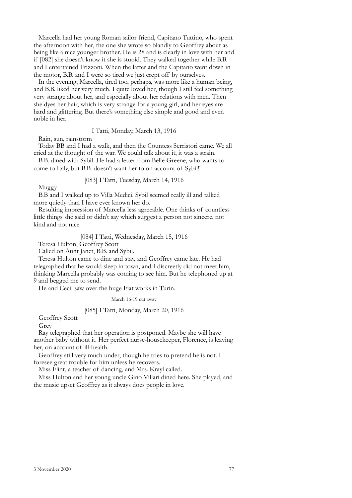Marcella had her young Roman sailor friend, Capitano Tuttino, who spent the afternoon with her, the one she wrote so blandly to Geoffrey about as being like a nice younger brother. He is 28 and is clearly in love with her and if [082] she doesn't know it she is stupid. They walked together while B.B. and I entertained Frizzoni. When the latter and the Capitano went down in the motor, B.B. and I were so tired we just crept off by ourselves.

In the evening, Marcella, tired too, perhaps, was more like a human being, and B.B. liked her very much. I quite loved her, though I still feel something very strange about her, and especially about her relations with men. Then she dyes her hair, which is very strange for a young girl, and her eyes are hard and glittering. But there's something else simple and good and even noble in her.

I Tatti, Monday, March 13, 1916

Rain, sun, rainstorm

Today BB and I had a walk, and then the Countess Serristori came. We all cried at the thought of the war. We could talk about it, it was a strain.

B.B. dined with Sybil. He had a letter from Belle Greene, who wants to come to Italy, but B.B. doesn't want her to on account of Sybil!!

[083] I Tatti, Tuesday, March 14, 1916

Muggy

B.B and I walked up to Villa Medici. Sybil seemed really ill and talked more quietly than I have ever known her do.

Resulting impression of Marcella less agreeable. One thinks of countless little things she said or didn't say which suggest a person not sincere, not kind and not nice.

[084] I Tatti, Wednesday, March 15, 1916

Teresa Hulton, Geoffrey Scott

Called on Aunt Janet, B.B. and Sybil.

Teresa Hulton came to dine and stay, and Geoffrey came late. He had telegraphed that he would sleep in town, and I discreetly did not meet him, thinking Marcella probably was coming to see him. But he telephoned up at 9 and begged me to send.

He and Cecil saw over the huge Fiat works in Turin.

March 16-19 cut away

#### [085] I Tatti, Monday, March 20, 1916

Geoffrey Scott

Grey

Ray telegraphed that her operation is postponed. Maybe she will have another baby without it. Her perfect nurse-housekeeper, Florence, is leaving her, on account of ill-health.

Geoffrey still very much under, though he tries to pretend he is not. I foresee great trouble for him unless he recovers.

Miss Flint, a teacher of dancing, and Mrs. Krayl called.

Miss Hulton and her young uncle Gino Villari dined here. She played, and the music upset Geoffrey as it always does people in love.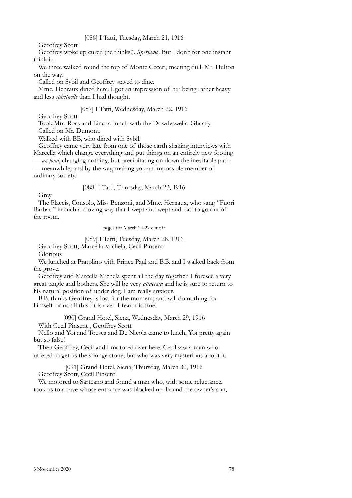Geoffrey Scott

Geoffrey woke up cured (he thinks!). *Speriamo*. But I don't for one instant think it.

We three walked round the top of Monte Ceceri, meeting dull. Mr. Hulton on the way.

Called on Sybil and Geoffrey stayed to dine.

Mme. Henraux dined here. I got an impression of her being rather heavy and less *spirituelle* than I had thought.

## [087] I Tatti, Wednesday, March 22, 1916

Geoffrey Scott

Took Mrs. Ross and Lina to lunch with the Dowdeswells. Ghastly.

Called on Mr. Dumont.

Walked with BB, who dined with Sybil.

Geoffrey came very late from one of those earth shaking interviews with Marcella which change everything and put things on an entirely new footing — *au fond*, changing nothing, but precipitating on down the inevitable path

— meanwhile, and by the way, making you an impossible member of ordinary society.

## [088] I Tatti, Thursday, March 23, 1916

Grey

The Placcis, Consolo, Miss Benzoni, and Mme. Hernaux, who sang "Fuori Barbari" in such a moving way that I wept and wept and had to go out of the room.

pages for March 24-27 cut off

### [089] I Tatti, Tuesday, March 28, 1916

Geoffrey Scott, Marcella Michela, Cecil Pinsent

Glorious

We lunched at Pratolino with Prince Paul and B.B. and I walked back from the grove.

Geoffrey and Marcella Michela spent all the day together. I foresee a very great tangle and bothers. She will be very *attaccata* and he is sure to return to his natural position of under dog. I am really anxious.

B.B. thinks Geoffrey is lost for the moment, and will do nothing for himself or us till this fit is over. I fear it is true.

[090] Grand Hotel, Siena, Wednesday, March 29, 1916

With Cecil Pinsent , Geoffrey Scott

Nello and Yoï and Toesca and De Nicola came to lunch, Yoï pretty again but so false!

Then Geoffrey, Cecil and I motored over here. Cecil saw a man who offered to get us the sponge stone, but who was very mysterious about it.

[091] Grand Hotel, Siena, Thursday, March 30, 1916 Geoffrey Scott, Cecil Pinsent

We motored to Sarteano and found a man who, with some reluctance,

took us to a cave whose entrance was blocked up. Found the owner's son,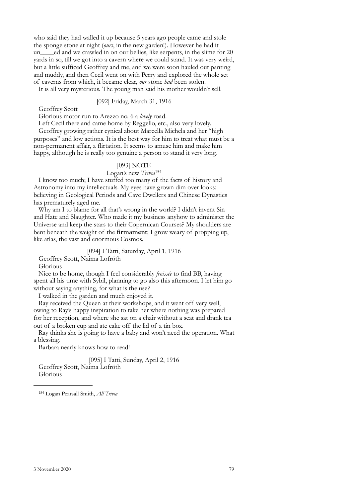who said they had walled it up because 5 years ago people came and stole the sponge stone at night (*ours*, in the new garden!). However he had it un\_\_\_\_ed and we crawled in on our bellies, like serpents, in the slime for 20 yards in so, till we got into a cavern where we could stand. It was very weird, but a little sufficed Geoffrey and me, and we were soon hauled out panting and muddy, and then Cecil went on with Perry and explored the whole set of caverns from which, it became clear, *our* stone *had* been stolen.

It is all very mysterious. The young man said his mother wouldn't sell.

## [092] Friday, March 31, 1916

Geoffrey Scott

Glorious motor run to Arezzo no. 6 a *lovely* road.

Left Cecil there and came home by Reggello, etc., also very lovely.

Geoffrey growing rather cynical about Marcella Michela and her "high purposes" and low actions. It is the best way for him to treat what must be a non-permanent affair, a flirtation. It seems to amuse him and make him happy, although he is really too genuine a person to stand it very long.

#### [093] NOTE

Logan's new *Trivia*[154](#page-76-0)

I know too much; I have stuffed too many of the facts of history and Astronomy into my intellectuals. My eyes have grown dim over looks; believing in Geological Periods and Cave Dwellers and Chinese Dynasties has prematurely aged me.

Why am I to blame for all that's wrong in the world? I didn't invent Sin and Hate and Slaughter. Who made it my business anyhow to administer the Universe and keep the stars to their Copernican Courses? My shoulders are bent beneath the weight of the **firmament**; I grow weary of propping up, like atlas, the vast and enormous Cosmos.

### [094] I Tatti, Saturday, April 1, 1916

Geoffrey Scott, Naima Lofröth

Glorious

Nice to be home, though I feel considerably *froissée* to find BB, having spent all his time with Sybil, planning to go also this afternoon. I let him go without saying anything, for what is the use?

I walked in the garden and much enjoyed it.

Ray received the Queen at their workshops, and it went off very well, owing to Ray's happy inspiration to take her where nothing was prepared for her reception, and where she sat on a chair without a seat and drank tea out of a broken cup and ate cake off the lid of a tin box.

Ray thinks she is going to have a baby and won't need the operation. What a blessing.

Barbara nearly knows how to read!

[095] I Tatti, Sunday, April 2, 1916 Geoffrey Scott, Naima Lofröth Glorious

<span id="page-76-0"></span>154 Logan Pearsall Smith, *All Trivia*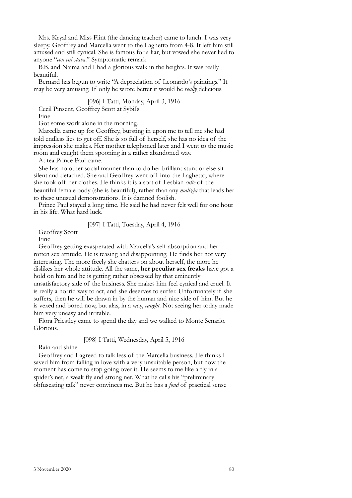Mrs. Kryal and Miss Flint (the dancing teacher) came to lunch. I was very sleepy. Geoffrey and Marcella went to the Laghetto from 4-8. It left him still amused and still cynical. She is famous for a liar, but vowed she never lied to anyone "*con cui stava*." Symptomatic remark.

B.B. and Naima and I had a glorious walk in the heights. It was really beautiful.

Bernard has begun to write "A depreciation of Leonardo's paintings." It may be very amusing. If only he wrote better it would be *really* delicious.

## [096] I Tatti, Monday, April 3, 1916

Cecil Pinsent, Geoffrey Scott at Sybil's

Fine

Got some work alone in the morning.

Marcella came up for Geoffrey, bursting in upon me to tell me she had told endless lies to get off. She is so full of herself, she has no idea of the impression she makes. Her mother telephoned later and I went to the music room and caught them spooning in a rather abandoned way.

At tea Prince Paul came.

She has no other social manner than to do her brilliant stunt or else sit silent and detached. She and Geoffrey went off into the Laghetto, where she took off her clothes. He thinks it is a sort of Lesbian *culte* of the beautiful female body (she is beautiful), rather than any *malizia* that leads her to these unusual demonstrations. It is damned foolish.

Prince Paul stayed a long time. He said he had never felt well for one hour in his life. What hard luck.

## [097] I Tatti, Tuesday, April 4, 1916

Geoffrey Scott

Fine

Geoffrey getting exasperated with Marcella's self-absorption and her rotten sex attitude. He is teasing and disappointing. He finds her not very interesting. The more freely she chatters on about herself, the more he dislikes her whole attitude. All the same, **her peculiar sex freaks** have got a hold on him and he is getting rather obsessed by that eminently unsatisfactory side of the business. She makes him feel cynical and cruel. It is really a horrid way to act, and she deserves to suffer. Unfortunately if she suffers, then he will be drawn in by the human and nice side of him. But he is vexed and bored now, but alas, in a way, *caught*. Not seeing her today made him very uneasy and irritable.

Flora Priestley came to spend the day and we walked to Monte Senario. Glorious.

## [098] I Tatti, Wednesday, April 5, 1916

Rain and shine

Geoffrey and I agreed to talk less of the Marcella business. He thinks I saved him from falling in love with a very unsuitable person, but now the moment has come to stop going over it. He seems to me like a fly in a spider's net, a weak fly and strong net. What he calls his "preliminary obfuscating talk" never convinces me. But he has a *fond* of practical sense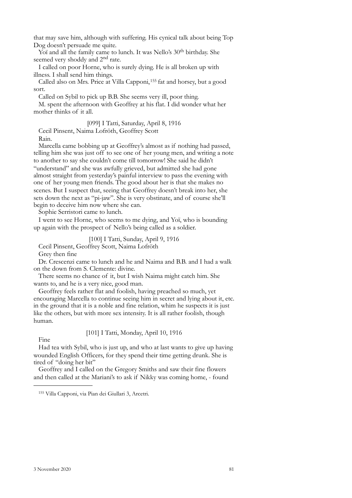that may save him, although with suffering. His cynical talk about being Top Dog doesn't persuade me quite.

Yoï and all the family came to lunch. It was Nello's 30<sup>th</sup> birthday. She seemed very shoddy and 2<sup>nd</sup> rate.

I called on poor Horne, who is surely dying. He is all broken up with illness. I shall send him things.

Called also on Mrs. Price at Villa Capponi,[155](#page-78-0) fat and horsey, but a good sort.

Called on Sybil to pick up B.B. She seems very ill, poor thing.

M. spent the afternoon with Geoffrey at his flat. I did wonder what her mother thinks of it all.

[099] I Tatti, Saturday, April 8, 1916 Cecil Pinsent, Naima Lofröth, Geoffrey Scott Rain.

Marcella came bobbing up at Geoffrey's almost as if nothing had passed, telling him she was just off to see one of her young men, and writing a note to another to say she couldn't come till tomorrow! She said he didn't "understand" and she was awfully grieved, but admitted she had gone almost straight from yesterday's painful interview to pass the evening with one of her young men friends. The good about her is that she makes no scenes. But I suspect that, seeing that Geoffrey doesn't break into her, she sets down the next as "pi-jaw". She is very obstinate, and of course she'll begin to deceive him now where she can.

Sophie Serristori came to lunch.

I went to see Horne, who seems to me dying, and Yoï, who is bounding up again with the prospect of Nello's being called as a soldier.

[100] I Tatti, Sunday, April 9, 1916

Cecil Pinsent, Geoffrey Scott, Naima Lofröth

Grey then fine

Dr. Crescenzi came to lunch and he and Naima and B.B. and I had a walk on the down from S. Clemente: divine.

There seems no chance of it, but I wish Naima might catch him. She wants to, and he is a very nice, good man.

Geoffrey feels rather flat and foolish, having preached so much, yet encouraging Marcella to continue seeing him in secret and lying about it, etc. in the ground that it is a noble and fine relation, whim he suspects it is just like the others, but with more sex intensity. It is all rather foolish, though human.

[101] I Tatti, Monday, April 10, 1916

Fine

Had tea with Sybil, who is just up, and who at last wants to give up having wounded English Officers, for they spend their time getting drunk. She is tired of "doing her bit"

Geoffrey and I called on the Gregory Smiths and saw their fine flowers and then called at the Mariani's to ask if Nikky was coming home, - found

<span id="page-78-0"></span><sup>155</sup> Villa Capponi, via Pian dei Giullari 3, Arcetri.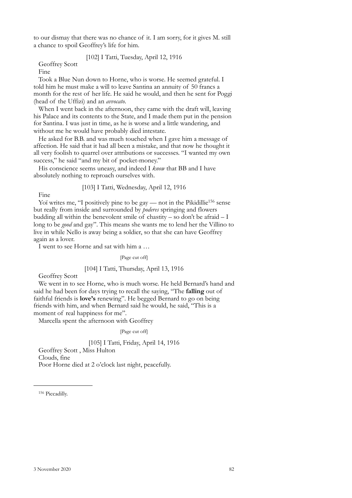to our dismay that there was no chance of it. I am sorry, for it gives M. still a chance to spoil Geoffrey's life for him.

[102] I Tatti, Tuesday, April 12, 1916

Geoffrey Scott

Fine

Took a Blue Nun down to Horne, who is worse. He seemed grateful. I told him he must make a will to leave Santina an annuity of 50 francs a month for the rest of her life. He said he would, and then he sent for Poggi (head of the Uffizi) and an *avvocato*.

When I went back in the afternoon, they came with the draft will, leaving his Palace and its contents to the State, and I made them put in the pension for Santina. I was just in time, as he is worse and a little wandering, and without me he would have probably died intestate.

He asked for B.B. and was much touched when I gave him a message of affection. He said that it had all been a mistake, and that now he thought it all very foolish to quarrel over attributions or successes. "I wanted my own success," he said "and my bit of pocket-money."

His conscience seems uneasy, and indeed I *know* that BB and I have absolutely nothing to reproach ourselves with.

[103] I Tatti, Wednesday, April 12, 1916

Fine

Yoï writes me, "I positively pine to be gay — not in the Pikidillie<sup>156</sup> sense but really from inside and surrounded by *poderes* springing and flowers budding all within the benevolent smile of chastity – so don't be afraid  $-1$ long to be *good* and gay". This means she wants me to lend her the Villino to live in while Nello is away being a soldier, so that she can have Geoffrey again as a lover.

I went to see Horne and sat with him a …

[Page cut off]

## [104] I Tatti, Thursday, April 13, 1916

Geoffrey Scott

We went in to see Horne, who is much worse. He held Bernard's hand and said he had been for days trying to recall the saying, "The **falling** out of faithful friends is **love's** renewing". He begged Bernard to go on being friends with him, and when Bernard said he would, he said, "This is a moment of real happiness for me".

Marcella spent the afternoon with Geoffrey

[Page cut off]

[105] I Tatti, Friday, April 14, 1916 Geoffrey Scott , Miss Hulton Clouds, fine Poor Horne died at 2 o'clock last night, peacefully.

<span id="page-79-0"></span>156 Piccadilly.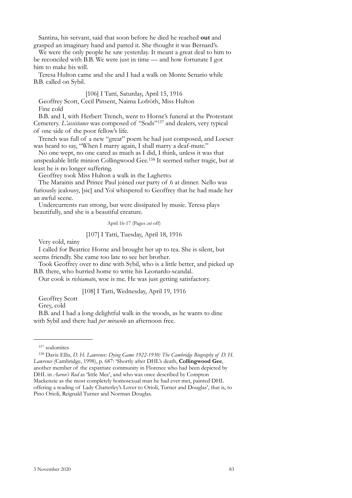Santina, his servant, said that soon before he died he reached **out** and grasped an imaginary hand and patted it. She thought it was Bernard's.

We were the only people he saw yesterday. It meant a great deal to him to be reconciled with B.B. We were just in time — and how fortunate I got him to make his will.

Teresa Hulton came and she and I had a walk on Monte Senario while B.B. called on Sybil.

## [106] I Tatti, Saturday, April 15, 1916

Geoffrey Scott, Cecil Pinsent, Naima Lofröth, Miss Hulton Fine cold

B.B. and I, with Herbert Trench, went to Horne's funeral at the Protestant Cemetery. *L'assistance* was composed of "Sods"[157](#page-80-0) and dealers, very typical of one side of the poor fellow's life.

Trench was full of a new "great" poem he had just composed, and Loeser was heard to say, "When I marry again, I shall marry a deaf-mute."

No one wept, no one cared as much as I did, I think, unless it was that unspeakable little minion Collingwood Gee.[158](#page-80-1) It seemed rather tragic, but at least he is no longer suffering.

Geoffrey took Miss Hulton a walk in the Laghetto.

The Marainis and Prince Paul joined our party of 6 at dinner. Nello was furiously jealousy, [sic] and Yoï whispered to Geoffrey that he had made her an awful scene.

Undercurrents run strong, but were dissipated by music. Teresa plays beautifully, and she is a beautiful creature.

April 16-17 (Pages *cut* off)

#### [107] I Tatti, Tuesday, April 18, 1916

Very cold, rainy

I called for Beatrice Horne and brought her up to tea. She is silent, but seems friendly. She came too late to see her brother.

Took Geoffrey over to dine with Sybil, who is a little better, and picked up B.B. there, who hurried home to write his Leonardo-scandal.

Our cook is *richiamato*, woe is me. He was just getting satisfactory.

[108] I Tatti, Wednesday, April 19, 1916

Geoffrey Scott

Grey, cold

B.B. and I had a long delightful walk in the woods, as he wants to dine with Sybil and there had *per miracolo* an afternoon free.

<span id="page-80-1"></span><span id="page-80-0"></span>

<sup>&</sup>lt;sup>157</sup> sodomites<br><sup>158</sup> Davis Ellis, *D. H. Lawrence: Dying Game 1922-1930: The Cambridge Biography of D. H. Lawrence* (Cambridge, 1998), p. 687: 'Shortly after DHL's death, **Collingwood Gee**, another member of the expatriate community in Florence who had been depicted by DHL in *Aaron's Rod* as 'little Mee', and who was once described by Compton Mackenzie as the most completely homosexual man he had ever met, painted DHL offering a reading of Lady Chatterley's Lover to Orioli, Turner and Douglas', that is, to Pino Orioli, Reignald Turner and Norman Douglas.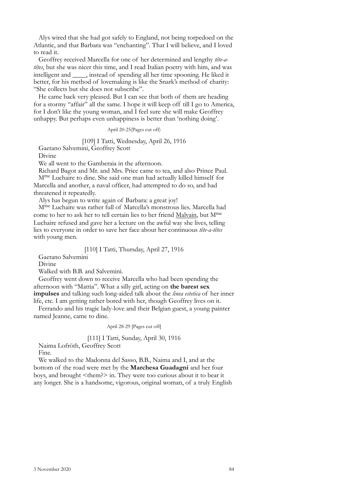Alys wired that she had got safely to England, not being torpedoed on the Atlantic, and that Barbara was "enchanting". That I will believe, and I loved to read it.

Geoffrey received Marcella for one of her determined and lengthy *tête-atêtes*, but she was nicer this time, and I read Italian poetry with him, and was intelligent and  $\qquad$ , instead of spending all her time spooning. He liked it better, for his method of lovemaking is like the Snark's method of charity: "She collects but she does not subscribe".

He came back very pleased. But I can see that both of them are heading for a stormy "affair" all the same. I hope it will keep off till I go to America, for I don't like the young woman, and I feel sure she will make Geoffrey unhappy. But perhaps even unhappiness is better than 'nothing doing'.

April 20-25(Pages cut off)

## [109] I Tatti, Wednesday, April 26, 1916

Gaetano Salvemini, Geoffrey Scott

Divine

We all went to the Gamberaia in the afternoon.

Richard Bagot and Mr. and Mrs. Price came to tea, and also Prince Paul. Mme Luchaire to dine. She said one man had actually killed himself for Marcella and another, a naval officer, had attempted to do so, and had threatened it repeatedly.

Alys has begun to write again of Barbara: a great joy!

Mme Luchaire was rather full of Marcella's monstrous lies. Marcella had come to her to ask her to tell certain lies to her friend Malvain, but Mme Luchaire refused and gave her a lecture on the awful way she lives, telling lies to everyone in order to save her face about her continuous *tête-a-têtes* with young men.

#### [110] I Tatti, Thursday, April 27, 1916

Gaetano Salvemini

Divine

Walked with B.B. and Salvemini.

Geoffrey went down to receive Marcella who had been spending the afternoon with "Mattia". What a silly girl, acting on **the barest sex impulses** and talking such long-aided talk about the *linea estetica* of her inner life, etc. I am getting rather bored with her, though Geoffrey lives on it.

Ferrando and his tragic lady-love and their Belgian guest, a young painter named Jeanne, came to dine.

April 28-29 [Pages cut off]

#### [111] I Tatti, Sunday, April 30, 1916

Naima Lofröth, Geoffrey Scott

Fine.

We walked to the Madonna del Sasso, B.B., Naima and I, and at the bottom of the road were met by the **Marchesa Guadagni** and her four boys, and brought <them?> in. They were too curious about it to bear it any longer. She is a handsome, vigorous, original woman, of a truly English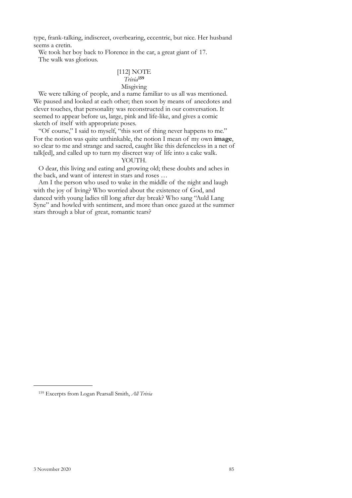type, frank-talking, indiscreet, overbearing, eccentric, but nice. Her husband seems a cretin.

We took her boy back to Florence in the car, a great giant of 17. The walk was glorious.

# [112] NOTE *Trivia***[159](#page-82-0)** Misgiving

We were talking of people, and a name familiar to us all was mentioned. We paused and looked at each other; then soon by means of anecdotes and clever touches, that personality was reconstructed in our conversation. It seemed to appear before us, large, pink and life-like, and gives a comic sketch of itself with appropriate poses.

"Of course," I said to myself, "this sort of thing never happens to me." For the notion was quite unthinkable, the notion I mean of my own **image**, so clear to me and strange and sacred, caught like this defenceless in a net of talk[ed], and called up to turn my discreet way of life into a cake walk.

## YOUTH.

O dear, this living and eating and growing old; these doubts and aches in the back, and want of interest in stars and roses …

Am I the person who used to wake in the middle of the night and laugh with the joy of living? Who worried about the existence of God, and danced with young ladies till long after day break? Who sang "Auld Lang Syne" and howled with sentiment, and more than once gazed at the summer stars through a blur of great, romantic tears?

<span id="page-82-0"></span><sup>159</sup> Excerpts from Logan Pearsall Smith, *All Trivia*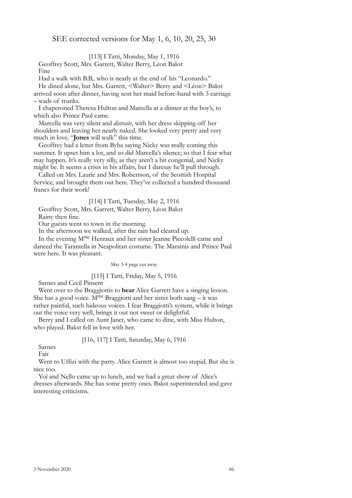## SEE corrected versions for May 1, 6, 10, 20, 25, 30

[113] I Tatti, Monday, May 1, 1916

Geoffrey Scott, Mrs. Garrett, Walter Berry, Leon Bakst Fine

Had a walk with B.B,. who is nearly at the end of his "Leonardo."

He dined alone, but Mrs. Garrett, <Walter> Berry and <Léon> Bakst arrived soon after dinner, having sent her maid before-hand with 3 carriage – wads of trunks.

I chaperoned Theresa Hulton and Marcella at a dinner at the boy's, to which also Prince Paul came.

Marcella was very silent and *distraite*, with her dress skipping off her shoulders and leaving her nearly naked. She looked very pretty and very much in love. "**Jones** will walk" this time.

Geoffrey had a letter from Byba saying Nicky was really coming this summer. It upset him a lot, and so did Marcella's silence; so that I fear what may happen. It's really very silly, as they aren't a bit congenial, and Nicky might be. It seems a crisis in his affairs, but I daresay he'll pull through.

Called on Mrs. Laurie and Mrs. Robertson, of the Scottish Hospital Service, and brought them out here. They've collected a hundred thousand francs for their work!

[114] I Tatti, Tuesday, May 2, 1916

Geoffrey Scott, Mrs. Garrett, Walter Berry, Léon Bakst

Rainy then fine.

Our guests went to town in the morning.

In the afternoon we walked, after the rain had cleared up.

In the evening Mme Henraux and her sister Jeanne Piccolelli came and danced the Tarantella in Neapolitan costume. The Marainis and Prince Paul were here. It was pleasant.

May 3-4 page cut away

## [115] I Tatti, Friday, May 5, 1916

Sarnes and Cecil Pinsent

Went over to the Braggiottis to **hear** Alice Garrett have a singing lesson. She has a good voice.  $M^{me}$  Braggiotti and her sister both sang – it was rather painful, such hideous voices. I fear Braggiotti's system, while it brings out the voice very well, brings it out not sweet or delightful.

Berry and I called on Aunt Janet, who came to dine, with Miss Hulton, who played. Bakst fell in love with her.

## [116, 117] I Tatti, Saturday, May 6, 1916

Sarnes

Fair

Went to Uffizi with the party. Alice Garrett is almost too stupid. But she is nice too.

Yoï and Nello came up to lunch, and we had a great show of Alice's dresses afterwards. She has some pretty ones. Bakst superintended and gave interesting criticisms.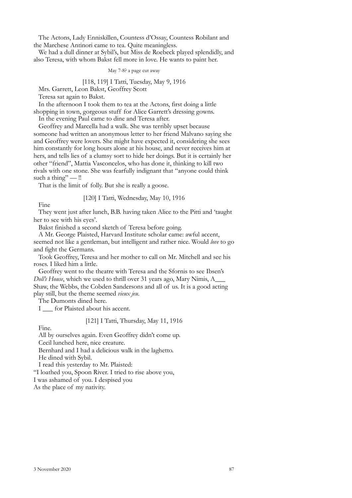The Actons, Lady Enniskillen, Countess d'Ossay, Countess Robilant and the Marchese Antinori came to tea. Quite meaningless.

We had a dull dinner at Sybil's, but Miss de Roebeck played splendidly, and also Teresa, with whom Bakst fell more in love. He wants to paint her.

May 7-8? a page cut away

[118, 119] I Tatti, Tuesday, May 9, 1916

Mrs. Garrett, Leon Bakst, Geoffrey Scott

Teresa sat again to Bakst.

In the afternoon I took them to tea at the Actons, first doing a little shopping in town, gorgeous stuff for Alice Garrett's dressing gowns.

In the evening Paul came to dine and Teresa after.

Geoffrey and Marcella had a walk. She was terribly upset because someone had written an anonymous letter to her friend Malvano saying she and Geoffrey were lovers. She might have expected it, considering she sees him constantly for long hours alone at his house, and never receives him at hers, and tells lies of a clumsy sort to hide her doings. But it is certainly her other "friend", Mattia Vasconcelos, who has done it, thinking to kill two rivals with one stone. She was fearfully indignant that "anyone could think such a thing" — !!

That is the limit of folly. But she is really a goose.

[120] I Tatti, Wednesday, May 10, 1916

Fine

They went just after lunch, B.B. having taken Alice to the Pitti and 'taught her to see with his eyes'.

Bakst finished a second sketch of Teresa before going.

A Mr. George Plaisted, Harvard Institute scholar came: awful accent, seemed not like a gentleman, but intelligent and rather nice. Would *love* to go and fight the Germans.

Took Geoffrey, Teresa and her mother to call on Mr. Mitchell and see his roses. I liked him a little.

Geoffrey went to the theatre with Teresa and the Sfornis to see Ibsen's *Doll's House*, which we used to thrill over 31 years ago, Mary Nimis, A\_\_\_ Shaw, the Webbs, the Cobden Sandersons and all of us. It is a good acting play still, but the theme seemed *vieux jeu*.

The Dumonts dined here.

I for Plaisted about his accent.

[121] I Tatti, Thursday, May 11, 1916

Fine.

All by ourselves again. Even Geoffrey didn't come up.

Cecil lunched here, nice creature.

Bernhard and I had a delicious walk in the laghetto.

He dined with Sybil.

I read this yesterday to Mr. Plaisted:

"I loathed you, Spoon River. I tried to rise above you,

I was ashamed of you. I despised you

As the place of my nativity.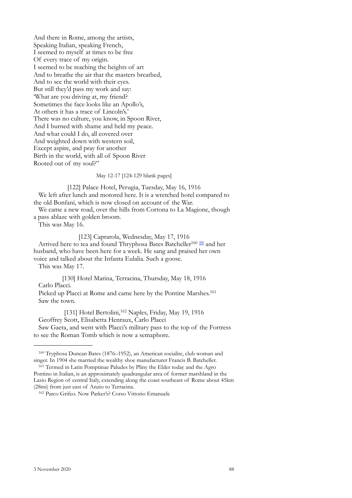And there in Rome, among the artists, Speaking Italian, speaking French, I seemed to myself at times to be free Of every trace of my origin. I seemed to be reaching the heights of art And to breathe the air that the masters breathed, And to see the world with their eyes. But still they'd pass my work and say: 'What are you driving at, my friend? Sometimes the face looks like an Apollo's, At others it has a trace of Lincoln's.' There was no culture, you know, in Spoon River, And I burned with shame and held my peace. And what could I do, all covered over And weighted down with western soil, Except aspire, and pray for another Birth in the world, with all of Spoon River Rooted out of my soul?"

### May 12-17 [124-129 blank pages]

[122] Palace Hotel, Perugia, Tuesday, May 16, 1916 We left after lunch and motored here. It is a wretched hotel compared to the old Bonfani, which is now closed on account of the War.

We came a new road, over the hills from Cortona to La Magione, though a pass ablaze with golden broom.

This was May 16.

[123] Caprarola, Wednesday, May 17, 1916

Arrived here to tea and found Thryphosa Bates Batcheller<sup>160 [8]</sup> and her husband, who have been here for a week. He sang and praised her own voice and talked about the Infanta Eulalia. Such a goose.

This was May 17.

[130] Hotel Marina, Terracina, Thursday, May 18, 1916

Carlo Placci.

Picked up Placci at Rome and came here by the Pontine Marshes.<sup>161</sup> Saw the town.

[131] Hotel Bertolini,<sup>162</sup> Naples, Friday, May 19, 1916 Geoffrey Scott, Elisabetta Henraux, Carlo Placci Saw Gaeta, and went with Placci's military pass to the top of the Fortress to see the Roman Tomb which is now a semaphore.

<span id="page-85-0"></span><sup>160</sup> Tryphosa Duncan Bates (1876–1952), an American socialite, club woman and singer. In 1904 she married the wealthy shoe manufacturer Francis B. Batcheller.

<span id="page-85-1"></span><sup>&</sup>lt;sup>161</sup> Termed in Latin Pomptinae Paludes by Pliny the Elder today and the Agro Pontino in Italian, is an approximately quadrangular area of former marshland in the Lazio Region of central Italy, extending along the coast southeast of Rome about 45km (28mi) from just east of Anzio to Terracina.

<span id="page-85-2"></span><sup>162</sup> Parco Grifeo. Now Parker's? Corso Vittorio Emanuele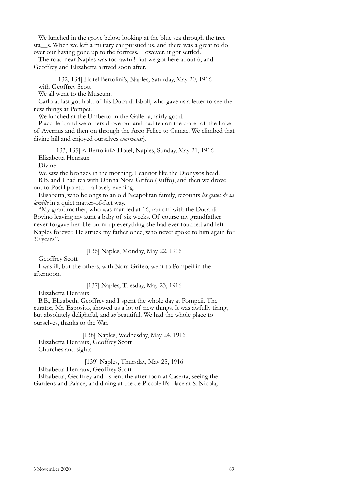We lunched in the grove below, looking at the blue sea through the tree sta\_\_s. When we left a military car pursued us, and there was a great to do over our having gone up to the fortress. However, it got settled.

The road near Naples was too awful! But we got here about 6, and Geoffrey and Elizabetta arrived soon after.

[132, 134] Hotel Bertolini's, Naples, Saturday, May 20, 1916 with Geoffrey Scott

We all went to the Museum.

Carlo at last got hold of his Duca di Eboli, who gave us a letter to see the new things at Pompei.

We lunched at the Umberto in the Galleria, fairly good.

Placci left, and we others drove out and had tea on the crater of the Lake of Avernus and then on through the Arco Felice to Cumae. We climbed that divine hill and enjoyed ourselves *enormously*.

[133, 135] < Bertolini> Hotel, Naples, Sunday, May 21, 1916 Elizabetta Henraux

Divine.

We saw the bronzes in the morning. I cannot like the Dionysos head. B.B. and I had tea with Donna Nora Grifeo (Ruffo), and then we drove out to Posillipo etc. – a lovely evening.

Elisabetta, who belongs to an old Neapolitan family, recounts *les gestes de sa famille* in a quiet matter-of-fact way.

"My grandmother, who was married at 16, ran off with the Duca di Bovino leaving my aunt a baby of six weeks. Of course my grandfather never forgave her. He burnt up everything she had ever touched and left Naples forever. He struck my father once, who never spoke to him again for 30 years".

[136] Naples, Monday, May 22, 1916

Geoffrey Scott

I was ill, but the others, with Nora Grifeo, went to Pompeii in the afternoon.

[137] Naples, Tuesday, May 23, 1916

Elizabetta Henraux

B.B., Elizabeth, Geoffrey and I spent the whole day at Pompeii. The curator, Mr. Esposito, showed us a lot of new things. It was awfully tiring, but absolutely delightful, and *so* beautiful. We had the whole place to ourselves, thanks to the War.

[138] Naples, Wednesday, May 24, 1916 Elizabetta Henraux, Geoffrey Scott Churches and sights.

[139] Naples, Thursday, May 25, 1916

Elizabetta Henraux, Geoffrey Scott

Elizabetta, Geoffrey and I spent the afternoon at Caserta, seeing the Gardens and Palace, and dining at the de Piccolelli's place at S. Nicola,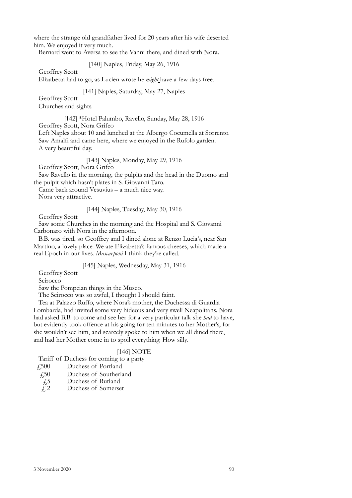where the strange old grandfather lived for 20 years after his wife deserted him. We enjoyed it very much.

Bernard went to Aversa to see the Vanni there, and dined with Nora.

[140] Naples, Friday, May 26, 1916

Geoffrey Scott

Elizabetta had to go, as Lucien wrote he *might* have a few days free.

[141] Naples, Saturday, May 27, Naples

Geoffrey Scott Churches and sights.

[142] \*Hotel Palumbo, Ravello, Sunday, May 28, 1916 Geoffrey Scott, Nora Grifeo Left Naples about 10 and lunched at the Albergo Cocumella at Sorrento. Saw Amalfi and came here, where we enjoyed in the Rufolo garden. A very beautiful day.

[143] Naples, Monday, May 29, 1916

Geoffrey Scott, Nora Grifeo

Saw Ravello in the morning, the pulpits and the head in the Duomo and the pulpit which hasn't plates in S. Giovanni Taro.

Came back around Vesuvius – a much nice way. Nora very attractive.

[144] Naples, Tuesday, May 30, 1916

Geoffrey Scott

Saw some Churches in the morning and the Hospital and S. Giovanni Carbonaro with Nora in the afternoon.

B.B. was tired, so Geoffrey and I dined alone at Renzo Lucia's, near San Martino, a lovely place. We ate Elizabetta's famous cheeses, which made a real Epoch in our lives. *Mascarponi* I think they're called.

## [145] Naples, Wednesday, May 31, 1916

Geoffrey Scott

Scirocco

Saw the Pompeian things in the Museo.

The Scirocco was so awful, I thought I should faint.

Tea at Palazzo Ruffo, where Nora's mother, the Duchessa di Guardia Lombarda, had invited some very hideous and very swell Neapolitans. Nora had asked B.B. to come and see her for a very particular talk she *had* to have, but evidently took offence at his going for ten minutes to her Mother's, for she wouldn't see him, and scarcely spoke to him when we all dined there, and had her Mother come in to spoil everything. How silly.

## [146] NOTE

Tariff of Duchess for coming to a party

- £500 Duchess of Portland
- £50 Duchess of Southerland
- £5 Duchess of Rutland<br> $\angle$   $\angle$  Duchess of Somerse
- Duchess of Somerset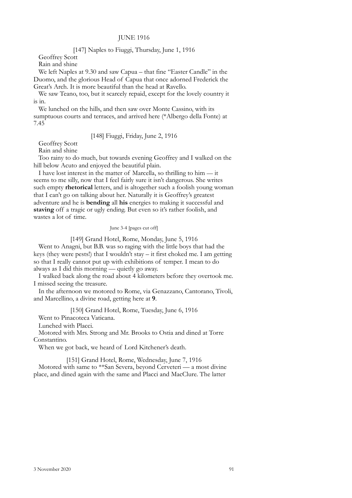## JUNE 1916

[147] Naples to Fiuggi, Thursday, June 1, 1916

Geoffrey Scott

Rain and shine

We left Naples at 9.30 and saw Capua – that fine "Easter Candle" in the Duomo, and the glorious Head of Capua that once adorned Frederick the Great's Arch. It is more beautiful than the head at Ravello.

We saw Teano, too, but it scarcely repaid, except for the lovely country it is in.

We lunched on the hills, and then saw over Monte Cassino, with its sumptuous courts and terraces, and arrived here (\*Albergo della Fonte) at 7.45

## [148] Fiuggi, Friday, June 2, 1916

Geoffrey Scott Rain and shine

Too rainy to do much, but towards evening Geoffrey and I walked on the hill below Acuto and enjoyed the beautiful plain.

I have lost interest in the matter of Marcella, so thrilling to him — it seems to me silly, now that I feel fairly sure it isn't dangerous. She writes such empty **rhetorical** letters, and is altogether such a foolish young woman that I can't go on talking about her. Naturally it is Geoffrey's greatest adventure and he is **bending** all **his** energies to making it successful and **staving** off a tragic or ugly ending. But even so it's rather foolish, and wastes a lot of time.

#### June 3-4 [pages cut off]

[149] Grand Hotel, Rome, Monday, June 5, 1916

Went to Anagni, but B.B. was so raging with the little boys that had the keys (they were pests!) that I wouldn't stay – it first choked me. I am getting so that I really cannot put up with exhibitions of temper. I mean to do always as I did this morning — quietly go away.

I walked back along the road about 4 kilometers before they overtook me. I missed seeing the treasure.

In the afternoon we motored to Rome, via Genazzano, Cantorano, Tivoli, and Marcellino, a divine road, getting here at **9**.

[150] Grand Hotel, Rome, Tuesday, June 6, 1916

Went to Pinacoteca Vaticana.

Lunched with Placci.

Motored with Mrs. Strong and Mr. Brooks to Ostia and dined at Torre Constantino.

When we got back, we heard of Lord Kitchener's death.

[151] Grand Hotel, Rome, Wednesday, June 7, 1916 Motored with same to \*\*San Severa, beyond Cerveteri — a most divine place, and dined again with the same and Placci and MacClure. The latter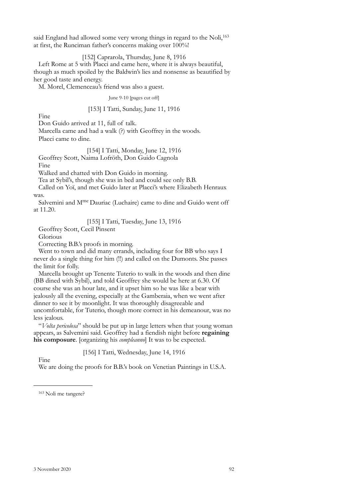said England had allowed some very wrong things in regard to the Noli,<sup>[163](#page-89-0)</sup> at first, the Runciman father's concerns making over 100%!

[152] Caprarola, Thursday, June 8, 1916

Left Rome at 5 with Placci and came here, where it is always beautiful, though as much spoiled by the Baldwin's lies and nonsense as beautified by her good taste and energy.

M. Morel, Clemenceau's friend was also a guest.

#### June 9-10 [pages cut off]

## [153] I Tatti, Sunday, June 11, 1916

Fine

Don Guido arrived at 11, full of talk.

Marcella came and had a walk (?) with Geoffrey in the woods. Placci came to dine.

[154] I Tatti, Monday, June 12, 1916

Geoffrey Scott, Naima Lofröth, Don Guido Cagnola

Fine

Walked and chatted with Don Guido in morning.

Tea at Sybil's, though she was in bed and could see only B.B.

Called on Yoï, and met Guido later at Placci's where Elizabeth Henraux was.

Salvemini and M<sup>me</sup> Dauriac (Luchaire) came to dine and Guido went off at 11.20.

## [155] I Tatti, Tuesday, June 13, 1916

Geoffrey Scott, Cecil Pinsent

Glorious

Correcting B.B.'s proofs in morning.

Went to town and did many errands, including four for BB who says I never do a single thing for him (!!) and called on the Dumonts. She passes the limit for folly.

Marcella brought up Tenente Tuterio to walk in the woods and then dine (BB dined with Sybil), and told Geoffrey she would be here at 6.30. Of course she was an hour late, and it upset him so he was like a bear with jealously all the evening, especially at the Gamberaia, when we went after dinner to see it by moonlight. It was thoroughly disagreeable and uncomfortable, for Tuterio, though more correct in his demeanour, was no less jealous.

"*Volta pericolosa*" should be put up in large letters when that young woman appears, as Salvemini said. Geoffrey had a fiendish night before **regaining his composure**. [organizing his *compleanno*] It was to be expected.

## [156] I Tatti, Wednesday, June 14, 1916

Fine

We are doing the proofs for B.B.'s book on Venetian Paintings in U.S.A.

<span id="page-89-0"></span>163 Noli me tangere?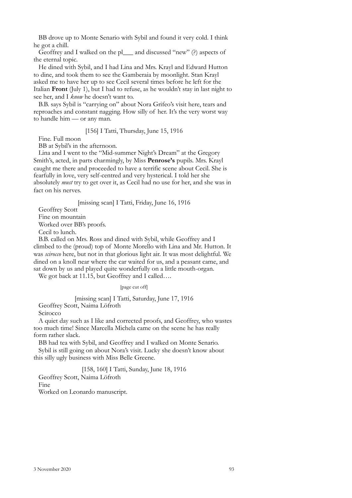BB drove up to Monte Senario with Sybil and found it very cold. I think he got a chill.

Geoffrey and I walked on the pl\_\_\_ and discussed "new" (?) aspects of the eternal topic.

He dined with Sybil, and I had Lina and Mrs. Krayl and Edward Hutton to dine, and took them to see the Gamberaia by moonlight. Stan Krayl asked me to have her up to see Cecil several times before he left for the Italian **Front** (July 1), but I had to refuse, as he wouldn't stay in last night to see her, and I *know* he doesn't want to.

B.B. says Sybil is "carrying on" about Nora Grifeo's visit here, tears and reproaches and constant nagging. How silly of her. It's the very worst way to handle him — or any man.

[156] I Tatti, Thursday, June 15, 1916

Fine. Full moon

BB at Sybil's in the afternoon.

Lina and I went to the "Mid-summer Night's Dream" at the Gregory Smith's, acted, in parts charmingly, by Miss **Penrose's** pupils. Mrs. Krayl caught me there and proceeded to have a terrific scene about Cecil. She is fearfully in love, very self-centred and very hysterical. I told her she absolutely *must* try to get over it, as Cecil had no use for her, and she was in fact on his nerves.

[missing scan] I Tatti, Friday, June 16, 1916

Geoffrey Scott Fine on mountain Worked over BB's proofs. Cecil to lunch.

B.B. called on Mrs. Ross and dined with Sybil, while Geoffrey and I climbed to the (proud) top of Monte Morello with Lina and Mr. Hutton. It was *scirocco* here, but not in that glorious light air. It was most delightful. We dined on a knoll near where the car waited for us, and a peasant came, and sat down by us and played quite wonderfully on a little mouth-organ.

We got back at 11.15, but Geoffrey and I called....

[page cut off]

[missing scan] I Tatti, Saturday, June 17, 1916

Geoffrey Scott, Naima Löfroth

Scirocco

A quiet day such as I like and corrected proofs, and Geoffrey, who wastes too much time! Since Marcella Michela came on the scene he has really form rather slack.

BB had tea with Sybil, and Geoffrey and I walked on Monte Senario. Sybil is still going on about Nora's visit. Lucky she doesn't know about this silly ugly business with Miss Belle Greene.

[158, 160] I Tatti, Sunday, June 18, 1916 Geoffrey Scott, Naima Löfroth Fine

Worked on Leonardo manuscript.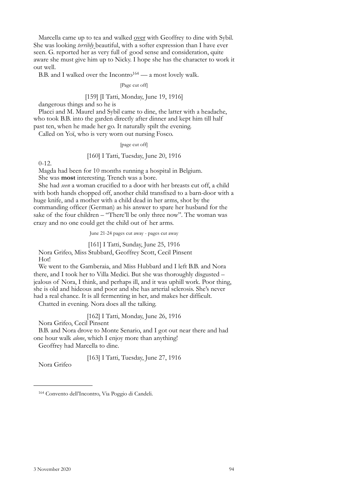Marcella came up to tea and walked over with Geoffrey to dine with Sybil. She was looking *terribly* beautiful, with a softer expression than I have ever seen. G. reported her as very full of good sense and consideration, quite aware she must give him up to Nicky. I hope she has the character to work it out well.

B.B. and I walked over the Incontro $164 - a$  most lovely walk.

#### [Page cut off]

## [159] [I Tatti, Monday, June 19, 1916]

dangerous things and so he is

Placci and M. Maurel and Sybil came to dine, the latter with a headache, who took B.B. into the garden directly after dinner and kept him till half past ten, when he made her go. It naturally spilt the evening.

Called on Yoï, who is very worn out nursing Fosco.

#### [page cut off]

### [160] I Tatti, Tuesday, June 20, 1916

0-12.

Magda had been for 10 months running a hospital in Belgium.

She was **most** interesting. Trench was a bore.

She had *seen* a woman crucified to a door with her breasts cut off, a child with both hands chopped off, another child transfixed to a barn-door with a huge knife, and a mother with a child dead in her arms, shot by the commanding officer (German) as his answer to spare her husband for the sake of the four children – "There'll be only three now". The woman was crazy and no one could get the child out of her arms.

June 21-24 pages cut away - pages cut away

[161] I Tatti, Sunday, June 25, 1916

Nora Grifeo, Miss Stubbard, Geoffrey Scott, Cecil Pinsent Hot!

We went to the Gamberaia, and Miss Hubbard and I left B.B. and Nora there, and I took her to Villa Medici. But she was thoroughly disgusted – jealous of Nora, I think, and perhaps ill, and it was uphill work. Poor thing, she is old and hideous and poor and she has arterial sclerosis. She's never had a real chance. It is all fermenting in her, and makes her difficult.

Chatted in evening. Nora does all the talking.

[162] I Tatti, Monday, June 26, 1916

Nora Grifeo, Cecil Pinsent

B.B. and Nora drove to Monte Senario, and I got out near there and had one hour walk *alone*, which I enjoy more than anything!

Geoffrey had Marcella to dine.

[163] I Tatti, Tuesday, June 27, 1916

Nora Grifeo

<span id="page-91-0"></span><sup>164</sup> Convento dell'Incontro, Via Poggio di Candeli.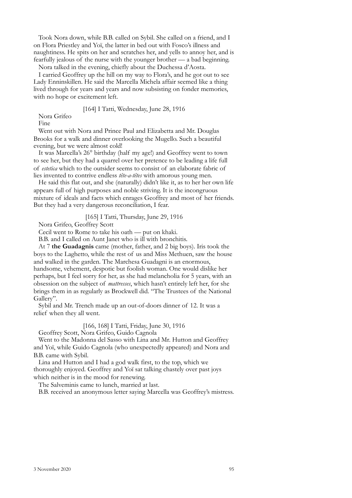Took Nora down, while B.B. called on Sybil. She called on a friend, and I on Flora Priestley and Yoï, the latter in bed out with Fosco's illness and naughtiness. He spits on her and scratches her, and yells to annoy her, and is fearfully jealous of the nurse with the younger brother — a bad beginning.

Nora talked in the evening, chiefly about the Duchessa d'Aosta.

I carried Geoffrey up the hill on my way to Flora's, and he got out to see Lady Enninskillen. He said the Marcella Michela affair seemed like a thing lived through for years and years and now subsisting on fonder memories, with no hope or excitement left.

[164] I Tatti, Wednesday, June 28, 1916

Nora Grifeo

Fine

Went out with Nora and Prince Paul and Elizabetta and Mr. Douglas Brooks for a walk and dinner overlooking the Mugello. Such a beautiful evening, but we were almost cold!

It was Marcella's 26° birthday (half my age!) and Geoffrey went to town to see her, but they had a quarrel over her pretence to be leading a life full of *estetica* which to the outsider seems to consist of an elaborate fabric of lies invented to contrive endless *tête-a-têtes* with amorous young men.

He said this flat out, and she (naturally) didn't like it, as to her her own life appears full of high purposes and noble striving. It is the incongruous mixture of ideals and facts which enrages Geoffrey and most of her friends. But they had a very dangerous reconciliation, I fear.

[165] I Tatti, Thursday, June 29, 1916

Nora Grifeo, Geoffrey Scott

Cecil went to Rome to take his oath — put on khaki.

B.B. and I called on Aunt Janet who is ill with bronchitis.

At 7 **the Guadagnis** came (mother, father, and 2 big boys). Iris took the boys to the Laghetto, while the rest of us and Miss Methuen, saw the house and walked in the garden. The Marchesa Guadagni is an enormous, handsome, vehement, despotic but foolish woman. One would dislike her perhaps, but I feel sorry for her, as she had melancholia for 5 years, with an obsession on the subject of *mattresses*, which hasn't entirely left her, for she brings them in as regularly as Brockwell did. "The Trustees of the National Gallery".

Sybil and Mr. Trench made up an out-of-doors dinner of 12. It was a relief when they all went.

[166, 168] I Tatti, Friday, June 30, 1916

Geoffrey Scott, Nora Grifeo, Guido Cagnola

Went to the Madonna del Sasso with Lina and Mr. Hutton and Geoffrey and Yoï, while Guido Cagnola (who unexpectedly appeared) and Nora and B.B. came with Sybil.

Lina and Hutton and I had a god walk first, to the top, which we thoroughly enjoyed. Geoffrey and Yoï sat talking chastely over past joys which neither is in the mood for renewing.

The Salveminis came to lunch, married at last.

B.B. received an anonymous letter saying Marcella was Geoffrey's mistress.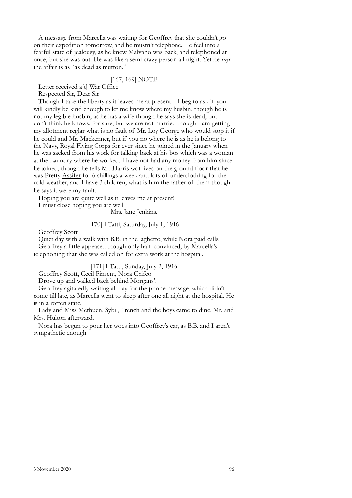A message from Marcella was waiting for Geoffrey that she couldn't go on their expedition tomorrow, and he mustn't telephone. He feel into a fearful state of jealousy, as he knew Malvano was back, and telephoned at once, but she was out. He was like a semi crazy person all night. Yet he *says* the affair is as "as dead as mutton."

#### [167, 169] NOTE

Letter received a[t] War Office

Respected Sir, Dear Sir

Though I take the liberty as it leaves me at present – I beg to ask if you will kindly be kind enough to let me know where my husbin, though he is not my legible husbin, as he has a wife though he says she is dead, but I don't think he knows, for sure, but we are not married though I am getting my allotment reglar what is no fault of Mr. Loy George who would stop it if he could and Mr. Mackenner, but if you no where he is as he is belong to the Navy, Royal Flying Corps for ever since he joined in the January when he was sacked from his work for talking back at his bos which was a woman at the Laundry where he worked. I have not had any money from him since he joined, though he tells Mr. Harris wot lives on the ground floor that he was Pretty Assifer for 6 shillings a week and lots of underclothing for the cold weather, and I have 3 children, what is him the father of them though he says it were my fault.

Hoping you are quite well as it leaves me at present!

I must close hoping you are well

Mrs. Jane Jenkins.

## [170] I Tatti, Saturday, July 1, 1916

Geoffrey Scott

Quiet day with a walk with B.B. in the laghetto, while Nora paid calls. Geoffrey a little appeased though only half convinced, by Marcella's telephoning that she was called on for extra work at the hospital.

[171] I Tatti, Sunday, July 2, 1916

Geoffrey Scott, Cecil Pinsent, Nora Grifeo

Drove up and walked back behind Morgans'.

Geoffrey agitatedly waiting all day for the phone message, which didn't come till late, as Marcella went to sleep after one all night at the hospital. He is in a rotten state.

Lady and Miss Methuen, Sybil, Trench and the boys came to dine, Mr. and Mrs. Hulton afterward.

Nora has begun to pour her woes into Geoffrey's ear, as B.B. and I aren't sympathetic enough.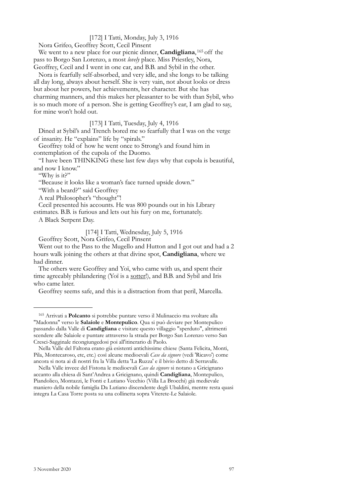## [172] I Tatti, Monday, July 3, 1916

Nora Grifeo, Geoffrey Scott, Cecil Pinsent

We went to a new place for our picnic dinner, **Candigliana**, [165](#page-94-0) off the pass to Borgo San Lorenzo, a most *lovely* place. Miss Priestley, Nora, Geoffrey, Cecil and I went in one car, and B.B. and Sybil in the other.

Nora is fearfully self-absorbed, and very idle, and she longs to be talking all day long, always about herself. She is very vain, not about looks or dress but about her powers, her achievements, her character. But she has charming manners, and this makes her pleasanter to be with than Sybil, who is so much more of a person. She is getting Geoffrey's ear, I am glad to say, for mine won't hold out.

[173] I Tatti, Tuesday, July 4, 1916

Dined at Sybil's and Trench bored me so fearfully that I was on the verge of insanity. He "explains" life by "spirals."

Geoffrey told of how he went once to Strong's and found him in contemplation of the cupola of the Duomo.

"I have been THINKING these last few days why that cupola is beautiful, and now I know."

"Why is it?"

"Because it looks like a woman's face turned upside down."

"With a beard?" said Geoffrey

A real Philosopher's "thought"!

Cecil presented his accounts. He was 800 pounds out in his Library

estimates. B.B. is furious and lets out his fury on me, fortunately.

A Black Serpent Day.

## [174] I Tatti, Wednesday, July 5, 1916

Geoffrey Scott, Nora Grifeo, Cecil Pinsent

Went out to the Pass to the Mugello and Hutton and I got out and had a 2 hours walk joining the others at that divine spot, **Candigliana**, where we had dinner.

The others were Geoffrey and Yoï, who came with us, and spent their time agreeably philandering (Yoï is a sotter!), and B.B. and Sybil and Iris who came later.

Geoffrey seems safe, and this is a distraction from that peril, Marcella.

<span id="page-94-0"></span><sup>165</sup> Arrivati a **Polcanto** si potrebbe puntare verso il Mulinaccio ma svoltare alla "Madonna" verso le **Salaiole** e **Montepulico**. Qua si può deviare per Montepulico passando dalla Valle di **Candigliana** e visitare questo villaggio "sperduto", altrimenti scendere alle Salaiole e puntare attraverso la strada per Borgo San Lorenzo verso San Cresci-Sagginale ricongiungedosi poi all'itinerario di Paolo.

Nella Valle del Faltona erano già esistenti antichissime chiese (Santa Felicita, Monti, Pila, Montecaroso, etc, etc.) così alcune medioevali *Case da signore* (vedi 'Ricavo') come ancora si nota ai dì nostri fra la Villa detta 'La Ruzza' e il bivio detto di Serravalle.

Nella Valle invece del Fistona le medioevali *Case da signore* si notano a Gricignano accanto alla chiesa di Sant'Andrea a Gricignano, quindi **Candigliana**, Montepulico, Piandolico, Montazzi, le Fonti e Lutiano Vecchio (Villa La Brocchi) già medievale maniero della nobile famiglia Da Lutiano discendente degli Ubaldini, mentre resta quasi integra La Casa Torre posta su una collinetta sopra Viterete-Le Salaiole.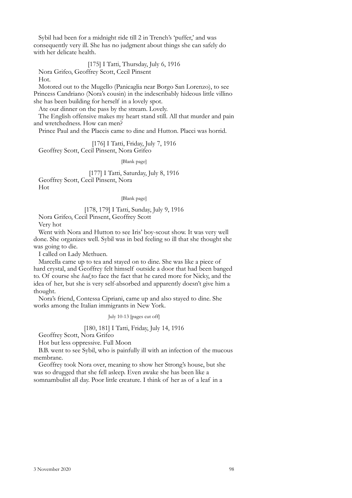Sybil had been for a midnight ride till 2 in Trench's 'puffer,' and was consequently very ill. She has no judgment about things she can safely do with her delicate health.

#### [175] I Tatti, Thursday, July 6, 1916

Nora Grifeo, Geoffrey Scott, Cecil Pinsent

Hot.

Motored out to the Mugello (Panicaglia near Borgo San Lorenzo), to see Princess Candriano (Nora's cousin) in the indescribably hideous little villino she has been building for herself in a lovely spot.

Ate our dinner on the pass by the stream. Lovely.

The English offensive makes my heart stand still. All that murder and pain and wretchedness. How can men?

Prince Paul and the Placcis came to dine and Hutton. Placci was horrid.

[176] I Tatti, Friday, July 7, 1916 Geoffrey Scott, Cecil Pinsent, Nora Grifeo

[Blank page]

[177] I Tatti, Saturday, July 8, 1916 Geoffrey Scott, Cecil Pinsent, Nora Hot

[Blank page]

## [178, 179] I Tatti, Sunday, July 9, 1916

Nora Grifeo, Cecil Pinsent, Geoffrey Scott

Very hot

Went with Nora and Hutton to see Iris' boy-scout show. It was very well done. She organizes well. Sybil was in bed feeling so ill that she thought she was going to die.

I called on Lady Methuen.

Marcella came up to tea and stayed on to dine. She was like a piece of hard crystal, and Geoffrey felt himself outside a door that had been banged to. Of course she *had* to face the fact that he cared more for Nicky, and the idea of her, but she is very self-absorbed and apparently doesn't give him a thought.

Nora's friend, Contessa Cipriani, came up and also stayed to dine. She works among the Italian immigrants in New York.

July 10-13 [pages cut off]

## [180, 181] I Tatti, Friday, July 14, 1916

Geoffrey Scott, Nora Grifeo

Hot but less oppressive. Full Moon

B.B. went to see Sybil, who is painfully ill with an infection of the mucous membrane.

Geoffrey took Nora over, meaning to show her Strong's house, but she was so drugged that she fell asleep. Even awake she has been like a somnambulist all day. Poor little creature. I think of her as of a leaf in a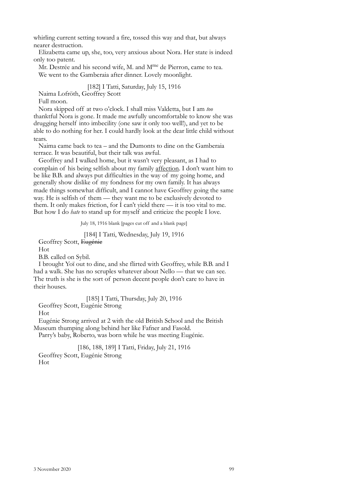whirling current setting toward a fire, tossed this way and that, but always nearer destruction.

Elizabetta came up, she, too, very anxious about Nora. Her state is indeed only too patent.

Mr. Destrée and his second wife, M. and M<sup>me</sup> de Pierron, came to tea. We went to the Gamberaia after dinner. Lovely moonlight.

## [182] I Tatti, Saturday, July 15, 1916

Naima Lofröth, Geoffrey Scott

Full moon.

Nora skipped off at two o'clock. I shall miss Valdetta, but I am *too* thanktful Nora is gone. It made me awfully uncomfortable to know she was drugging herself into imbecility (one saw it only too well!), and yet to be able to do nothing for her. I could hardly look at the dear little child without tears.

Naima came back to tea – and the Dumonts to dine on the Gamberaia terrace. It was beautiful, but their talk was awful.

Geoffrey and I walked home, but it wasn't very pleasant, as I had to complain of his being selfish about my family affection. I don't want him to be like B.B. and always put difficulties in the way of my going home, and generally show dislike of my fondness for my own family. It has always made things somewhat difficult, and I cannot have Geoffrey going the same way. He is selfish of them — they want me to be exclusively devoted to them. It only makes friction, for I can't yield there — it is too vital to me. But how I do *hate* to stand up for myself and criticize the people I love.

July 18, 1916 blank [pages cut off and a blank page]

[184] I Tatti, Wednesday, July 19, 1916

Geoffrey Scott, Eugénie

Hot

B.B. called on Sybil.

I brought Yoï out to dine, and she flirted with Geoffrey, while B.B. and I had a walk. She has no scruples whatever about Nello — that we can see. The truth is she is the sort of person decent people don't care to have in their houses.

[185] I Tatti, Thursday, July 20, 1916

Geoffrey Scott, Eugénie Strong

Hot

Eugénie Strong arrived at 2 with the old British School and the British Museum thumping along behind her like Fafner and Fasold. Parry's baby, Roberto, was born while he was meeting Eugénie.

[186, 188, 189] I Tatti, Friday, July 21, 1916 Geoffrey Scott, Eugénie Strong Hot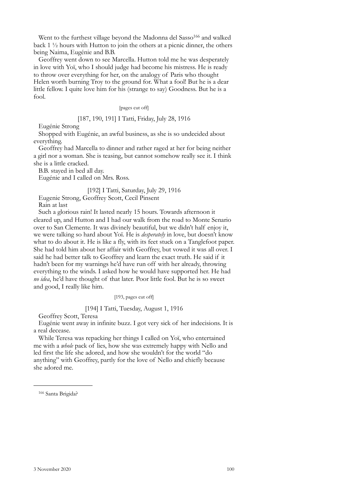Went to the furthest village beyond the Madonna del Sasso<sup>166</sup> and walked back 1 ½ hours with Hutton to join the others at a picnic dinner, the others being Naima, Eugénie and B.B.

Geoffrey went down to see Marcella. Hutton told me he was desperately in love with Yoï, who I should judge had become his mistress. He is ready to throw over everything for her, on the analogy of Paris who thought Helen worth burning Troy to the ground for. What a fool! But he is a dear little fellow. I quite love him for his (strange to say) Goodness. But he is a fool.

### [pages cut off]

#### [187, 190, 191] I Tatti, Friday, July 28, 1916

Eugénie Strong

Shopped with Eugénie, an awful business, as she is so undecided about everything.

Geoffrey had Marcella to dinner and rather raged at her for being neither a girl nor a woman. She is teasing, but cannot somehow really see it. I think she is a little cracked.

B.B. stayed in bed all day.

Eugénie and I called on Mrs. Ross.

[192] I Tatti, Saturday, July 29, 1916

Eugenie Strong, Geoffrey Scott, Cecil Pinsent

Rain at last

Such a glorious rain! It lasted nearly 15 hours. Towards afternoon it cleared up, and Hutton and I had our walk from the road to Monte Senario over to San Clemente. It was divinely beautiful, but we didn't half enjoy it, we were talking so hard about Yoï. He is *desperately* in love, but doesn't know what to do about it. He is like a fly, with its feet stuck on a Tanglefoot paper. She had told him about her affair with Geoffrey, but vowed it was all over. I said he had better talk to Geoffrey and learn the exact truth. He said if it hadn't been for my warnings he'd have run off with her already, throwing everything to the winds. I asked how he would have supported her. He had *no idea*, he'd have thought of that later. Poor little fool. But he is so sweet and good, I really like him.

[193, pages cut off]

## [194] I Tatti, Tuesday, August 1, 1916

Geoffrey Scott, Teresa

Eugénie went away in infinite buzz. I got very sick of her indecisions. It is a real decease.

While Teresa was repacking her things I called on Yoï, who entertained me with a *whole* pack of lies, how she was extremely happy with Nello and led first the life she adored, and how she wouldn't for the world "do anything" with Geoffrey, partly for the love of Nello and chiefly because she adored me.

<span id="page-97-0"></span><sup>&</sup>lt;sup>166</sup> Santa Brigida?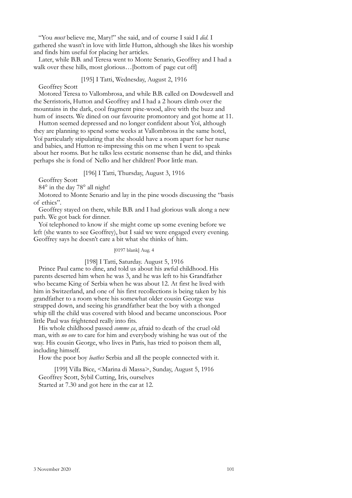"You *must* believe me, Mary!" she said, and of course I said I *did*. I gathered she wasn't in love with little Hutton, although she likes his worship and finds him useful for placing her articles.

Later, while B.B. and Teresa went to Monte Senario, Geoffrey and I had a walk over these hills, most glorious... [bottom of page cut off]

#### [195] I Tatti, Wednesday, August 2, 1916

Geoffrey Scott

Motored Teresa to Vallombrosa, and while B.B. called on Dowdeswell and the Serristoris, Hutton and Geoffrey and I had a 2 hours climb over the mountains in the dark, cool fragment pine-wood, alive with the buzz and hum of insects. We dined on our favourite promontory and got home at 11.

Hutton seemed depressed and no longer confident about Yoï, although they are planning to spend some weeks at Vallombrosa in the same hotel, Yoï particularly stipulating that she should have a room apart for her nurse and babies, and Hutton re-impressing this on me when I went to speak about her rooms. But he talks less ecstatic nonsense than he did, and thinks perhaps she is fond of Nello and her children! Poor little man.

## [196] I Tatti, Thursday, August 3, 1916

Geoffrey Scott

84° in the day 78° all night!

Motored to Monte Senario and lay in the pine woods discussing the "basis of ethics".

Geoffrey stayed on there, while B.B. and I had glorious walk along a new path. We got back for dinner.

Yoï telephoned to know if she might come up some evening before we left (she wants to see Geoffrey), but I said we were engaged every evening. Geoffrey says he doesn't care a bit what she thinks of him.

#### [0197 blank] Aug. 4

## [198] I Tatti, Saturday. August 5, 1916

Prince Paul came to dine, and told us about his awful childhood. His parents deserted him when he was 3, and he was left to his Grandfather who became King of Serbia when he was about 12. At first he lived with him in Switzerland, and one of his first recollections is being taken by his grandfather to a room where his somewhat older cousin George was strapped down, and seeing his grandfather beat the boy with a thonged whip till the child was covered with blood and became unconscious. Poor little Paul was frightened really into fits.

His whole childhood passed *comme ça*, afraid to death of the cruel old man, with *no one* to care for him and everybody wishing he was out of the way. His cousin George, who lives in Paris, has tried to poison them all, including himself.

How the poor boy *loathes* Serbia and all the people connected with it.

[199] Villa Bice, <Marina di Massa>, Sunday, August 5, 1916 Geoffrey Scott, Sybil Cutting, Iris, ourselves Started at 7.30 and got here in the car at 12.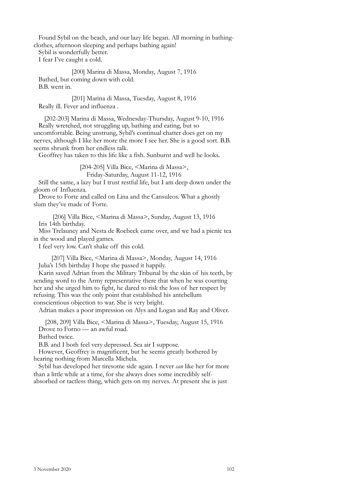Found Sybil on the beach, and our lazy life began. All morning in bathingclothes, afternoon sleeping and perhaps bathing again!

Sybil is wonderfully better.

I fear I've caught a cold.

[200] Marina di Massa, Monday, August 7, 1916 Bathed, but coming down with cold. B.B. went in.

[201] Marina di Massa, Tuesday, August 8, 1916 Really ill. Fever and influenza .

[202-203] Marina di Massa, Wednesday-Thursday, August 9-10, 1916 Really wretched, not struggling up, bathing and eating, but so uncomfortable. Being unstrung, Sybil's continual chatter does get on my nerves, although I like her more the more I see her. She is a good sort. B.B. seems shrunk from her endless talk.

Geoffrey has taken to this life like a fish. Sunburnt and well he looks.

[204-205] Villa Bice, <Marina di Massa>,

Friday-Saturday, August 11-12, 1916

Still the same, a lazy but I trust restful life, but I am deep down under the gloom of Influenza.

Drove to Forte and called on Lina and the Cansuleos. What a ghostly slum they've made of Forte.

[206] Villa Bice, <Marina di Massa>, Sunday, August 13, 1916 Iris 14th birthday.

Miss Trelauney and Nesta de Roebeck came over, and we had a picnic tea in the wood and played games.

I feel very low. Can't shake off this cold.

[207] Villa Bice, <Marina di Massa>, Monday, August 14, 1916 Julia's 15th birthday I hope she passed it happily.

Karin saved Adrian from the Military Tribunal by the skin of his teeth, by sending word to the Army representative there that when he was courting her and she urged him to fight, he dared to risk the loss of her respect by refusing. This was the only point that established his antebellum conscientious objection to war. She is very bright.

Adrian makes a poor impression on Alys and Logan and Ray and Oliver.

[208, 209] Villa Bice, <Marina di Massa>, Tuesday, August 15, 1916 Drove to Forno — an awful road.

Bathed twice.

B.B. and I both feel very depressed. Sea air I suppose.

However, Geoffrey is magnificent, but he seems greatly bothered by hearing nothing from Marcella Michela.

Sybil has developed her tiresome side again. I never *can* like her for more than a little while at a time, for she always does some incredibly selfabsorbed or tactless thing, which gets on my nerves. At present she is just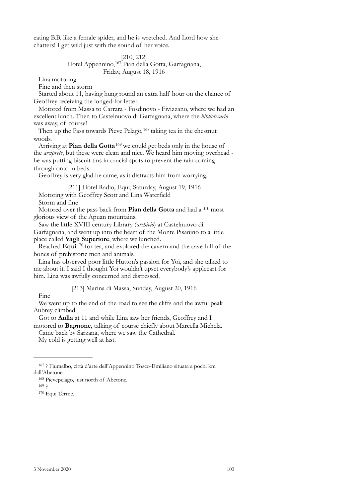eating B.B. like a female spider, and he is wretched. And Lord how she chatters! I get wild just with the sound of her voice.

## [210, 212] Hotel Appennino,[167](#page-100-0) Pian della Gotta, Garfagnana, Friday, August 18, 1916

Lina motoring

Fine and then storm

Started about 11, having hung round an extra half hour on the chance of Geoffrey receiving the longed-for letter.

Motored from Massa to Carrara - Fosdinovo - Fivizzano, where we had an excellent lunch. Then to Castelnuovo di Garfagnana, where the *bibliotecario* was away, of course!

Then up the Pass towards Pieve Pelago, <sup>[168](#page-100-1)</sup> taking tea in the chestnut woods.

Arriving at **Pian della Gotta**[169](#page-100-2) we could get beds only in the house of the *arciprete*, but these were clean and nice. We heard him moving overhead he was putting biscuit tins in crucial spots to prevent the rain coming through onto in beds.

Geoffrey is very glad he came, as it distracts him from worrying.

[211] Hotel Radio, Equi, Saturday, August 19, 1916

Motoring with Geoffrey Scott and Lina Waterfield

Storm and fine

Motored over the pass back from **Pian della Gotta** and had a \*\* most glorious view of the Apuan mountains.

Saw the little XVIII century Library (*archivio*) at Castelnuovo di

Garfagnana, and went up into the heart of the Monte Pisanino to a little place called **Vagli Superiore**, where we lunched.

Reached **Equi**[170](#page-100-3) for tea, and explored the cavern and the cave full of the bones of prehistoric men and animals.

Lina has observed poor little Hutton's passion for Yoï, and she talked to me about it. I said I thought Yoï wouldn't upset everybody's applecart for him. Lina was awfully concerned and distressed.

[213] Marina di Massa, Sunday, August 20, 1916

Fine

We went up to the end of the road to see the cliffs and the awful peak Aubrey climbed.

Got to **Aulla** at 11 and while Lina saw her friends, Geoffrey and I motored to **Bagnone**, talking of course chiefly about Marcella Michela.

Came back by Sarzana, where we saw the Cathedral.

My cold is getting well at last.

<span id="page-100-3"></span>

<span id="page-100-0"></span><sup>167 ?</sup> Fiumalbo, città d'arte dell'Appennino Tosco-Emiliano situata a pochi km dall'Abetone.

<span id="page-100-1"></span><sup>168</sup> Pievepelago, just north of Abetone.<br>
169 ?<br>
<sup>170</sup> Equi Terme.

<span id="page-100-2"></span>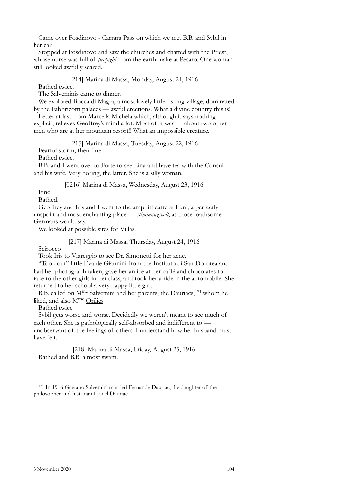Came over Fosdinovo - Carrara Pass on which we met B.B. and Sybil in her car.

Stopped at Fosdinovo and saw the churches and chatted with the Priest, whose nurse was full of *profughi* from the earthquake at Pesaro. One woman still looked awfully scared.

[214] Marina di Massa, Monday, August 21, 1916

Bathed twice.

The Salveminis came to dinner.

We explored Bocca di Magra, a most lovely little fishing village, dominated by the Fabbricotti palaces — awful erections. What a divine country this is!

Letter at last from Marcella Michela which, although it says nothing explicit, relieves Geoffrey's mind a lot. Most of it was — about two other men who are at her mountain resort!! What an impossible creature.

[215] Marina di Massa, Tuesday, August 22, 1916

Fearful storm, then fine

Bathed twice.

B.B. and I went over to Forte to see Lina and have tea with the Consul and his wife. Very boring, the latter. She is a silly woman.

[0216] Marina di Massa, Wednesday, August 23, 1916

Fine

Bathed.

Geoffrey and Iris and I went to the amphitheatre at Luni, a perfectly unspoilt and most enchanting place — *stimmungsvoll*, as those loathsome Germans would say.

We looked at possible sites for Villas.

[217] Marina di Massa, Thursday, August 24, 1916

Scirocco

Took Iris to Viareggio to see Dr. Simonetti for her acne.

"Took out" little Evaide Giannini from the Instituto di San Dorotea and had her photograph taken, gave her an ice at her caffé and chocolates to take to the other girls in her class, and took her a ride in the automobile. She returned to her school a very happy little girl.

B.B. called on M<sup>me</sup> Salvemini and her parents, the Dauriacs,<sup>[171](#page-101-0)</sup> whom he liked, and also Mme Orilies.

Bathed twice

Sybil gets worse and worse. Decidedly we weren't meant to see much of each other. She is pathologically self-absorbed and indifferent to unobservant of the feelings of others. I understand how her husband must have felt.

[218] Marina di Massa, Friday, August 25, 1916 Bathed and B.B. almost swam.

<span id="page-101-0"></span><sup>171</sup> In 1916 Gaetano Salvemini married Fernande Dauriac, the daughter of the philosopher and historian Lionel Dauriac.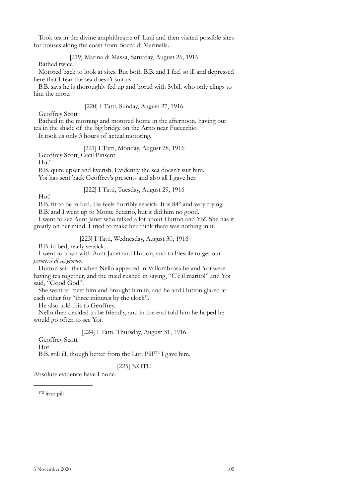Took tea in the divine amphitheatre of Luni and then visited possible sites for houses along the coast from Bocca di Marinella.

[219] Marina di Massa, Saturday, August 26, 1916

Bathed twice.

Motored back to look at sites. But both B.B. and I feel so ill and depressed here that I fear the sea doesn't suit us.

B.B. says he is thoroughly fed up and bored with Sybil, who only clings to him the more.

## [220] I Tatti, Sunday, August 27, 1916

Geoffrey Scott

Bathed in the morning and motored home in the afternoon, having our tea in the shade of the big bridge on the Arno near Fucecchio.

It took us only 3 hours of actual motoring.

[221] I Tatti, Monday, August 28, 1916

Geoffrey Scott, Cecil Pinsent

Hot!

B.B. quite upset and liverish. Evidently the sea doesn't suit him. Yoï has sent back Geoffrey's presents and also all I gave her.

[222] I Tatti, Tuesday, August 29, 1916

Hot!

B.B. fit to be in bed. He feels horribly seasick. It is 84° and very trying. B.B. and I went up to Monte Senario, but it did him no good.

I went to see Aunt Janet who talked a lot about Hutton and Yoï. She has it greatly on her mind. I tried to make her think there was nothing in it.

[223] I Tatti, Wednesday, August 30, 1916

B.B. in bed, really seasick.

I went to town with Aunt Janet and Hutton, and to Fiesole to get our *permessi di soggiorno*.

Hutton said that when Nello appeared in Vallombrosa he and Yoï were having tea together, and the maid rushed in saying, "C'è il marito!" and Yoï said, "Good God".

She went to meet him and brought him in, and he and Hutton glared at each other for "three minutes by the clock".

He also told this to Geoffrey.

Nello then decided to be friendly, and in the end told him he hoped he would go often to see Yoï.

[224] I Tatti, Thursday, August 31, 1916

Geoffrey Scott

Hot

B.B. still ill, though better from the Luri Pill<sup>172</sup> I gave him.

[225] NOTE

Absolute evidence have I none.

<span id="page-102-0"></span>172 liver pill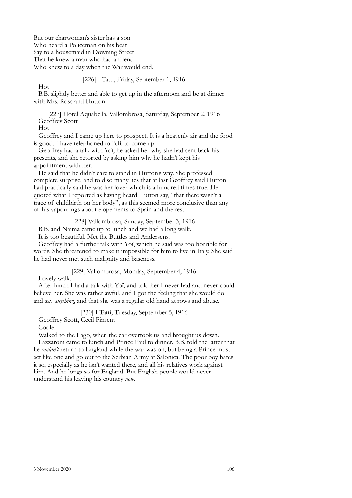But our charwoman's sister has a son Who heard a Policeman on his beat Say to a housemaid in Downing Street That he knew a man who had a friend Who knew to a day when the War would end.

## [226] I Tatti, Friday, September 1, 1916

B.B. slightly better and able to get up in the afternoon and be at dinner with Mrs. Ross and Hutton.

[227] Hotel Aquabella, Vallombrosa, Saturday, September 2, 1916 Geoffrey Scott

Hot

Hot

Geoffrey and I came up here to prospect. It is a heavenly air and the food is good. I have telephoned to B.B. to come up.

Geoffrey had a talk with Yoï, he asked her why she had sent back his presents, and she retorted by asking him why he hadn't kept his appointment with her.

He said that he didn't care to stand in Hutton's way. She professed complete surprise, and told so many lies that at last Geoffrey said Hutton had practically said he was her lover which is a hundred times true. He quoted what I reported as having heard Hutton say, "that there wasn't a trace of childbirth on her body", as this seemed more conclusive than any of his vapourings about elopements to Spain and the rest.

[228] Vallombrosa, Sunday, September 3, 1916

B.B. and Naima came up to lunch and we had a long walk.

It is too beautiful. Met the Buttles and Andersens.

Geoffrey had a further talk with Yoï, which he said was too horrible for words. She threatened to make it impossible for him to live in Italy. She said he had never met such malignity and baseness.

[229] Vallombrosa, Monday, September 4, 1916

Lovely walk.

After lunch I had a talk with Yoï, and told her I never had and never could believe her. She was rather awful, and I got the feeling that she would do and say *anything*, and that she was a regular old hand at rows and abuse.

[230] I Tatti, Tuesday, September 5, 1916

Geoffrey Scott, Cecil Pinsent

Cooler

Walked to the Lago, when the car overtook us and brought us down.

Lazzaroni came to lunch and Prince Paul to dinner. B.B. told the latter that he *couldn't* return to England while the war was on, but being a Prince must act like one and go out to the Serbian Army at Salonica. The poor boy hates it so, especially as he isn't wanted there, and all his relatives work against him. And he longs so for England! But English people would never understand his leaving his country *now*.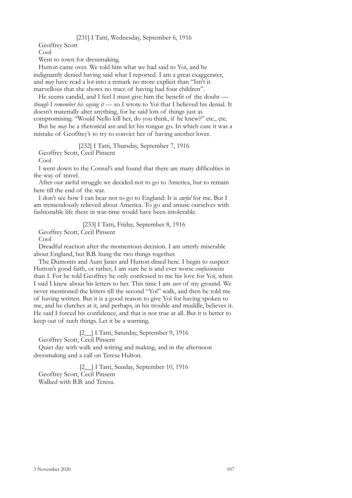## [231] I Tatti, Wednesday, September 6, 1916

Geoffrey Scott

Cool

Went to town for dressmaking.

Hutton came over. We told him what we had said to Yoï, and he indignantly denied having said what I reported. I am a great exaggerater, and *may* have read a lot into a remark no more explicit than "Isn't it marvellous that she shows no trace of having had four children".

He seems candid, and I feel I must give him the benefit of the doubt *though I remember his saying it* — so I wrote to Yoï that I believed his denial. It doesn't materially alter anything, for he said lots of things just as compromising. "Would Nello kill her, do you think, if he knew?" etc., etc.

But he *may* be a rhetorical ass and let his tongue go. In which case it was a mistake of Geoffrey's to try to convict her of having another lover.

[232] I Tatti, Thursday, September 7, 1916

Geoffrey Scott, Cecil Pinsent

Cool

I went down to the Consul's and found that there are many difficulties in the way of travel.

After our awful struggle we decided not to go to America, but to remain here till the end of the war.

I don't see how I can bear not to go to England: It is *awful* for me. But I am tremendously relieved about America. To go and amuse ourselves with fashionable life there in war-time would have been intolerable.

[233] I Tatti, Friday, September 8, 1916

Geoffrey Scott, Cecil Pinsent

Cool

Dreadful reaction after the momentous decision. I am utterly miserable about England, but B.B. hung the two things together.

The Dumonts and Aunt Janet and Hutton dined here. I begin to suspect Hutton's good faith, or rather, I am sure he is and ever worse *confusionista* than I. For he told Geoffrey he only confessed to me his love for Yoï, when I said I knew about his letters to her. This time I am *sure* of my ground. We never mentioned the letters till the second "Yoï" walk, and then he told me of having written. But it is a good reason to give Yoï for having spoken to me, and he clutches at it, and perhaps, in his trouble and muddle, believes it. He said I forced his confidence, and that is not true at all. But it is better to keep out of such things. Let it be a warning.

[2\_] I Tatti, Saturday, September 9, 1916

Geoffrey Scott, Cecil Pinsent

Quiet day with walk and writing and making, and in the afternoon dressmaking and a call on Teresa Hulton.

[2\_] I Tatti, Sunday, September 10, 1916 Geoffrey Scott, Cecil Pinsent Walked with B.B. and Teresa.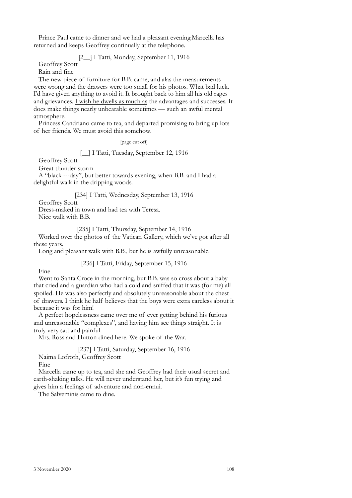Prince Paul came to dinner and we had a pleasant evening.Marcella has returned and keeps Geoffrey continually at the telephone.

## [2\_\_] I Tatti, Monday, September 11, 1916

Geoffrey Scott

Rain and fine

The new piece of furniture for B.B. came, and alas the measurements were wrong and the drawers were too small for his photos. What bad luck. I'd have given anything to avoid it. It brought back to him all his old rages and grievances. I wish he dwells as much as the advantages and successes. It does make things nearly unbearable sometimes — such an awful mental atmosphere.

Princess Candriano came to tea, and departed promising to bring up lots of her friends. We must avoid this somehow.

[page cut off]

## [\_\_] I Tatti, Tuesday, September 12, 1916

Geoffrey Scott

Great thunder storm

A "black ---day", but better towards evening, when B.B. and I had a delightful walk in the dripping woods.

#### [234] I Tatti, Wednesday, September 13, 1916

Geoffrey Scott

Dress-maked in town and had tea with Teresa.

Nice walk with B.B.

[235] I Tatti, Thursday, September 14, 1916

Worked over the photos of the Vatican Gallery, which we've got after all these years.

Long and pleasant walk with B.B., but he is awfully unreasonable.

#### [236] I Tatti, Friday, September 15, 1916

Fine

Went to Santa Croce in the morning, but B.B. was so cross about a baby that cried and a guardian who had a cold and sniffed that it was (for me) all spoiled. He was also perfectly and absolutely unreasonable about the chest of drawers. I think he half believes that the boys were extra careless about it because it was for him!

A perfect hopelessness came over me of ever getting behind his furious and unreasonable "complexes", and having him see things straight. It is truly very sad and painful.

Mrs. Ross and Hutton dined here. We spoke of the War.

[237] I Tatti, Saturday, September 16, 1916

Naima Lofröth, Geoffrey Scott

Fine

Marcella came up to tea, and she and Geoffrey had their usual secret and earth-shaking talks. He will never understand her, but it's fun trying and gives him a feelings of adventure and non-ennui.

The Salveminis came to dine.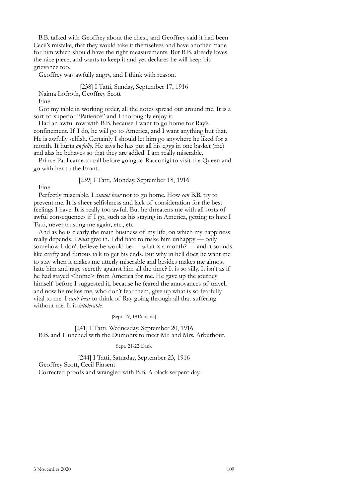B.B. talked with Geoffrey about the chest, and Geoffrey said it had been Cecil's mistake, that they would take it themselves and have another made for him which should have the right measurements. But B.B. already loves the nice piece, and wants to keep it and yet declares he will keep his grievance too.

Geoffrey was awfully angry, and I think with reason.

[238] I Tatti, Sunday, September 17, 1916 Naima Lofröth, Geoffrey Scott

Fine

Got my table in working order, all the notes spread out around me. It is a sort of superior "Patience" and I thoroughly enjoy it.

Had an awful row with B.B. because I want to go home for Ray's confinement. If I do, he will go to America, and I want anything but that. He is awfully selfish. Certainly I should let him go anywhere he liked for a month. It hurts *awfully*. He says he has put all his eggs in one basket (me) and alas he behaves so that they are added! I am really miserable.

Prince Paul came to call before going to Racconigi to visit the Queen and go with her to the Front.

[239] I Tatti, Monday, September 18, 1916

Fine

Perfectly miserable. I *cannot bear* not to go home. How *can* B.B. try to prevent me. It is sheer selfishness and lack of consideration for the best feelings I have. It is really too awful. But he threatens me with all sorts of awful consequences if I go, such as his staying in America, getting to hate I Tatti, never trusting me again, etc., etc.

And as he is clearly the main business of my life, on which my happiness really depends, I *must* give in. I did hate to make him unhappy — only somehow I don't believe he would be — what is a month? — and it sounds like crafty and furious talk to get his ends. But why in hell does he want me to stay when it makes me utterly miserable and besides makes me almost hate him and rage secretly against him all the time? It is so silly. It isn't as if he had stayed <home> from America for me. He gave up the journey himself before I suggested it, because he feared the annoyances of travel, and now he makes me, who don't fear them, give up what is so fearfully vital to me. I *can't bear* to think of Ray going through all that suffering without me. It is *intolerable*.

[Sept. 19, 1916 blank]

[241] I Tatti, Wednesday, September 20, 1916 B.B. and I lunched with the Dumonts to meet Mr. and Mrs. Arbuthout.

### Sept. 21-22 blank

[244] I Tatti, Saturday, September 23, 1916 Geoffrey Scott, Cecil Pinsent Corrected proofs and wrangled with B.B. A black serpent day.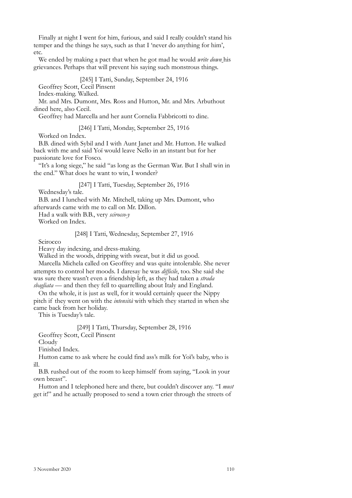Finally at night I went for him, furious, and said I really couldn't stand his temper and the things he says, such as that I 'never do anything for him', etc.

We ended by making a pact that when he got mad he would *write down* his grievances. Perhaps that will prevent his saying such monstrous things.

[245] I Tatti, Sunday, September 24, 1916

Geoffrey Scott, Cecil Pinsent

Index-making. Walked.

Mr. and Mrs. Dumont, Mrs. Ross and Hutton, Mr. and Mrs. Arbuthout dined here, also Cecil.

Geoffrey had Marcella and her aunt Cornelia Fabbricotti to dine.

[246] I Tatti, Monday, September 25, 1916

Worked on Index.

B.B. dined with Sybil and I with Aunt Janet and Mr. Hutton. He walked back with me and said Yoï would leave Nello in an instant but for her passionate love for Fosco.

"It's a long siege," he said "as long as the German War. But I shall win in the end." What does he want to win, I wonder?

[247] I Tatti, Tuesday, September 26, 1916

Wednesday's tale.

B.B. and I lunched with Mr. Mitchell, taking up Mrs. Dumont, who afterwards came with me to call on Mr. Dillon.

Had a walk with B.B., very *scirocco-y*

Worked on Index.

## [248] I Tatti, Wednesday, September 27, 1916

Scirocco

Heavy day indexing, and dress-making.

Walked in the woods, dripping with sweat, but it did us good.

Marcella Michela called on Geoffrey and was quite intolerable. She never attempts to control her moods. I daresay he was *difficile*, too. She said she was sure there wasn't even a friendship left, as they had taken a *strada sbagliata* — and then they fell to quarrelling about Italy and England.

On the whole, it is just as well, for it would certainly queer the Nippy pitch if they went on with the *intensità* with which they started in when she came back from her holiday.

This is Tuesday's tale.

[249] I Tatti, Thursday, September 28, 1916

Geoffrey Scott, Cecil Pinsent

Cloudy

Finished Index.

Hutton came to ask where he could find ass's milk for Yoï's baby, who is ill.

B.B. rushed out of the room to keep himself from saying, "Look in your own breast".

Hutton and I telephoned here and there, but couldn't discover any. "I *must* get it!" and he actually proposed to send a town crier through the streets of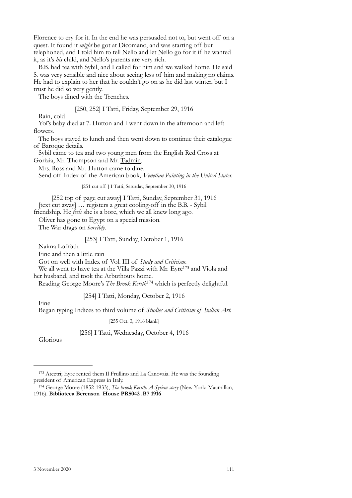Florence to cry for it. In the end he was persuaded not to, but went off on a quest. It found it *might* be got at Dicomano, and was starting off but telephoned, and I told him to tell Nello and let Nello go for it if he wanted it, as it's *his* child, and Nello's parents are very rich.

B.B. had tea with Sybil, and I called for him and we walked home. He said S. was very sensible and nice about seeing less of him and making no claims. He had to explain to her that he couldn't go on as he did last winter, but I trust he did so very gently.

The boys dined with the Trenches.

[250, 252] I Tatti, Friday, September 29, 1916

Rain, cold

Yoï's baby died at 7. Hutton and I went down in the afternoon and left flowers.

The boys stayed to lunch and then went down to continue their catalogue of Baroque details.

Sybil came to tea and two young men from the English Red Cross at Gorizia, Mr. Thompson and Mr. Tadmin.

Mrs. Ross and Mr. Hutton came to dine.

Send off Index of the American book, *Venetian Painting in the United States.*

[251 cut off ] I Tatti, Saturday, September 30, 1916

[252 top of page cut away] I Tatti, Sunday, September 31, 1916 [text cut away] … registers a great cooling-off in the B.B. - Sybil

friendship. He *feels* she is a bore, which we all knew long ago.

Oliver has gone to Egypt on a special mission.

The War drags on *horribly*.

[253] I Tatti, Sunday, October 1, 1916

Naima Lofröth

Fine and then a little rain

Got on well with Index of Vol. III of *Study and Criticism*.

We all went to have tea at the Villa Pazzi with Mr. Eyre<sup>173</sup> and Viola and her husband, and took the Arbuthouts home.

Reading George Moore's *The Brook Kerith*[174](#page-108-1) which is perfectly delightful.

### [254] I Tatti, Monday, October 2, 1916

Fine

Began typing Indices to third volume of *Studies and Criticism of Italian Art.*

[255 Oct. 3, 1916 blank]

[256] I Tatti, Wednesday, October 4, 1916

Glorious

<span id="page-108-0"></span><sup>173</sup> Atcetri; Eyre rented them Il Frullino and La Canovaia. He was the founding president of American Express in Italy.

<span id="page-108-1"></span><sup>174</sup> George Moore (1852-1933), *The brook Kerith: A Syrian story* (New York: Macmillan, 1916). **Biblioteca Berenson House PR5042 .B7 1916**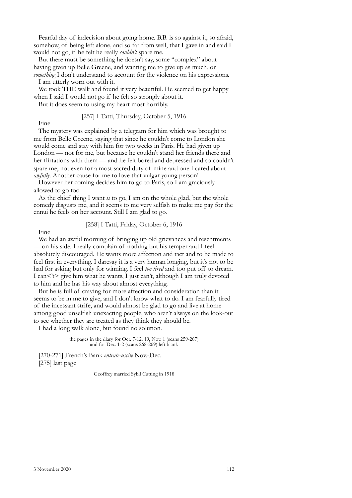Fearful day of indecision about going home. B.B. is so against it, so afraid, somehow, of being left alone, and so far from well, that I gave in and said I would not go, if he felt he really *couldn't* spare me.

But there must be something he doesn't say, some "complex" about having given up Belle Greene, and wanting me to give up as much, or *something* I don't understand to account for the violence on his expressions.

I am utterly worn out with it.

We took THE walk and found it very beautiful. He seemed to get happy when I said I would not go if he felt so strongly about it.

But it does seem to using my heart most horribly.

#### [257] I Tatti, Thursday, October 5, 1916

Fine

The mystery was explained by a telegram for him which was brought to me from Belle Greene, saying that since he couldn't come to London she would come and stay with him for two weeks in Paris. He had given up London — not for me, but because he couldn't stand her friends there and her flirtations with them — and he felt bored and depressed and so couldn't spare me, not even for a most sacred duty of mine and one I cared about *awfully*. Another cause for me to love that vulgar young person!

However her coming decides him to go to Paris, so I am graciously allowed to go too.

As the chief thing I want *is* to go, I am on the whole glad, but the whole comedy disgusts me, and it seems to me very selfish to make me pay for the ennui he feels on her account. Still I am glad to go.

#### [258] I Tatti, Friday, October 6, 1916

Fine

We had an awful morning of bringing up old grievances and resentments — on his side. I really complain of nothing but his temper and I feel absolutely discouraged. He wants more affection and tact and to be made to feel first in everything. I daresay it is a very human longing, but it's not to be had for asking but only for winning. I feel *too tired* and too put off to dream. I can<'t> give him what he wants, I just can't, although I am truly devoted to him and he has his way about almost everything.

But he is full of craving for more affection and consideration than it seems to be in me to give, and I don't know what to do. I am fearfully tired of the incessant strife, and would almost be glad to go and live at home among good unselfish unexacting people, who aren't always on the look-out to see whether they are treated as they think they should be.

I had a long walk alone, but found no solution.

the pages in the diary for Oct. 7-12, 19, Nov. 1 (scans 259-267) and for Dec. 1-2 (scans 268-269) left blank

[270-271] French's Bank *entrate-uscite* Nov.-Dec. [275] last page

Geoffrey married Sybil Cutting in 1918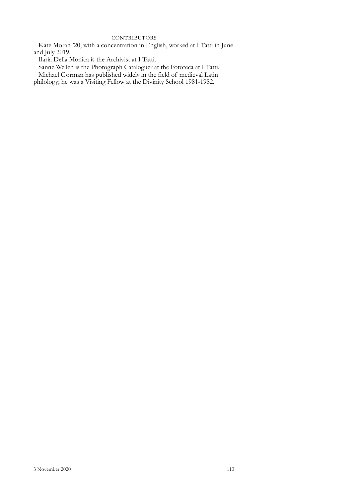#### **CONTRIBUTORS**

Kate Moran '20, with a concentration in English, worked at I Tatti in June and July 2019.

Ilaria Della Monica is the Archivist at I Tatti.

Sanne Wellen is the Photograph Cataloguer at the Fototeca at I Tatti.

Michael Gorman has published widely in the field of medieval Latin

philology; he was a Visiting Fellow at the Divinity School 1981-1982.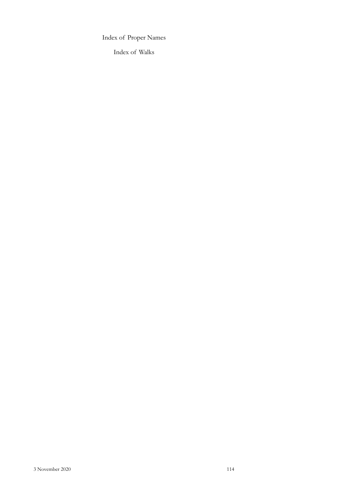Index of Proper Names

Index of Walks